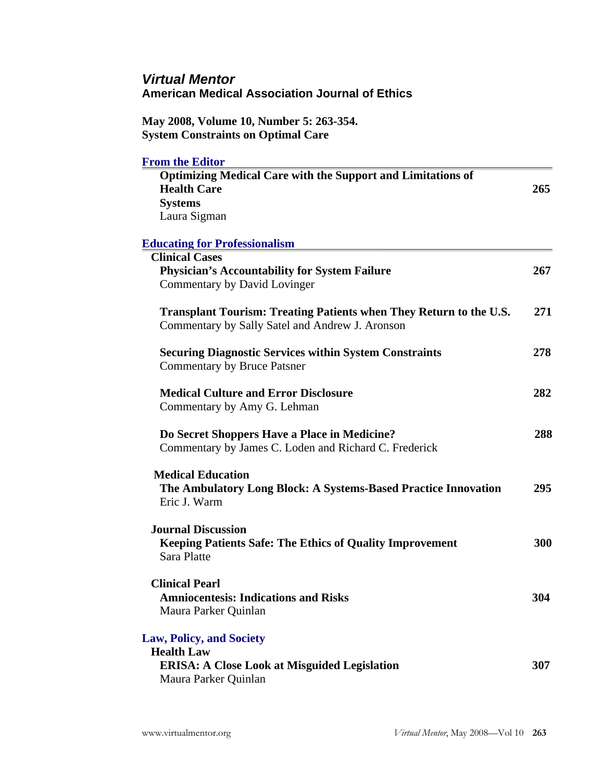## *Virtual Mentor*  **American Medical Association Journal of Ethics**

**May 2008, Volume 10, Number 5: 263-354. System Constraints on Optimal Care** 

## **From the Editor Optimizing Medical Care with the Support and Limitations of Health Care 265 Systems**  Laura Sigman **Educating for Professionalism Clinical Cases Physician's Accountability for System Failure 267** Commentary by David Lovinger **Transplant Tourism: Treating Patients when They Return to the U.S. 271** Commentary by Sally Satel and Andrew J. Aronson **Securing Diagnostic Services within System Constraints 278** Commentary by Bruce Patsner **Medical Culture and Error Disclosure 282** Commentary by Amy G. Lehman **Do Secret Shoppers Have a Place in Medicine? 288** Commentary by James C. Loden and Richard C. Frederick  **Medical Education The Ambulatory Long Block: A Systems-Based Practice Innovation 295** Eric J. Warm  **Journal Discussion Keeping Patients Safe: The Ethics of Quality Improvement 300** Sara Platte  **Clinical Pearl Amniocentesis: Indications and Risks 304** Maura Parker Quinlan **Law, Policy, and Society Health Law ERISA: A Close Look at Misguided Legislation 307** Maura Parker Quinlan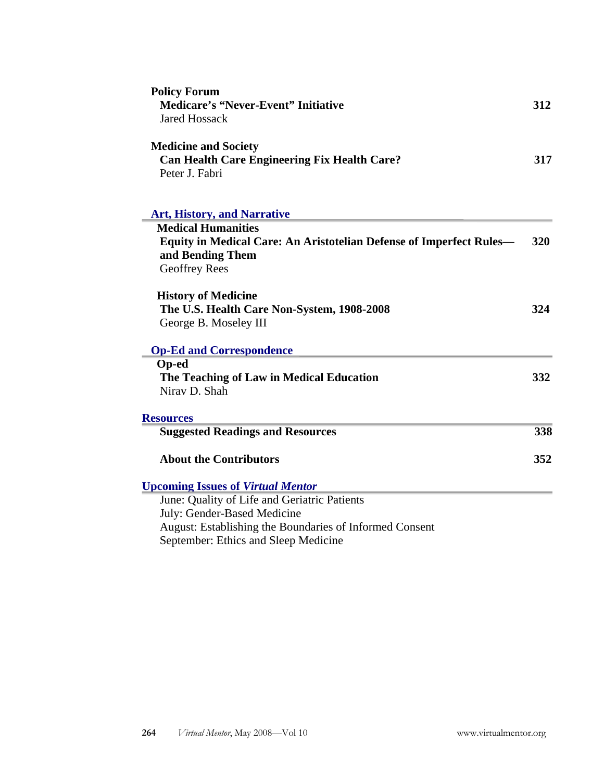| <b>Policy Forum</b>                                                        |            |
|----------------------------------------------------------------------------|------------|
| <b>Medicare's "Never-Event" Initiative</b>                                 | 312        |
| <b>Jared Hossack</b>                                                       |            |
| <b>Medicine and Society</b>                                                |            |
| <b>Can Health Care Engineering Fix Health Care?</b>                        | 317        |
| Peter J. Fabri                                                             |            |
| <b>Art, History, and Narrative</b>                                         |            |
| <b>Medical Humanities</b>                                                  |            |
| <b>Equity in Medical Care: An Aristotelian Defense of Imperfect Rules—</b> | 320        |
| and Bending Them                                                           |            |
| <b>Geoffrey Rees</b>                                                       |            |
| <b>History of Medicine</b>                                                 |            |
| The U.S. Health Care Non-System, 1908-2008                                 | 324        |
| George B. Moseley III                                                      |            |
| <b>Op-Ed and Correspondence</b>                                            |            |
| Op-ed                                                                      |            |
| The Teaching of Law in Medical Education                                   | <b>332</b> |
| Nirav D. Shah                                                              |            |
| <b>Resources</b>                                                           |            |
| <b>Suggested Readings and Resources</b>                                    | 338        |
| <b>About the Contributors</b>                                              | 352        |
| <b>Upcoming Issues of Virtual Mentor</b>                                   |            |
| June: Quality of Life and Geriatric Patients                               |            |
| July: Gender-Based Medicine                                                |            |
| August: Establishing the Boundaries of Informed Consent                    |            |
| September: Ethics and Sleep Medicine                                       |            |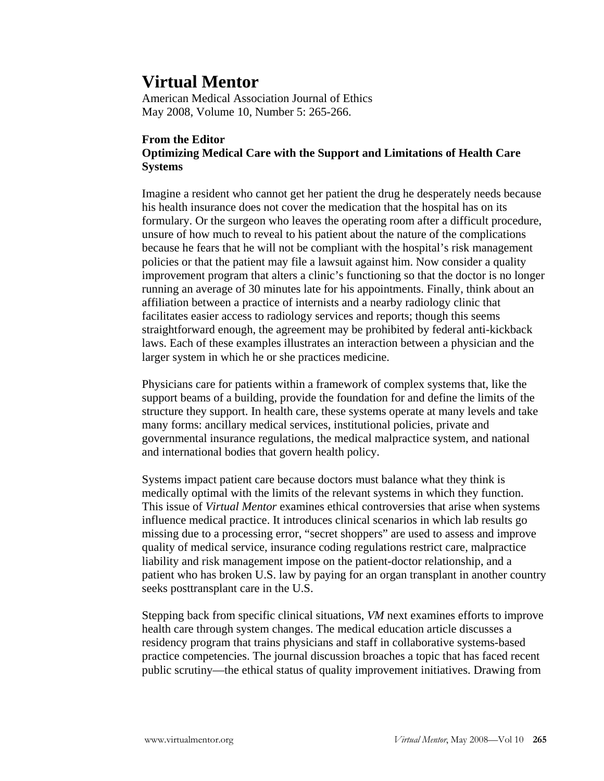American Medical Association Journal of Ethics May 2008, Volume 10, Number 5: 265-266.

## **From the Editor Optimizing Medical Care with the Support and Limitations of Health Care Systems**

Imagine a resident who cannot get her patient the drug he desperately needs because his health insurance does not cover the medication that the hospital has on its formulary. Or the surgeon who leaves the operating room after a difficult procedure, unsure of how much to reveal to his patient about the nature of the complications because he fears that he will not be compliant with the hospital's risk management policies or that the patient may file a lawsuit against him. Now consider a quality improvement program that alters a clinic's functioning so that the doctor is no longer running an average of 30 minutes late for his appointments. Finally, think about an affiliation between a practice of internists and a nearby radiology clinic that facilitates easier access to radiology services and reports; though this seems straightforward enough, the agreement may be prohibited by federal anti-kickback laws. Each of these examples illustrates an interaction between a physician and the larger system in which he or she practices medicine.

Physicians care for patients within a framework of complex systems that, like the support beams of a building, provide the foundation for and define the limits of the structure they support. In health care, these systems operate at many levels and take many forms: ancillary medical services, institutional policies, private and governmental insurance regulations, the medical malpractice system, and national and international bodies that govern health policy.

Systems impact patient care because doctors must balance what they think is medically optimal with the limits of the relevant systems in which they function. This issue of *Virtual Mentor* examines ethical controversies that arise when systems influence medical practice. It introduces clinical scenarios in which lab results go missing due to a processing error, "secret shoppers" are used to assess and improve quality of medical service, insurance coding regulations restrict care, malpractice liability and risk management impose on the patient-doctor relationship, and a patient who has broken U.S. law by paying for an organ transplant in another country seeks posttransplant care in the U.S.

Stepping back from specific clinical situations, *VM* next examines efforts to improve health care through system changes. The medical education article discusses a residency program that trains physicians and staff in collaborative systems-based practice competencies. The journal discussion broaches a topic that has faced recent public scrutiny—the ethical status of quality improvement initiatives. Drawing from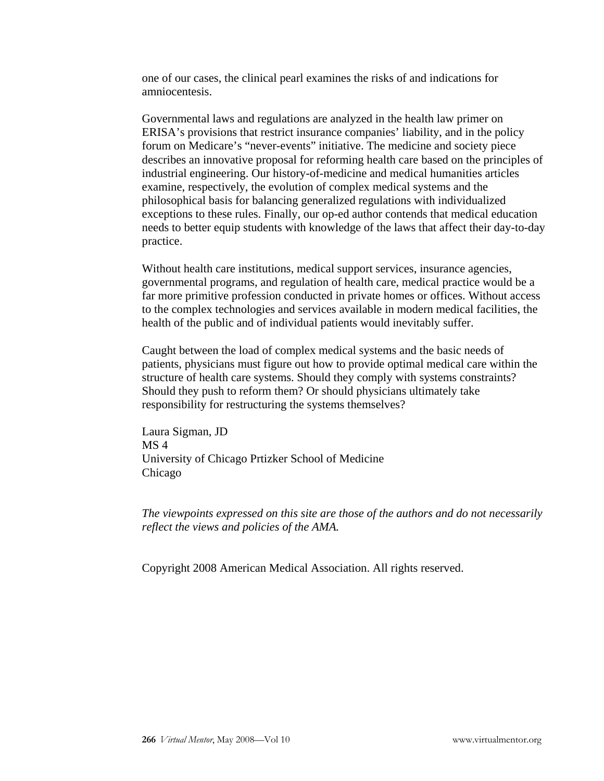one of our cases, the clinical pearl examines the risks of and indications for amniocentesis.

Governmental laws and regulations are analyzed in the health law primer on ERISA's provisions that restrict insurance companies' liability, and in the policy forum on Medicare's "never-events" initiative. The medicine and society piece describes an innovative proposal for reforming health care based on the principles of industrial engineering. Our history-of-medicine and medical humanities articles examine, respectively, the evolution of complex medical systems and the philosophical basis for balancing generalized regulations with individualized exceptions to these rules. Finally, our op-ed author contends that medical education needs to better equip students with knowledge of the laws that affect their day-to-day practice.

Without health care institutions, medical support services, insurance agencies, governmental programs, and regulation of health care, medical practice would be a far more primitive profession conducted in private homes or offices. Without access to the complex technologies and services available in modern medical facilities, the health of the public and of individual patients would inevitably suffer.

Caught between the load of complex medical systems and the basic needs of patients, physicians must figure out how to provide optimal medical care within the structure of health care systems. Should they comply with systems constraints? Should they push to reform them? Or should physicians ultimately take responsibility for restructuring the systems themselves?

Laura Sigman, JD MS 4 University of Chicago Prtizker School of Medicine Chicago

*The viewpoints expressed on this site are those of the authors and do not necessarily reflect the views and policies of the AMA.* 

Copyright 2008 American Medical Association. All rights reserved.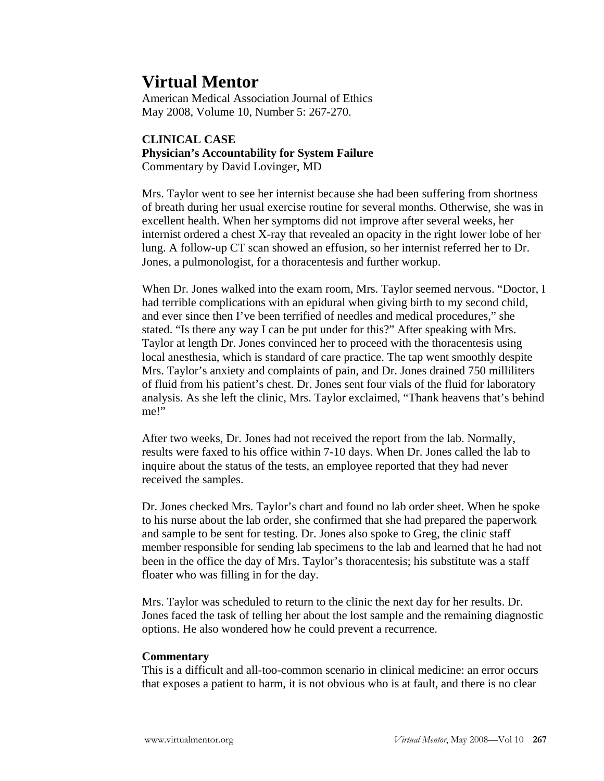American Medical Association Journal of Ethics May 2008, Volume 10, Number 5: 267-270.

## **CLINICAL CASE Physician's Accountability for System Failure**  Commentary by David Lovinger, MD

Mrs. Taylor went to see her internist because she had been suffering from shortness of breath during her usual exercise routine for several months. Otherwise, she was in excellent health. When her symptoms did not improve after several weeks, her internist ordered a chest X-ray that revealed an opacity in the right lower lobe of her lung. A follow-up CT scan showed an effusion, so her internist referred her to Dr. Jones, a pulmonologist, for a thoracentesis and further workup.

When Dr. Jones walked into the exam room, Mrs. Taylor seemed nervous. "Doctor, I had terrible complications with an epidural when giving birth to my second child, and ever since then I've been terrified of needles and medical procedures," she stated. "Is there any way I can be put under for this?" After speaking with Mrs. Taylor at length Dr. Jones convinced her to proceed with the thoracentesis using local anesthesia, which is standard of care practice. The tap went smoothly despite Mrs. Taylor's anxiety and complaints of pain, and Dr. Jones drained 750 milliliters of fluid from his patient's chest. Dr. Jones sent four vials of the fluid for laboratory analysis. As she left the clinic, Mrs. Taylor exclaimed, "Thank heavens that's behind me!"

After two weeks, Dr. Jones had not received the report from the lab. Normally, results were faxed to his office within 7-10 days. When Dr. Jones called the lab to inquire about the status of the tests, an employee reported that they had never received the samples.

Dr. Jones checked Mrs. Taylor's chart and found no lab order sheet. When he spoke to his nurse about the lab order, she confirmed that she had prepared the paperwork and sample to be sent for testing. Dr. Jones also spoke to Greg, the clinic staff member responsible for sending lab specimens to the lab and learned that he had not been in the office the day of Mrs. Taylor's thoracentesis; his substitute was a staff floater who was filling in for the day.

Mrs. Taylor was scheduled to return to the clinic the next day for her results. Dr. Jones faced the task of telling her about the lost sample and the remaining diagnostic options. He also wondered how he could prevent a recurrence.

### **Commentary**

This is a difficult and all-too-common scenario in clinical medicine: an error occurs that exposes a patient to harm, it is not obvious who is at fault, and there is no clear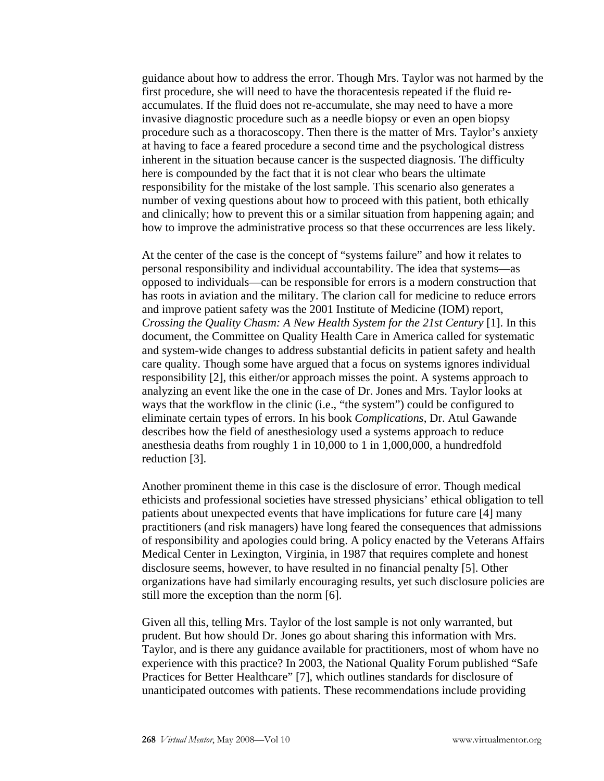guidance about how to address the error. Though Mrs. Taylor was not harmed by the first procedure, she will need to have the thoracentesis repeated if the fluid reaccumulates. If the fluid does not re-accumulate, she may need to have a more invasive diagnostic procedure such as a needle biopsy or even an open biopsy procedure such as a thoracoscopy. Then there is the matter of Mrs. Taylor's anxiety at having to face a feared procedure a second time and the psychological distress inherent in the situation because cancer is the suspected diagnosis. The difficulty here is compounded by the fact that it is not clear who bears the ultimate responsibility for the mistake of the lost sample. This scenario also generates a number of vexing questions about how to proceed with this patient, both ethically and clinically; how to prevent this or a similar situation from happening again; and how to improve the administrative process so that these occurrences are less likely.

At the center of the case is the concept of "systems failure" and how it relates to personal responsibility and individual accountability. The idea that systems—as opposed to individuals—can be responsible for errors is a modern construction that has roots in aviation and the military. The clarion call for medicine to reduce errors and improve patient safety was the 2001 Institute of Medicine (IOM) report, *Crossing the Quality Chasm: A New Health System for the 21st Century* [1]. In this document, the Committee on Quality Health Care in America called for systematic and system-wide changes to address substantial deficits in patient safety and health care quality. Though some have argued that a focus on systems ignores individual responsibility [2], this either/or approach misses the point. A systems approach to analyzing an event like the one in the case of Dr. Jones and Mrs. Taylor looks at ways that the workflow in the clinic (i.e., "the system") could be configured to eliminate certain types of errors. In his book *Complications*, Dr. Atul Gawande describes how the field of anesthesiology used a systems approach to reduce anesthesia deaths from roughly 1 in 10,000 to 1 in 1,000,000, a hundredfold reduction [3].

Another prominent theme in this case is the disclosure of error. Though medical ethicists and professional societies have stressed physicians' ethical obligation to tell patients about unexpected events that have implications for future care [4] many practitioners (and risk managers) have long feared the consequences that admissions of responsibility and apologies could bring. A policy enacted by the Veterans Affairs Medical Center in Lexington, Virginia, in 1987 that requires complete and honest disclosure seems, however, to have resulted in no financial penalty [5]. Other organizations have had similarly encouraging results, yet such disclosure policies are still more the exception than the norm [6].

Given all this, telling Mrs. Taylor of the lost sample is not only warranted, but prudent. But how should Dr. Jones go about sharing this information with Mrs. Taylor, and is there any guidance available for practitioners, most of whom have no experience with this practice? In 2003, the National Quality Forum published "Safe Practices for Better Healthcare" [7], which outlines standards for disclosure of unanticipated outcomes with patients. These recommendations include providing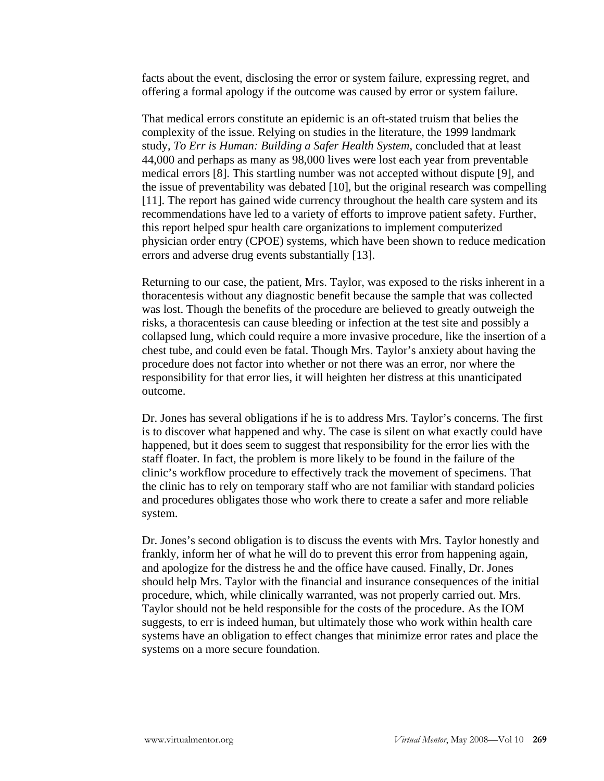facts about the event, disclosing the error or system failure, expressing regret, and offering a formal apology if the outcome was caused by error or system failure.

That medical errors constitute an epidemic is an oft-stated truism that belies the complexity of the issue. Relying on studies in the literature, the 1999 landmark study, *To Err is Human: Building a Safer Health System*, concluded that at least 44,000 and perhaps as many as 98,000 lives were lost each year from preventable medical errors [8]. This startling number was not accepted without dispute [9], and the issue of preventability was debated [10], but the original research was compelling [11]. The report has gained wide currency throughout the health care system and its recommendations have led to a variety of efforts to improve patient safety. Further, this report helped spur health care organizations to implement computerized physician order entry (CPOE) systems, which have been shown to reduce medication errors and adverse drug events substantially [13].

Returning to our case, the patient, Mrs. Taylor, was exposed to the risks inherent in a thoracentesis without any diagnostic benefit because the sample that was collected was lost. Though the benefits of the procedure are believed to greatly outweigh the risks, a thoracentesis can cause bleeding or infection at the test site and possibly a collapsed lung, which could require a more invasive procedure, like the insertion of a chest tube, and could even be fatal. Though Mrs. Taylor's anxiety about having the procedure does not factor into whether or not there was an error, nor where the responsibility for that error lies, it will heighten her distress at this unanticipated outcome.

Dr. Jones has several obligations if he is to address Mrs. Taylor's concerns. The first is to discover what happened and why. The case is silent on what exactly could have happened, but it does seem to suggest that responsibility for the error lies with the staff floater. In fact, the problem is more likely to be found in the failure of the clinic's workflow procedure to effectively track the movement of specimens. That the clinic has to rely on temporary staff who are not familiar with standard policies and procedures obligates those who work there to create a safer and more reliable system.

Dr. Jones's second obligation is to discuss the events with Mrs. Taylor honestly and frankly, inform her of what he will do to prevent this error from happening again, and apologize for the distress he and the office have caused. Finally, Dr. Jones should help Mrs. Taylor with the financial and insurance consequences of the initial procedure, which, while clinically warranted, was not properly carried out. Mrs. Taylor should not be held responsible for the costs of the procedure. As the IOM suggests, to err is indeed human, but ultimately those who work within health care systems have an obligation to effect changes that minimize error rates and place the systems on a more secure foundation.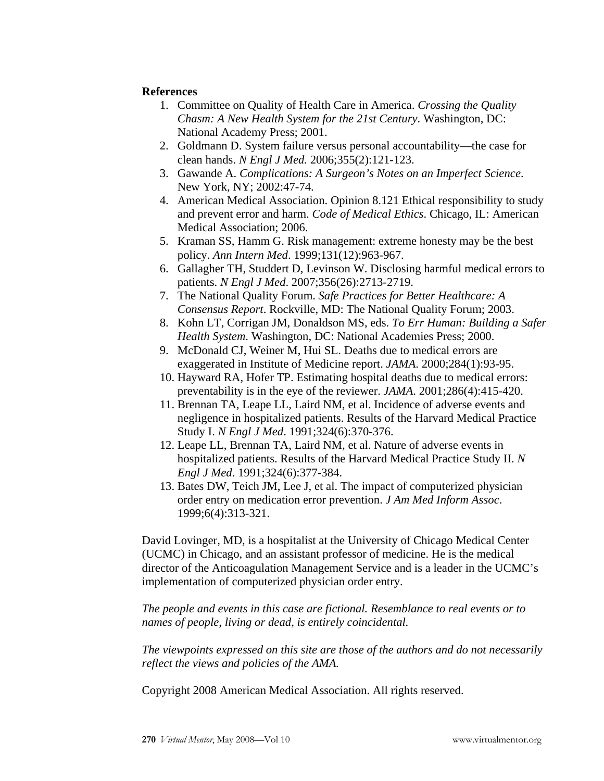## **References**

- 1. Committee on Quality of Health Care in America. *Crossing the Quality Chasm: A New Health System for the 21st Century*. Washington, DC: National Academy Press; 2001.
- 2. Goldmann D. System failure versus personal accountability—the case for clean hands. *N Engl J Med.* 2006;355(2):121-123.
- 3. Gawande A. *Complications: A Surgeon's Notes on an Imperfect Science*. New York, NY; 2002:47-74.
- 4. American Medical Association. Opinion 8.121 Ethical responsibility to study and prevent error and harm. *Code of Medical Ethics*. Chicago, IL: American Medical Association; 2006.
- 5. Kraman SS, Hamm G. Risk management: extreme honesty may be the best policy. *Ann Intern Med*. 1999;131(12):963-967.
- 6. Gallagher TH, Studdert D, Levinson W. Disclosing harmful medical errors to patients. *N Engl J Med*. 2007;356(26):2713-2719.
- 7. The National Quality Forum. *Safe Practices for Better Healthcare: A Consensus Report*. Rockville, MD: The National Quality Forum; 2003.
- 8. Kohn LT, Corrigan JM, Donaldson MS, eds. *To Err Human: Building a Safer Health System*. Washington, DC: National Academies Press; 2000.
- 9. McDonald CJ, Weiner M, Hui SL. Deaths due to medical errors are exaggerated in Institute of Medicine report. *JAMA*. 2000;284(1):93-95.
- 10. Hayward RA, Hofer TP. Estimating hospital deaths due to medical errors: preventability is in the eye of the reviewer. *JAMA*. 2001;286(4):415-420.
- 11. Brennan TA, Leape LL, Laird NM, et al. Incidence of adverse events and negligence in hospitalized patients. Results of the Harvard Medical Practice Study I. *N Engl J Med*. 1991;324(6):370-376.
- 12. Leape LL, Brennan TA, Laird NM, et al. Nature of adverse events in hospitalized patients. Results of the Harvard Medical Practice Study II. *N Engl J Med*. 1991;324(6):377-384.
- 13. Bates DW, Teich JM, Lee J, et al. The impact of computerized physician order entry on medication error prevention. *J Am Med Inform Assoc*. 1999;6(4):313-321.

David Lovinger, MD, is a hospitalist at the University of Chicago Medical Center (UCMC) in Chicago, and an assistant professor of medicine. He is the medical director of the Anticoagulation Management Service and is a leader in the UCMC's implementation of computerized physician order entry.

*The people and events in this case are fictional. Resemblance to real events or to names of people, living or dead, is entirely coincidental.* 

*The viewpoints expressed on this site are those of the authors and do not necessarily reflect the views and policies of the AMA.* 

Copyright 2008 American Medical Association. All rights reserved.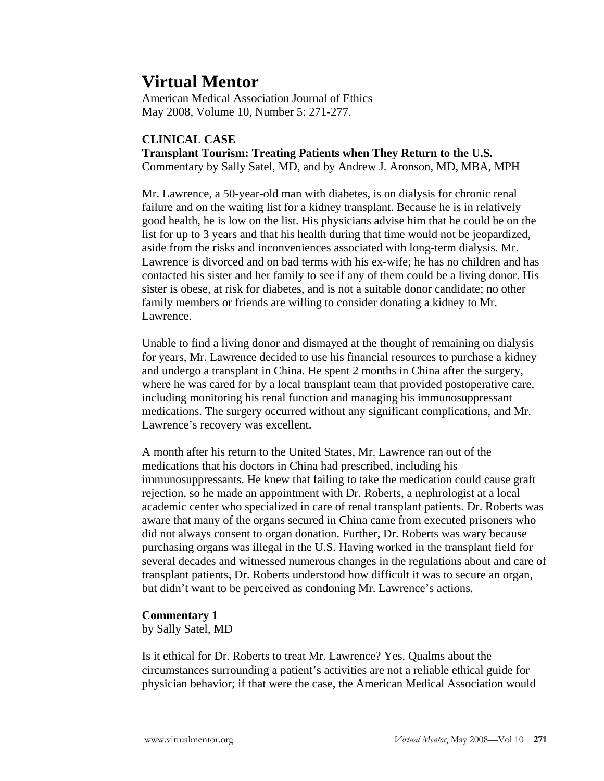American Medical Association Journal of Ethics May 2008, Volume 10, Number 5: 271-277.

## **CLINICAL CASE**

**Transplant Tourism: Treating Patients when They Return to the U.S.** 

Commentary by Sally Satel, MD, and by Andrew J. Aronson, MD, MBA, MPH

Mr. Lawrence, a 50-year-old man with diabetes, is on dialysis for chronic renal failure and on the waiting list for a kidney transplant. Because he is in relatively good health, he is low on the list. His physicians advise him that he could be on the list for up to 3 years and that his health during that time would not be jeopardized, aside from the risks and inconveniences associated with long-term dialysis. Mr. Lawrence is divorced and on bad terms with his ex-wife; he has no children and has contacted his sister and her family to see if any of them could be a living donor. His sister is obese, at risk for diabetes, and is not a suitable donor candidate; no other family members or friends are willing to consider donating a kidney to Mr. Lawrence.

Unable to find a living donor and dismayed at the thought of remaining on dialysis for years, Mr. Lawrence decided to use his financial resources to purchase a kidney and undergo a transplant in China. He spent 2 months in China after the surgery, where he was cared for by a local transplant team that provided postoperative care, including monitoring his renal function and managing his immunosuppressant medications. The surgery occurred without any significant complications, and Mr. Lawrence's recovery was excellent.

A month after his return to the United States, Mr. Lawrence ran out of the medications that his doctors in China had prescribed, including his immunosuppressants. He knew that failing to take the medication could cause graft rejection, so he made an appointment with Dr. Roberts, a nephrologist at a local academic center who specialized in care of renal transplant patients. Dr. Roberts was aware that many of the organs secured in China came from executed prisoners who did not always consent to organ donation. Further, Dr. Roberts was wary because purchasing organs was illegal in the U.S. Having worked in the transplant field for several decades and witnessed numerous changes in the regulations about and care of transplant patients, Dr. Roberts understood how difficult it was to secure an organ, but didn't want to be perceived as condoning Mr. Lawrence's actions.

## **Commentary 1**

by Sally Satel, MD

Is it ethical for Dr. Roberts to treat Mr. Lawrence? Yes. Qualms about the circumstances surrounding a patient's activities are not a reliable ethical guide for physician behavior; if that were the case, the American Medical Association would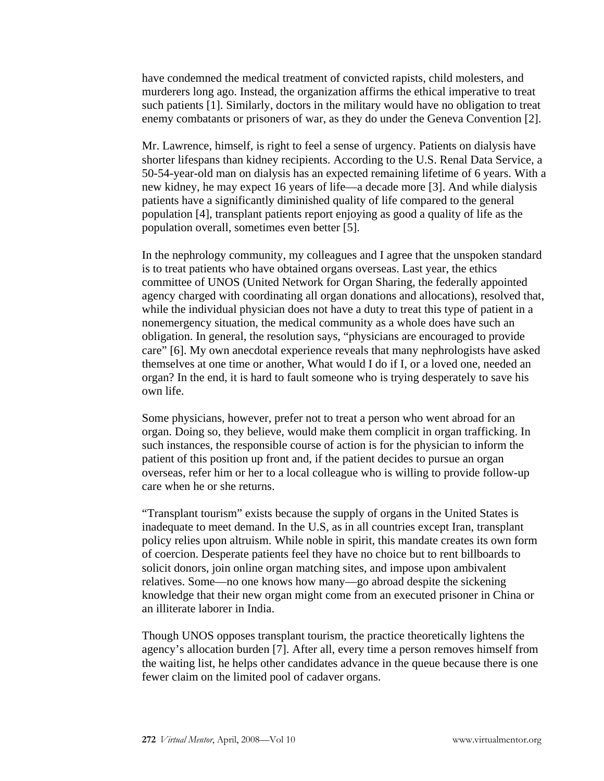have condemned the medical treatment of convicted rapists, child molesters, and murderers long ago. Instead, the organization affirms the ethical imperative to treat such patients [1]. Similarly, doctors in the military would have no obligation to treat enemy combatants or prisoners of war, as they do under the Geneva Convention [2].

Mr. Lawrence, himself, is right to feel a sense of urgency. Patients on dialysis have shorter lifespans than kidney recipients. According to the U.S. Renal Data Service, a 50-54-year-old man on dialysis has an expected remaining lifetime of 6 years. With a new kidney, he may expect 16 years of life—a decade more [3]. And while dialysis patients have a significantly diminished quality of life compared to the general population [4], transplant patients report enjoying as good a quality of life as the population overall, sometimes even better [5].

In the nephrology community, my colleagues and I agree that the unspoken standard is to treat patients who have obtained organs overseas. Last year, the ethics committee of UNOS (United Network for Organ Sharing, the federally appointed agency charged with coordinating all organ donations and allocations), resolved that, while the individual physician does not have a duty to treat this type of patient in a nonemergency situation, the medical community as a whole does have such an obligation. In general, the resolution says, "physicians are encouraged to provide care" [6]. My own anecdotal experience reveals that many nephrologists have asked themselves at one time or another, What would I do if I, or a loved one, needed an organ? In the end, it is hard to fault someone who is trying desperately to save his own life.

Some physicians, however, prefer not to treat a person who went abroad for an organ. Doing so, they believe, would make them complicit in organ trafficking. In such instances, the responsible course of action is for the physician to inform the patient of this position up front and, if the patient decides to pursue an organ overseas, refer him or her to a local colleague who is willing to provide follow-up care when he or she returns.

"Transplant tourism" exists because the supply of organs in the United States is inadequate to meet demand. In the U.S, as in all countries except Iran, transplant policy relies upon altruism. While noble in spirit, this mandate creates its own form of coercion. Desperate patients feel they have no choice but to rent billboards to solicit donors, join online organ matching sites, and impose upon ambivalent relatives. Some—no one knows how many—go abroad despite the sickening knowledge that their new organ might come from an executed prisoner in China or an illiterate laborer in India.

Though UNOS opposes transplant tourism, the practice theoretically lightens the agency's allocation burden [7]. After all, every time a person removes himself from the waiting list, he helps other candidates advance in the queue because there is one fewer claim on the limited pool of cadaver organs.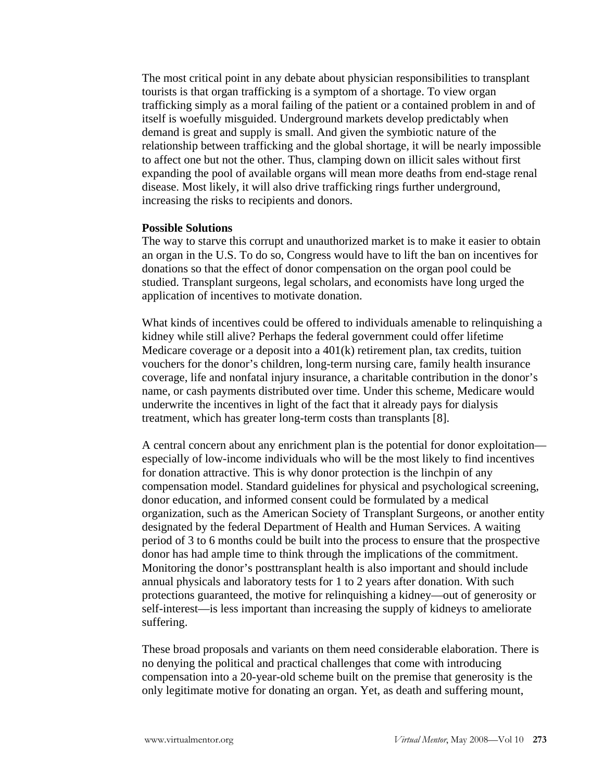The most critical point in any debate about physician responsibilities to transplant tourists is that organ trafficking is a symptom of a shortage. To view organ trafficking simply as a moral failing of the patient or a contained problem in and of itself is woefully misguided. Underground markets develop predictably when demand is great and supply is small. And given the symbiotic nature of the relationship between trafficking and the global shortage, it will be nearly impossible to affect one but not the other. Thus, clamping down on illicit sales without first expanding the pool of available organs will mean more deaths from end-stage renal disease. Most likely, it will also drive trafficking rings further underground, increasing the risks to recipients and donors.

#### **Possible Solutions**

The way to starve this corrupt and unauthorized market is to make it easier to obtain an organ in the U.S. To do so, Congress would have to lift the ban on incentives for donations so that the effect of donor compensation on the organ pool could be studied. Transplant surgeons, legal scholars, and economists have long urged the application of incentives to motivate donation.

What kinds of incentives could be offered to individuals amenable to relinquishing a kidney while still alive? Perhaps the federal government could offer lifetime Medicare coverage or a deposit into a 401(k) retirement plan, tax credits, tuition vouchers for the donor's children, long-term nursing care, family health insurance coverage, life and nonfatal injury insurance, a charitable contribution in the donor's name, or cash payments distributed over time. Under this scheme, Medicare would underwrite the incentives in light of the fact that it already pays for dialysis treatment, which has greater long-term costs than transplants [8].

A central concern about any enrichment plan is the potential for donor exploitation especially of low-income individuals who will be the most likely to find incentives for donation attractive. This is why donor protection is the linchpin of any compensation model. Standard guidelines for physical and psychological screening, donor education, and informed consent could be formulated by a medical organization, such as the American Society of Transplant Surgeons, or another entity designated by the federal Department of Health and Human Services. A waiting period of 3 to 6 months could be built into the process to ensure that the prospective donor has had ample time to think through the implications of the commitment. Monitoring the donor's posttransplant health is also important and should include annual physicals and laboratory tests for 1 to 2 years after donation. With such protections guaranteed, the motive for relinquishing a kidney—out of generosity or self-interest—is less important than increasing the supply of kidneys to ameliorate suffering.

These broad proposals and variants on them need considerable elaboration. There is no denying the political and practical challenges that come with introducing compensation into a 20-year-old scheme built on the premise that generosity is the only legitimate motive for donating an organ. Yet, as death and suffering mount,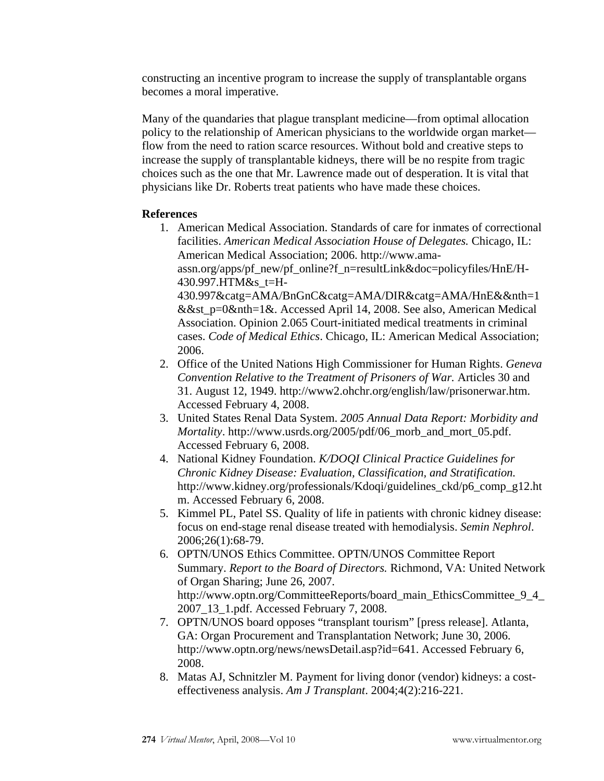constructing an incentive program to increase the supply of transplantable organs becomes a moral imperative.

Many of the quandaries that plague transplant medicine—from optimal allocation policy to the relationship of American physicians to the worldwide organ market flow from the need to ration scarce resources. Without bold and creative steps to increase the supply of transplantable kidneys, there will be no respite from tragic choices such as the one that Mr. Lawrence made out of desperation. It is vital that physicians like Dr. Roberts treat patients who have made these choices.

### **References**

1. American Medical Association. Standards of care for inmates of correctional facilities. *American Medical Association House of Delegates.* Chicago, IL: American Medical Association; 2006. http://www.amaassn.org/apps/pf\_new/pf\_online?f\_n=resultLink&doc=policyfiles/HnE/H-430.997.HTM&s\_t=H-430.997&catg=AMA/BnGnC&catg=AMA/DIR&catg=AMA/HnE&&nth=1 &&st\_p=0&nth=1&. Accessed April 14, 2008. See also, American Medical

Association. Opinion 2.065 Court-initiated medical treatments in criminal cases. *Code of Medical Ethics*. Chicago, IL: American Medical Association; 2006.

- 2. Office of the United Nations High Commissioner for Human Rights. *Geneva Convention Relative to the Treatment of Prisoners of War.* Articles 30 and 31. August 12, 1949. http://www2.ohchr.org/english/law/prisonerwar.htm. Accessed February 4, 2008.
- 3. United States Renal Data System. *2005 Annual Data Report: Morbidity and Mortality*. http://www.usrds.org/2005/pdf/06\_morb\_and\_mort\_05.pdf. Accessed February 6, 2008.
- 4. National Kidney Foundation. *K/DOQI Clinical Practice Guidelines for Chronic Kidney Disease: Evaluation, Classification, and Stratification.*  http://www.kidney.org/professionals/Kdoqi/guidelines\_ckd/p6\_comp\_g12.ht m. Accessed February 6, 2008.
- 5. Kimmel PL, Patel SS. Quality of life in patients with chronic kidney disease: focus on end-stage renal disease treated with hemodialysis. *Semin Nephrol*. 2006;26(1):68-79.
- 6. OPTN/UNOS Ethics Committee. OPTN/UNOS Committee Report Summary. *Report to the Board of Directors.* Richmond, VA: United Network of Organ Sharing; June 26, 2007. http://www.optn.org/CommitteeReports/board\_main\_EthicsCommittee\_9\_4\_ 2007\_13\_1.pdf. Accessed February 7, 2008.
- 7. OPTN/UNOS board opposes "transplant tourism" [press release]. Atlanta, GA: Organ Procurement and Transplantation Network; June 30, 2006. http://www.optn.org/news/newsDetail.asp?id=641. Accessed February 6, 2008.
- 8. Matas AJ, Schnitzler M. Payment for living donor (vendor) kidneys: a costeffectiveness analysis. *Am J Transplant*. 2004;4(2):216-221.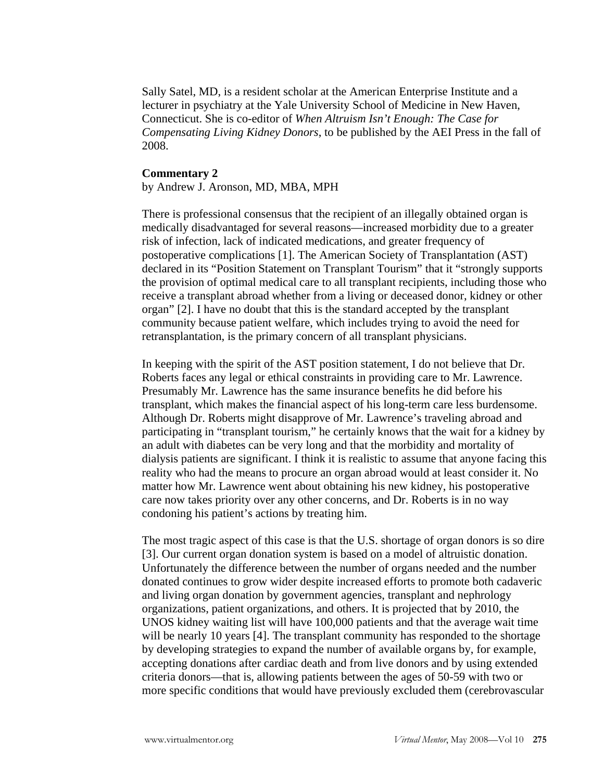Sally Satel, MD, is a resident scholar at the American Enterprise Institute and a lecturer in psychiatry at the Yale University School of Medicine in New Haven, Connecticut. She is co-editor of *When Altruism Isn't Enough: The Case for Compensating Living Kidney Donors*, to be published by the AEI Press in the fall of 2008.

#### **Commentary 2**

by Andrew J. Aronson, MD, MBA, MPH

There is professional consensus that the recipient of an illegally obtained organ is medically disadvantaged for several reasons—increased morbidity due to a greater risk of infection, lack of indicated medications, and greater frequency of postoperative complications [1]. The American Society of Transplantation (AST) declared in its "Position Statement on Transplant Tourism" that it "strongly supports the provision of optimal medical care to all transplant recipients, including those who receive a transplant abroad whether from a living or deceased donor, kidney or other organ" [2]. I have no doubt that this is the standard accepted by the transplant community because patient welfare, which includes trying to avoid the need for retransplantation, is the primary concern of all transplant physicians.

In keeping with the spirit of the AST position statement, I do not believe that Dr. Roberts faces any legal or ethical constraints in providing care to Mr. Lawrence. Presumably Mr. Lawrence has the same insurance benefits he did before his transplant, which makes the financial aspect of his long-term care less burdensome. Although Dr. Roberts might disapprove of Mr. Lawrence's traveling abroad and participating in "transplant tourism," he certainly knows that the wait for a kidney by an adult with diabetes can be very long and that the morbidity and mortality of dialysis patients are significant. I think it is realistic to assume that anyone facing this reality who had the means to procure an organ abroad would at least consider it. No matter how Mr. Lawrence went about obtaining his new kidney, his postoperative care now takes priority over any other concerns, and Dr. Roberts is in no way condoning his patient's actions by treating him.

The most tragic aspect of this case is that the U.S. shortage of organ donors is so dire [3]. Our current organ donation system is based on a model of altruistic donation. Unfortunately the difference between the number of organs needed and the number donated continues to grow wider despite increased efforts to promote both cadaveric and living organ donation by government agencies, transplant and nephrology organizations, patient organizations, and others. It is projected that by 2010, the UNOS kidney waiting list will have 100,000 patients and that the average wait time will be nearly 10 years [4]. The transplant community has responded to the shortage by developing strategies to expand the number of available organs by, for example, accepting donations after cardiac death and from live donors and by using extended criteria donors—that is, allowing patients between the ages of 50-59 with two or more specific conditions that would have previously excluded them (cerebrovascular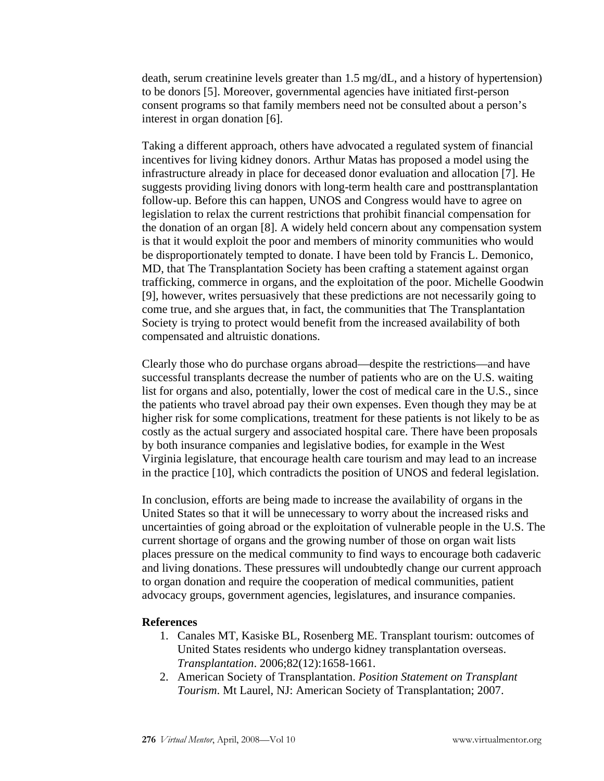death, serum creatinine levels greater than 1.5 mg/dL, and a history of hypertension) to be donors [5]. Moreover, governmental agencies have initiated first-person consent programs so that family members need not be consulted about a person's interest in organ donation [6].

Taking a different approach, others have advocated a regulated system of financial incentives for living kidney donors. Arthur Matas has proposed a model using the infrastructure already in place for deceased donor evaluation and allocation [7]. He suggests providing living donors with long-term health care and posttransplantation follow-up. Before this can happen, UNOS and Congress would have to agree on legislation to relax the current restrictions that prohibit financial compensation for the donation of an organ [8]. A widely held concern about any compensation system is that it would exploit the poor and members of minority communities who would be disproportionately tempted to donate. I have been told by Francis L. Demonico, MD, that The Transplantation Society has been crafting a statement against organ trafficking, commerce in organs, and the exploitation of the poor. Michelle Goodwin [9], however, writes persuasively that these predictions are not necessarily going to come true, and she argues that, in fact, the communities that The Transplantation Society is trying to protect would benefit from the increased availability of both compensated and altruistic donations.

Clearly those who do purchase organs abroad—despite the restrictions—and have successful transplants decrease the number of patients who are on the U.S. waiting list for organs and also, potentially, lower the cost of medical care in the U.S., since the patients who travel abroad pay their own expenses. Even though they may be at higher risk for some complications, treatment for these patients is not likely to be as costly as the actual surgery and associated hospital care. There have been proposals by both insurance companies and legislative bodies, for example in the West Virginia legislature, that encourage health care tourism and may lead to an increase in the practice [10], which contradicts the position of UNOS and federal legislation.

In conclusion, efforts are being made to increase the availability of organs in the United States so that it will be unnecessary to worry about the increased risks and uncertainties of going abroad or the exploitation of vulnerable people in the U.S. The current shortage of organs and the growing number of those on organ wait lists places pressure on the medical community to find ways to encourage both cadaveric and living donations. These pressures will undoubtedly change our current approach to organ donation and require the cooperation of medical communities, patient advocacy groups, government agencies, legislatures, and insurance companies.

#### **References**

- 1. Canales MT, Kasiske BL, Rosenberg ME. Transplant tourism: outcomes of United States residents who undergo kidney transplantation overseas. *Transplantation*. 2006;82(12):1658-1661.
- 2. American Society of Transplantation. *Position Statement on Transplant Tourism*. Mt Laurel, NJ: American Society of Transplantation; 2007.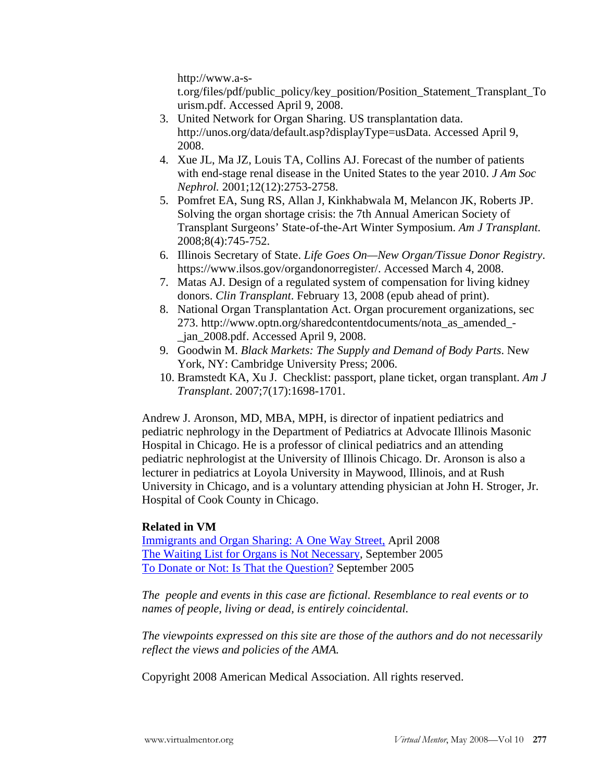http://www.a-s-

t.org/files/pdf/public\_policy/key\_position/Position\_Statement\_Transplant\_To urism.pdf. Accessed April 9, 2008.

- 3. United Network for Organ Sharing. US transplantation data. http://unos.org/data/default.asp?displayType=usData. Accessed April 9, 2008.
- 4. Xue JL, Ma JZ, Louis TA, Collins AJ. Forecast of the number of patients with end-stage renal disease in the United States to the year 2010. *J Am Soc Nephrol.* 2001;12(12):2753-2758.
- 5. Pomfret EA, Sung RS, Allan J, Kinkhabwala M, Melancon JK, Roberts JP. Solving the organ shortage crisis: the 7th Annual American Society of Transplant Surgeons' State-of-the-Art Winter Symposium. *Am J Transplant*. 2008;8(4):745-752.
- 6. Illinois Secretary of State. *Life Goes On—New Organ/Tissue Donor Registry*. https://www.ilsos.gov/organdonorregister/. Accessed March 4, 2008.
- 7. Matas AJ. Design of a regulated system of compensation for living kidney donors. *Clin Transplant*. February 13, 2008 (epub ahead of print).
- 8. National Organ Transplantation Act. Organ procurement organizations, sec 273. http://www.optn.org/sharedcontentdocuments/nota\_as\_amended\_- \_jan\_2008.pdf. Accessed April 9, 2008.
- 9. Goodwin M. *Black Markets: The Supply and Demand of Body Parts*. New York, NY: Cambridge University Press; 2006.
- 10. Bramstedt KA, Xu J. Checklist: passport, plane ticket, organ transplant. *Am J Transplant*. 2007;7(17):1698-1701.

Andrew J. Aronson, MD, MBA, MPH, is director of inpatient pediatrics and pediatric nephrology in the Department of Pediatrics at Advocate Illinois Masonic Hospital in Chicago. He is a professor of clinical pediatrics and an attending pediatric nephrologist at the University of Illinois Chicago. Dr. Aronson is also a lecturer in pediatrics at Loyola University in Maywood, Illinois, and at Rush University in Chicago, and is a voluntary attending physician at John H. Stroger, Jr. Hospital of Cook County in Chicago.

## **Related in VM**

[Immigrants and Organ Sharing: A One Way Street,](http://virtualmentor.ama-assn.org/2008/04/msoc1-0804.html) April 2008 [The Waiting List for Organs is Not Necessary,](http://virtualmentor.ama-assn.org/2005/09/pfor1-0509.html) September 2005 [To Donate or Not: Is That the Question?](http://virtualmentor.ama-assn.org/2005/09/msoc1-0509.html) September 2005

*The people and events in this case are fictional. Resemblance to real events or to names of people, living or dead, is entirely coincidental.* 

*The viewpoints expressed on this site are those of the authors and do not necessarily reflect the views and policies of the AMA.* 

Copyright 2008 American Medical Association. All rights reserved.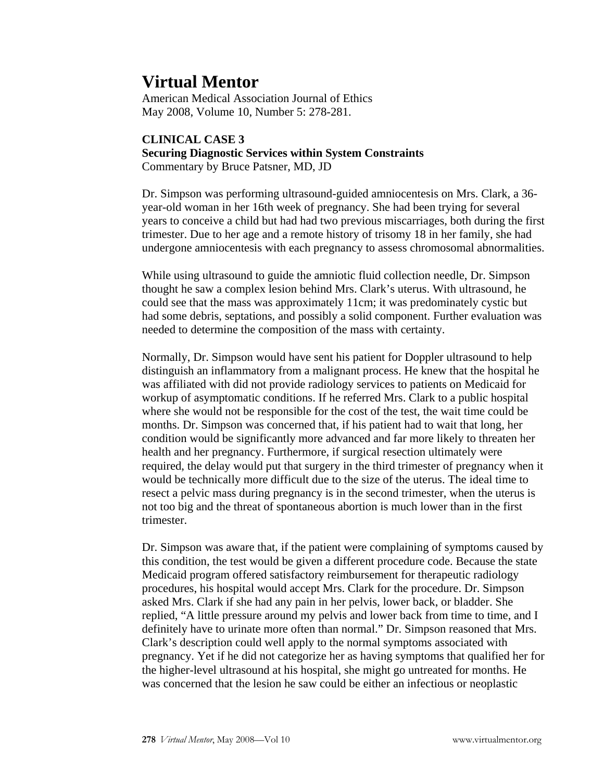American Medical Association Journal of Ethics May 2008, Volume 10, Number 5: 278-281.

## **CLINICAL CASE 3 Securing Diagnostic Services within System Constraints**  Commentary by Bruce Patsner, MD, JD

Dr. Simpson was performing ultrasound-guided amniocentesis on Mrs. Clark, a 36 year-old woman in her 16th week of pregnancy. She had been trying for several years to conceive a child but had had two previous miscarriages, both during the first trimester. Due to her age and a remote history of trisomy 18 in her family, she had undergone amniocentesis with each pregnancy to assess chromosomal abnormalities.

While using ultrasound to guide the amniotic fluid collection needle, Dr. Simpson thought he saw a complex lesion behind Mrs. Clark's uterus. With ultrasound, he could see that the mass was approximately 11cm; it was predominately cystic but had some debris, septations, and possibly a solid component. Further evaluation was needed to determine the composition of the mass with certainty.

Normally, Dr. Simpson would have sent his patient for Doppler ultrasound to help distinguish an inflammatory from a malignant process. He knew that the hospital he was affiliated with did not provide radiology services to patients on Medicaid for workup of asymptomatic conditions. If he referred Mrs. Clark to a public hospital where she would not be responsible for the cost of the test, the wait time could be months. Dr. Simpson was concerned that, if his patient had to wait that long, her condition would be significantly more advanced and far more likely to threaten her health and her pregnancy. Furthermore, if surgical resection ultimately were required, the delay would put that surgery in the third trimester of pregnancy when it would be technically more difficult due to the size of the uterus. The ideal time to resect a pelvic mass during pregnancy is in the second trimester, when the uterus is not too big and the threat of spontaneous abortion is much lower than in the first trimester.

Dr. Simpson was aware that, if the patient were complaining of symptoms caused by this condition, the test would be given a different procedure code. Because the state Medicaid program offered satisfactory reimbursement for therapeutic radiology procedures, his hospital would accept Mrs. Clark for the procedure. Dr. Simpson asked Mrs. Clark if she had any pain in her pelvis, lower back, or bladder. She replied, "A little pressure around my pelvis and lower back from time to time, and I definitely have to urinate more often than normal." Dr. Simpson reasoned that Mrs. Clark's description could well apply to the normal symptoms associated with pregnancy. Yet if he did not categorize her as having symptoms that qualified her for the higher-level ultrasound at his hospital, she might go untreated for months. He was concerned that the lesion he saw could be either an infectious or neoplastic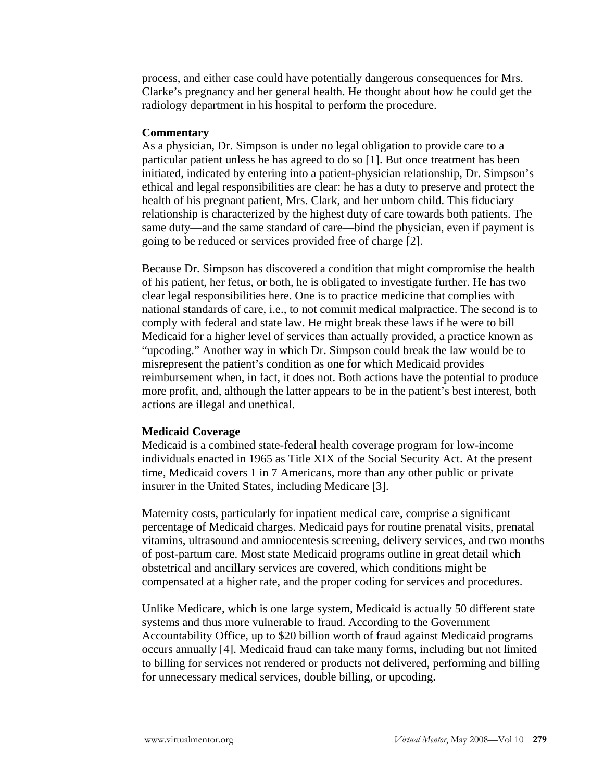process, and either case could have potentially dangerous consequences for Mrs. Clarke's pregnancy and her general health. He thought about how he could get the radiology department in his hospital to perform the procedure.

#### **Commentary**

As a physician, Dr. Simpson is under no legal obligation to provide care to a particular patient unless he has agreed to do so [1]. But once treatment has been initiated, indicated by entering into a patient-physician relationship, Dr. Simpson's ethical and legal responsibilities are clear: he has a duty to preserve and protect the health of his pregnant patient, Mrs. Clark, and her unborn child. This fiduciary relationship is characterized by the highest duty of care towards both patients. The same duty—and the same standard of care—bind the physician, even if payment is going to be reduced or services provided free of charge [2].

Because Dr. Simpson has discovered a condition that might compromise the health of his patient, her fetus, or both, he is obligated to investigate further. He has two clear legal responsibilities here. One is to practice medicine that complies with national standards of care, i.e., to not commit medical malpractice. The second is to comply with federal and state law. He might break these laws if he were to bill Medicaid for a higher level of services than actually provided, a practice known as "upcoding." Another way in which Dr. Simpson could break the law would be to misrepresent the patient's condition as one for which Medicaid provides reimbursement when, in fact, it does not. Both actions have the potential to produce more profit, and, although the latter appears to be in the patient's best interest, both actions are illegal and unethical.

#### **Medicaid Coverage**

Medicaid is a combined state-federal health coverage program for low-income individuals enacted in 1965 as Title XIX of the Social Security Act. At the present time, Medicaid covers 1 in 7 Americans, more than any other public or private insurer in the United States, including Medicare [3].

Maternity costs, particularly for inpatient medical care, comprise a significant percentage of Medicaid charges. Medicaid pays for routine prenatal visits, prenatal vitamins, ultrasound and amniocentesis screening, delivery services, and two months of post-partum care. Most state Medicaid programs outline in great detail which obstetrical and ancillary services are covered, which conditions might be compensated at a higher rate, and the proper coding for services and procedures.

Unlike Medicare, which is one large system, Medicaid is actually 50 different state systems and thus more vulnerable to fraud. According to the Government Accountability Office, up to \$20 billion worth of fraud against Medicaid programs occurs annually [4]. Medicaid fraud can take many forms, including but not limited to billing for services not rendered or products not delivered, performing and billing for unnecessary medical services, double billing, or upcoding.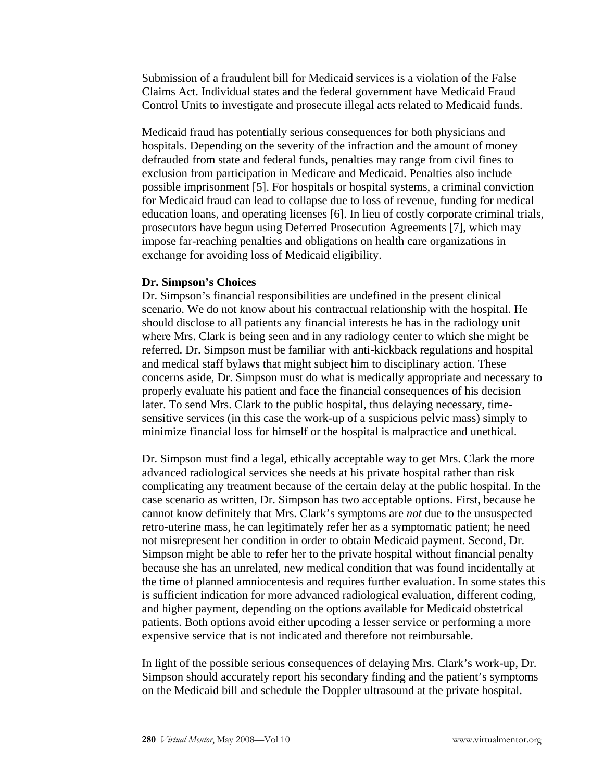Submission of a fraudulent bill for Medicaid services is a violation of the False Claims Act. Individual states and the federal government have Medicaid Fraud Control Units to investigate and prosecute illegal acts related to Medicaid funds.

Medicaid fraud has potentially serious consequences for both physicians and hospitals. Depending on the severity of the infraction and the amount of money defrauded from state and federal funds, penalties may range from civil fines to exclusion from participation in Medicare and Medicaid. Penalties also include possible imprisonment [5]. For hospitals or hospital systems, a criminal conviction for Medicaid fraud can lead to collapse due to loss of revenue, funding for medical education loans, and operating licenses [6]. In lieu of costly corporate criminal trials, prosecutors have begun using Deferred Prosecution Agreements [7], which may impose far-reaching penalties and obligations on health care organizations in exchange for avoiding loss of Medicaid eligibility.

#### **Dr. Simpson's Choices**

Dr. Simpson's financial responsibilities are undefined in the present clinical scenario. We do not know about his contractual relationship with the hospital. He should disclose to all patients any financial interests he has in the radiology unit where Mrs. Clark is being seen and in any radiology center to which she might be referred. Dr. Simpson must be familiar with anti-kickback regulations and hospital and medical staff bylaws that might subject him to disciplinary action. These concerns aside, Dr. Simpson must do what is medically appropriate and necessary to properly evaluate his patient and face the financial consequences of his decision later. To send Mrs. Clark to the public hospital, thus delaying necessary, timesensitive services (in this case the work-up of a suspicious pelvic mass) simply to minimize financial loss for himself or the hospital is malpractice and unethical.

Dr. Simpson must find a legal, ethically acceptable way to get Mrs. Clark the more advanced radiological services she needs at his private hospital rather than risk complicating any treatment because of the certain delay at the public hospital. In the case scenario as written, Dr. Simpson has two acceptable options. First, because he cannot know definitely that Mrs. Clark's symptoms are *not* due to the unsuspected retro-uterine mass, he can legitimately refer her as a symptomatic patient; he need not misrepresent her condition in order to obtain Medicaid payment. Second, Dr. Simpson might be able to refer her to the private hospital without financial penalty because she has an unrelated, new medical condition that was found incidentally at the time of planned amniocentesis and requires further evaluation. In some states this is sufficient indication for more advanced radiological evaluation, different coding, and higher payment, depending on the options available for Medicaid obstetrical patients. Both options avoid either upcoding a lesser service or performing a more expensive service that is not indicated and therefore not reimbursable.

In light of the possible serious consequences of delaying Mrs. Clark's work-up, Dr. Simpson should accurately report his secondary finding and the patient's symptoms on the Medicaid bill and schedule the Doppler ultrasound at the private hospital.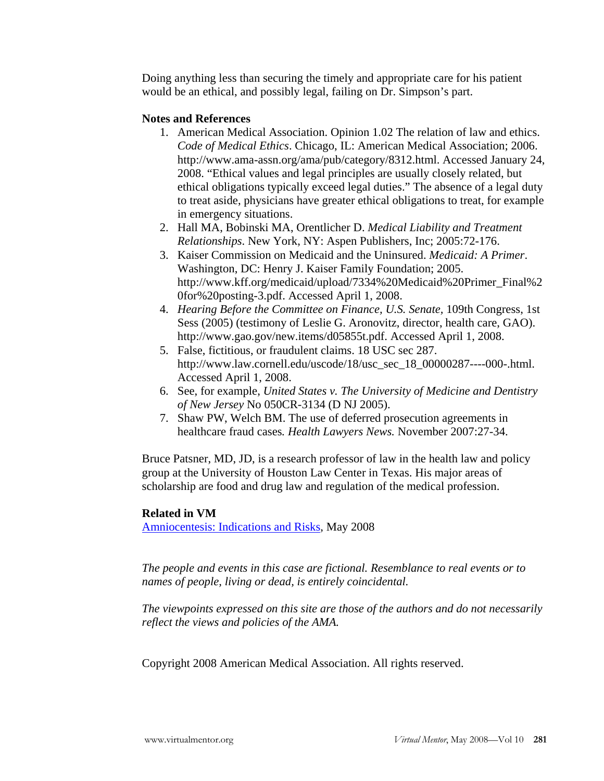Doing anything less than securing the timely and appropriate care for his patient would be an ethical, and possibly legal, failing on Dr. Simpson's part.

### **Notes and References**

- 1. American Medical Association. Opinion 1.02 The relation of law and ethics. *Code of Medical Ethics*. Chicago, IL: American Medical Association; 2006. http://www.ama-assn.org/ama/pub/category/8312.html. Accessed January 24, 2008. "Ethical values and legal principles are usually closely related, but ethical obligations typically exceed legal duties." The absence of a legal duty to treat aside, physicians have greater ethical obligations to treat, for example in emergency situations.
- 2. Hall MA, Bobinski MA, Orentlicher D. *Medical Liability and Treatment Relationships*. New York, NY: Aspen Publishers, Inc; 2005:72-176.
- 3. Kaiser Commission on Medicaid and the Uninsured. *Medicaid: A Primer*. Washington, DC: Henry J. Kaiser Family Foundation; 2005. http://www.kff.org/medicaid/upload/7334%20Medicaid%20Primer\_Final%2 0for%20posting-3.pdf. Accessed April 1, 2008.
- 4. *Hearing Before the Committee on Finance, U.S. Senate,* 109th Congress, 1st Sess (2005) (testimony of Leslie G. Aronovitz, director, health care, GAO). http://www.gao.gov/new.items/d05855t.pdf. Accessed April 1, 2008.
- 5. False, fictitious, or fraudulent claims. 18 USC sec 287. http://www.law.cornell.edu/uscode/18/usc\_sec\_18\_00000287----000-.html. Accessed April 1, 2008.
- 6. See, for example, *United States v. The University of Medicine and Dentistry of New Jersey* No 050CR-3134 (D NJ 2005).
- 7. Shaw PW, Welch BM. The use of deferred prosecution agreements in healthcare fraud cases*. Health Lawyers News.* November 2007:27-34.

Bruce Patsner, MD, JD, is a research professor of law in the health law and policy group at the University of Houston Law Center in Texas. His major areas of scholarship are food and drug law and regulation of the medical profession.

## **Related in VM**

[Amniocentesis: Indications and Risks,](http://virtualmentor.ama-assn.org/2008/05/cprl1-0805.html) May 2008

*The people and events in this case are fictional. Resemblance to real events or to names of people, living or dead, is entirely coincidental.* 

*The viewpoints expressed on this site are those of the authors and do not necessarily reflect the views and policies of the AMA.* 

Copyright 2008 American Medical Association. All rights reserved.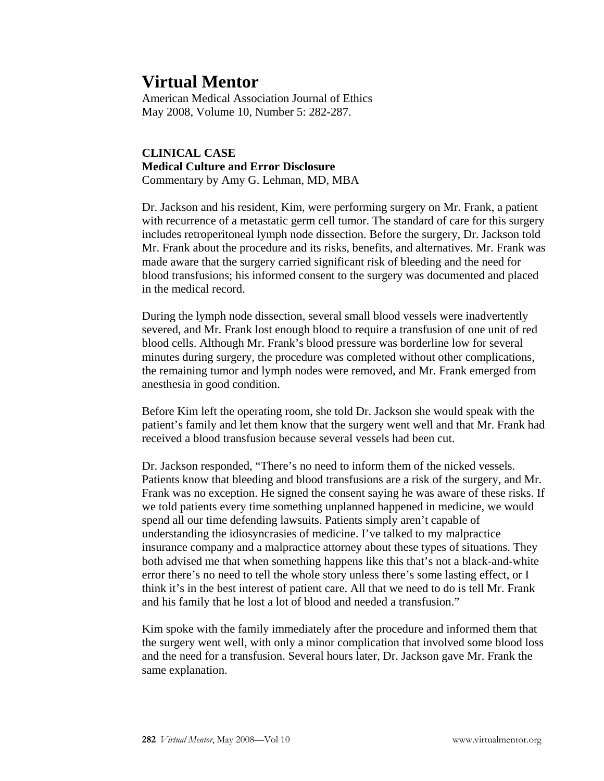American Medical Association Journal of Ethics May 2008, Volume 10, Number 5: 282-287.

## **CLINICAL CASE Medical Culture and Error Disclosure**  Commentary by Amy G. Lehman, MD, MBA

Dr. Jackson and his resident, Kim, were performing surgery on Mr. Frank, a patient with recurrence of a metastatic germ cell tumor. The standard of care for this surgery includes retroperitoneal lymph node dissection. Before the surgery, Dr. Jackson told Mr. Frank about the procedure and its risks, benefits, and alternatives. Mr. Frank was made aware that the surgery carried significant risk of bleeding and the need for blood transfusions; his informed consent to the surgery was documented and placed in the medical record.

During the lymph node dissection, several small blood vessels were inadvertently severed, and Mr. Frank lost enough blood to require a transfusion of one unit of red blood cells. Although Mr. Frank's blood pressure was borderline low for several minutes during surgery, the procedure was completed without other complications, the remaining tumor and lymph nodes were removed, and Mr. Frank emerged from anesthesia in good condition.

Before Kim left the operating room, she told Dr. Jackson she would speak with the patient's family and let them know that the surgery went well and that Mr. Frank had received a blood transfusion because several vessels had been cut.

Dr. Jackson responded, "There's no need to inform them of the nicked vessels. Patients know that bleeding and blood transfusions are a risk of the surgery, and Mr. Frank was no exception. He signed the consent saying he was aware of these risks. If we told patients every time something unplanned happened in medicine, we would spend all our time defending lawsuits. Patients simply aren't capable of understanding the idiosyncrasies of medicine. I've talked to my malpractice insurance company and a malpractice attorney about these types of situations. They both advised me that when something happens like this that's not a black-and-white error there's no need to tell the whole story unless there's some lasting effect, or I think it's in the best interest of patient care. All that we need to do is tell Mr. Frank and his family that he lost a lot of blood and needed a transfusion."

Kim spoke with the family immediately after the procedure and informed them that the surgery went well, with only a minor complication that involved some blood loss and the need for a transfusion. Several hours later, Dr. Jackson gave Mr. Frank the same explanation.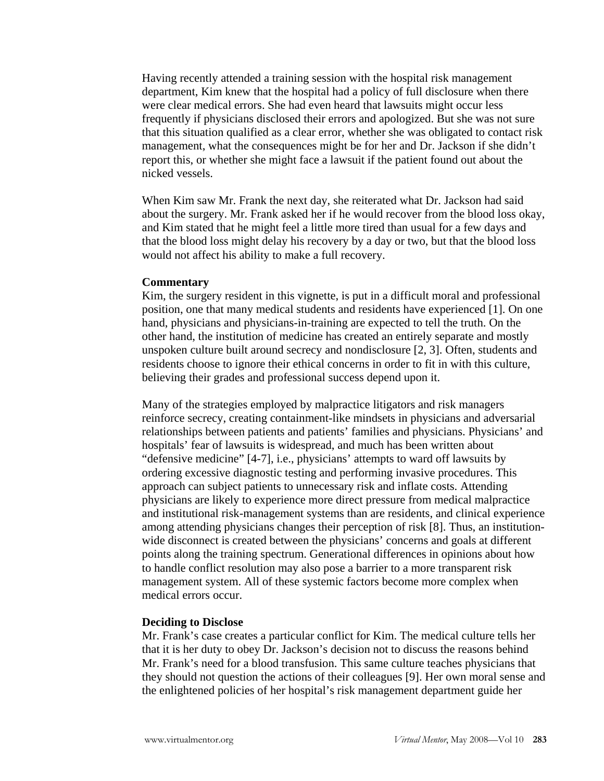Having recently attended a training session with the hospital risk management department, Kim knew that the hospital had a policy of full disclosure when there were clear medical errors. She had even heard that lawsuits might occur less frequently if physicians disclosed their errors and apologized. But she was not sure that this situation qualified as a clear error, whether she was obligated to contact risk management, what the consequences might be for her and Dr. Jackson if she didn't report this, or whether she might face a lawsuit if the patient found out about the nicked vessels.

When Kim saw Mr. Frank the next day, she reiterated what Dr. Jackson had said about the surgery. Mr. Frank asked her if he would recover from the blood loss okay, and Kim stated that he might feel a little more tired than usual for a few days and that the blood loss might delay his recovery by a day or two, but that the blood loss would not affect his ability to make a full recovery.

#### **Commentary**

Kim, the surgery resident in this vignette, is put in a difficult moral and professional position, one that many medical students and residents have experienced [1]. On one hand, physicians and physicians-in-training are expected to tell the truth. On the other hand, the institution of medicine has created an entirely separate and mostly unspoken culture built around secrecy and nondisclosure [2, 3]. Often, students and residents choose to ignore their ethical concerns in order to fit in with this culture, believing their grades and professional success depend upon it.

Many of the strategies employed by malpractice litigators and risk managers reinforce secrecy, creating containment-like mindsets in physicians and adversarial relationships between patients and patients' families and physicians. Physicians' and hospitals' fear of lawsuits is widespread, and much has been written about "defensive medicine" [4-7], i.e., physicians' attempts to ward off lawsuits by ordering excessive diagnostic testing and performing invasive procedures. This approach can subject patients to unnecessary risk and inflate costs. Attending physicians are likely to experience more direct pressure from medical malpractice and institutional risk-management systems than are residents, and clinical experience among attending physicians changes their perception of risk [8]. Thus, an institutionwide disconnect is created between the physicians' concerns and goals at different points along the training spectrum. Generational differences in opinions about how to handle conflict resolution may also pose a barrier to a more transparent risk management system. All of these systemic factors become more complex when medical errors occur.

#### **Deciding to Disclose**

Mr. Frank's case creates a particular conflict for Kim. The medical culture tells her that it is her duty to obey Dr. Jackson's decision not to discuss the reasons behind Mr. Frank's need for a blood transfusion. This same culture teaches physicians that they should not question the actions of their colleagues [9]. Her own moral sense and the enlightened policies of her hospital's risk management department guide her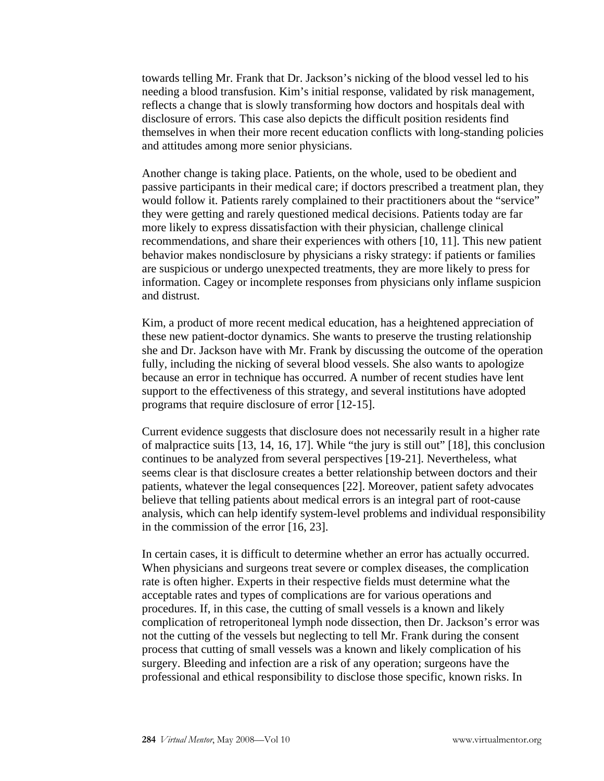towards telling Mr. Frank that Dr. Jackson's nicking of the blood vessel led to his needing a blood transfusion. Kim's initial response, validated by risk management, reflects a change that is slowly transforming how doctors and hospitals deal with disclosure of errors. This case also depicts the difficult position residents find themselves in when their more recent education conflicts with long-standing policies and attitudes among more senior physicians.

Another change is taking place. Patients, on the whole, used to be obedient and passive participants in their medical care; if doctors prescribed a treatment plan, they would follow it. Patients rarely complained to their practitioners about the "service" they were getting and rarely questioned medical decisions. Patients today are far more likely to express dissatisfaction with their physician, challenge clinical recommendations, and share their experiences with others [10, 11]. This new patient behavior makes nondisclosure by physicians a risky strategy: if patients or families are suspicious or undergo unexpected treatments, they are more likely to press for information. Cagey or incomplete responses from physicians only inflame suspicion and distrust.

Kim, a product of more recent medical education, has a heightened appreciation of these new patient-doctor dynamics. She wants to preserve the trusting relationship she and Dr. Jackson have with Mr. Frank by discussing the outcome of the operation fully, including the nicking of several blood vessels. She also wants to apologize because an error in technique has occurred. A number of recent studies have lent support to the effectiveness of this strategy, and several institutions have adopted programs that require disclosure of error [12-15].

Current evidence suggests that disclosure does not necessarily result in a higher rate of malpractice suits [13, 14, 16, 17]. While "the jury is still out" [18], this conclusion continues to be analyzed from several perspectives [19-21]. Nevertheless, what seems clear is that disclosure creates a better relationship between doctors and their patients, whatever the legal consequences [22]. Moreover, patient safety advocates believe that telling patients about medical errors is an integral part of root-cause analysis, which can help identify system-level problems and individual responsibility in the commission of the error [16, 23].

In certain cases, it is difficult to determine whether an error has actually occurred. When physicians and surgeons treat severe or complex diseases, the complication rate is often higher. Experts in their respective fields must determine what the acceptable rates and types of complications are for various operations and procedures. If, in this case, the cutting of small vessels is a known and likely complication of retroperitoneal lymph node dissection, then Dr. Jackson's error was not the cutting of the vessels but neglecting to tell Mr. Frank during the consent process that cutting of small vessels was a known and likely complication of his surgery. Bleeding and infection are a risk of any operation; surgeons have the professional and ethical responsibility to disclose those specific, known risks. In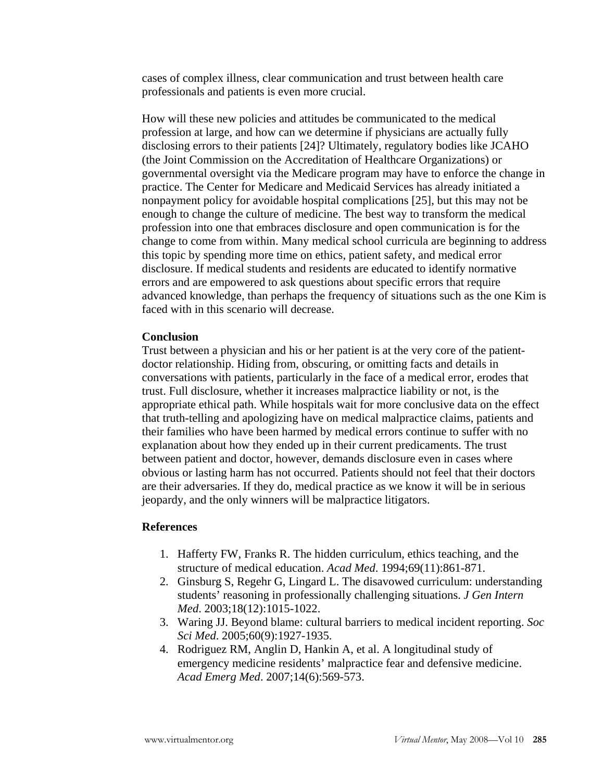cases of complex illness, clear communication and trust between health care professionals and patients is even more crucial.

How will these new policies and attitudes be communicated to the medical profession at large, and how can we determine if physicians are actually fully disclosing errors to their patients [24]? Ultimately, regulatory bodies like JCAHO (the Joint Commission on the Accreditation of Healthcare Organizations) or governmental oversight via the Medicare program may have to enforce the change in practice. The Center for Medicare and Medicaid Services has already initiated a nonpayment policy for avoidable hospital complications [25], but this may not be enough to change the culture of medicine. The best way to transform the medical profession into one that embraces disclosure and open communication is for the change to come from within. Many medical school curricula are beginning to address this topic by spending more time on ethics, patient safety, and medical error disclosure. If medical students and residents are educated to identify normative errors and are empowered to ask questions about specific errors that require advanced knowledge, than perhaps the frequency of situations such as the one Kim is faced with in this scenario will decrease.

#### **Conclusion**

Trust between a physician and his or her patient is at the very core of the patientdoctor relationship. Hiding from, obscuring, or omitting facts and details in conversations with patients, particularly in the face of a medical error, erodes that trust. Full disclosure, whether it increases malpractice liability or not, is the appropriate ethical path. While hospitals wait for more conclusive data on the effect that truth-telling and apologizing have on medical malpractice claims, patients and their families who have been harmed by medical errors continue to suffer with no explanation about how they ended up in their current predicaments. The trust between patient and doctor, however, demands disclosure even in cases where obvious or lasting harm has not occurred. Patients should not feel that their doctors are their adversaries. If they do, medical practice as we know it will be in serious jeopardy, and the only winners will be malpractice litigators.

### **References**

- 1. Hafferty FW, Franks R. The hidden curriculum, ethics teaching, and the structure of medical education. *Acad Med*. 1994;69(11):861-871.
- 2. Ginsburg S, Regehr G, Lingard L. The disavowed curriculum: understanding students' reasoning in professionally challenging situations. *J Gen Intern Med*. 2003;18(12):1015-1022.
- 3. Waring JJ. Beyond blame: cultural barriers to medical incident reporting. *Soc Sci Med*. 2005;60(9):1927-1935.
- 4. Rodriguez RM, Anglin D, Hankin A, et al. A longitudinal study of emergency medicine residents' malpractice fear and defensive medicine. *Acad Emerg Med*. 2007;14(6):569-573.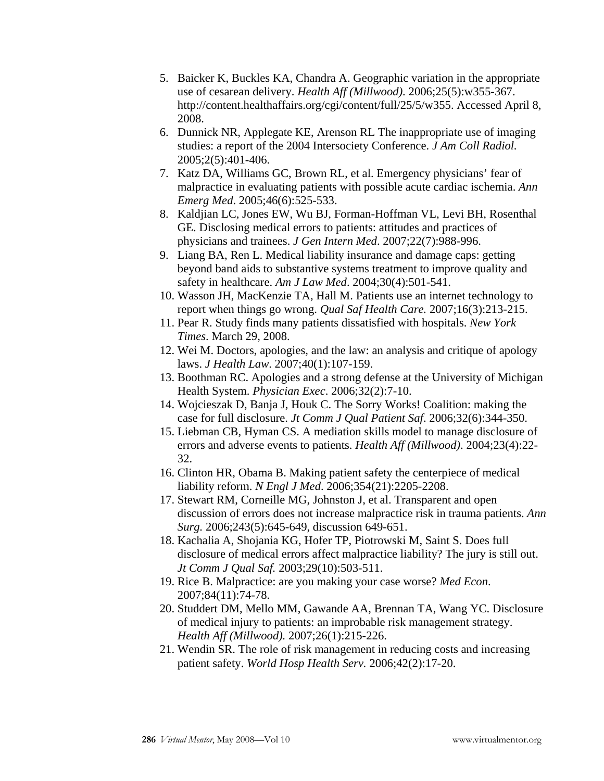- 5. Baicker K, Buckles KA, Chandra A. Geographic variation in the appropriate use of cesarean delivery. *Health Aff (Millwood)*. 2006;25(5):w355-367. http://content.healthaffairs.org/cgi/content/full/25/5/w355. Accessed April 8, 2008.
- 6. Dunnick NR, Applegate KE, Arenson RL The inappropriate use of imaging studies: a report of the 2004 Intersociety Conference. *J Am Coll Radiol.* 2005;2(5):401-406.
- 7. Katz DA, Williams GC, Brown RL, et al. Emergency physicians' fear of malpractice in evaluating patients with possible acute cardiac ischemia. *Ann Emerg Med*. 2005;46(6):525-533.
- 8. Kaldjian LC, Jones EW, Wu BJ, Forman-Hoffman VL, Levi BH, Rosenthal GE. Disclosing medical errors to patients: attitudes and practices of physicians and trainees. *J Gen Intern Med*. 2007;22(7):988-996.
- 9. Liang BA, Ren L. Medical liability insurance and damage caps: getting beyond band aids to substantive systems treatment to improve quality and safety in healthcare. *Am J Law Med*. 2004;30(4):501-541.
- 10. Wasson JH, MacKenzie TA, Hall M. Patients use an internet technology to report when things go wrong. *Qual Saf Health Care.* 2007;16(3):213-215.
- 11. Pear R. Study finds many patients dissatisfied with hospitals. *New York Times*. March 29, 2008.
- 12. Wei M. Doctors, apologies, and the law: an analysis and critique of apology laws. *J Health Law*. 2007;40(1):107-159.
- 13. Boothman RC. Apologies and a strong defense at the University of Michigan Health System. *Physician Exec*. 2006;32(2):7-10.
- 14. Wojcieszak D, Banja J, Houk C. The Sorry Works! Coalition: making the case for full disclosure. *Jt Comm J Qual Patient Saf*. 2006;32(6):344-350.
- 15. Liebman CB, Hyman CS. A mediation skills model to manage disclosure of errors and adverse events to patients. *Health Aff (Millwood)*. 2004;23(4):22- 32.
- 16. Clinton HR, Obama B. Making patient safety the centerpiece of medical liability reform. *N Engl J Med*. 2006;354(21):2205-2208.
- 17. Stewart RM, Corneille MG, Johnston J, et al. Transparent and open discussion of errors does not increase malpractice risk in trauma patients. *Ann Surg.* 2006;243(5):645-649, discussion 649-651.
- 18. Kachalia A, Shojania KG, Hofer TP, Piotrowski M, Saint S. Does full disclosure of medical errors affect malpractice liability? The jury is still out. *Jt Comm J Qual Saf.* 2003;29(10):503-511.
- 19. Rice B. Malpractice: are you making your case worse? *Med Econ*. 2007;84(11):74-78.
- 20. Studdert DM, Mello MM, Gawande AA, Brennan TA, Wang YC. Disclosure of medical injury to patients: an improbable risk management strategy. *Health Aff (Millwood).* 2007;26(1):215-226.
- 21. Wendin SR. The role of risk management in reducing costs and increasing patient safety. *World Hosp Health Serv.* 2006;42(2):17-20.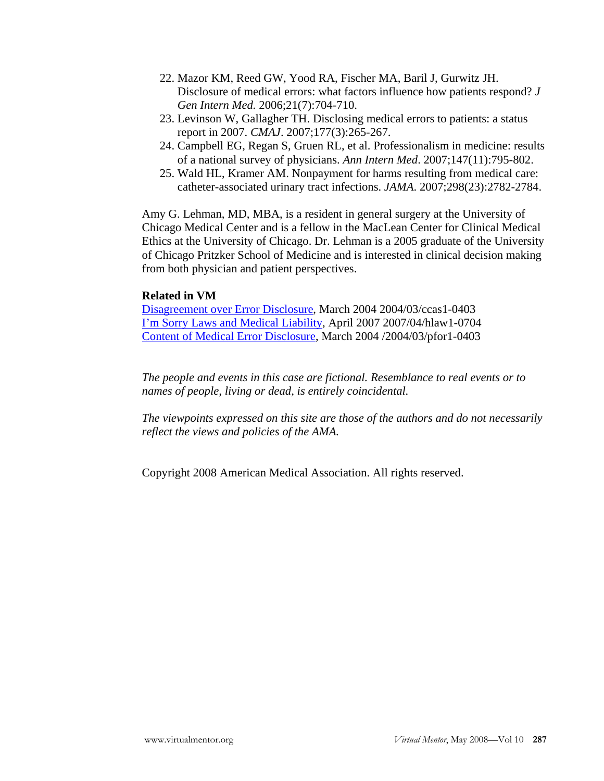- 22. Mazor KM, Reed GW, Yood RA, Fischer MA, Baril J, Gurwitz JH. Disclosure of medical errors: what factors influence how patients respond? *J Gen Intern Med.* 2006;21(7):704-710.
- 23. Levinson W, Gallagher TH. Disclosing medical errors to patients: a status report in 2007. *CMAJ*. 2007;177(3):265-267.
- 24. Campbell EG, Regan S, Gruen RL, et al. Professionalism in medicine: results of a national survey of physicians. *Ann Intern Med*. 2007;147(11):795-802.
- 25. Wald HL, Kramer AM. Nonpayment for harms resulting from medical care: catheter-associated urinary tract infections. *JAMA*. 2007;298(23):2782-2784.

Amy G. Lehman, MD, MBA, is a resident in general surgery at the University of Chicago Medical Center and is a fellow in the MacLean Center for Clinical Medical Ethics at the University of Chicago. Dr. Lehman is a 2005 graduate of the University of Chicago Pritzker School of Medicine and is interested in clinical decision making from both physician and patient perspectives.

#### **Related in VM**

[Disagreement over Error Disclosure,](http://virtualmentor.ama-assn.org/2004/03/ccas1-0403.html) March 2004 2004/03/ccas1-0403 [I'm Sorry Laws and Medical Liability,](http://virtualmentor.ama-assn.org/2007/04/hlaw1-0704.html) April 2007 2007/04/hlaw1-0704 [Content of Medical Error Disclosure,](http://virtualmentor.ama-assn.org/2004/03/pfor1-0403.html) March 2004 /2004/03/pfor1-0403

*The people and events in this case are fictional. Resemblance to real events or to names of people, living or dead, is entirely coincidental.* 

*The viewpoints expressed on this site are those of the authors and do not necessarily reflect the views and policies of the AMA.* 

Copyright 2008 American Medical Association. All rights reserved.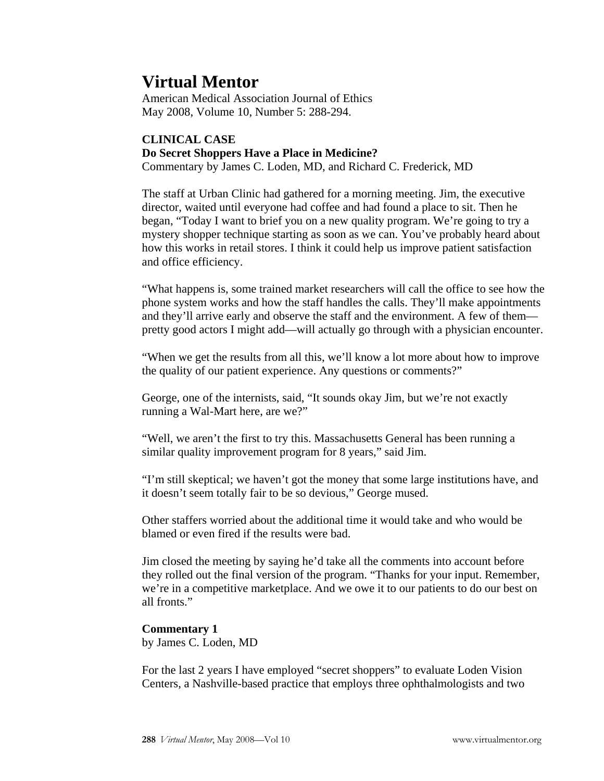American Medical Association Journal of Ethics May 2008, Volume 10, Number 5: 288-294.

## **CLINICAL CASE Do Secret Shoppers Have a Place in Medicine?**  Commentary by James C. Loden, MD, and Richard C. Frederick, MD

The staff at Urban Clinic had gathered for a morning meeting. Jim, the executive director, waited until everyone had coffee and had found a place to sit. Then he began, "Today I want to brief you on a new quality program. We're going to try a mystery shopper technique starting as soon as we can. You've probably heard about how this works in retail stores. I think it could help us improve patient satisfaction and office efficiency.

"What happens is, some trained market researchers will call the office to see how the phone system works and how the staff handles the calls. They'll make appointments and they'll arrive early and observe the staff and the environment. A few of them pretty good actors I might add—will actually go through with a physician encounter.

"When we get the results from all this, we'll know a lot more about how to improve the quality of our patient experience. Any questions or comments?"

George, one of the internists, said, "It sounds okay Jim, but we're not exactly running a Wal-Mart here, are we?"

"Well, we aren't the first to try this. Massachusetts General has been running a similar quality improvement program for 8 years," said Jim.

"I'm still skeptical; we haven't got the money that some large institutions have, and it doesn't seem totally fair to be so devious," George mused.

Other staffers worried about the additional time it would take and who would be blamed or even fired if the results were bad.

Jim closed the meeting by saying he'd take all the comments into account before they rolled out the final version of the program. "Thanks for your input. Remember, we're in a competitive marketplace. And we owe it to our patients to do our best on all fronts."

### **Commentary 1**

by James C. Loden, MD

For the last 2 years I have employed "secret shoppers" to evaluate Loden Vision Centers, a Nashville-based practice that employs three ophthalmologists and two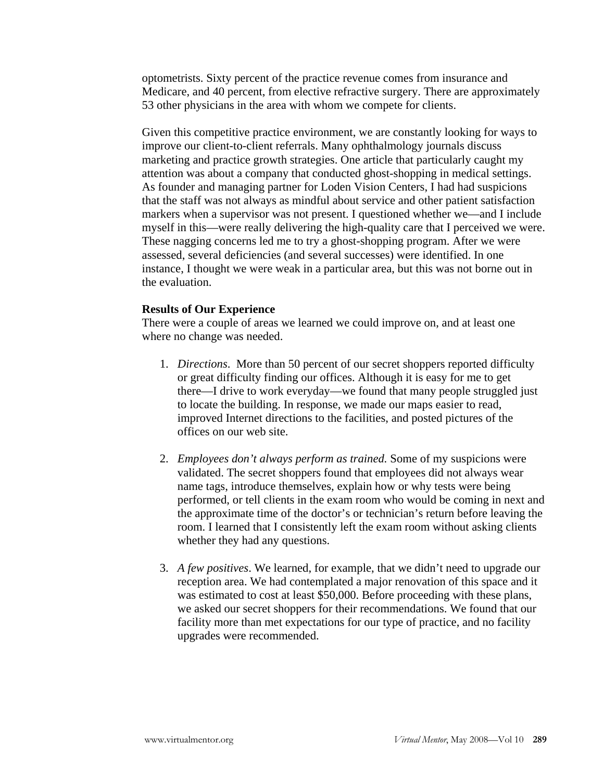optometrists. Sixty percent of the practice revenue comes from insurance and Medicare, and 40 percent, from elective refractive surgery. There are approximately 53 other physicians in the area with whom we compete for clients.

Given this competitive practice environment, we are constantly looking for ways to improve our client-to-client referrals. Many ophthalmology journals discuss marketing and practice growth strategies. One article that particularly caught my attention was about a company that conducted ghost-shopping in medical settings. As founder and managing partner for Loden Vision Centers, I had had suspicions that the staff was not always as mindful about service and other patient satisfaction markers when a supervisor was not present. I questioned whether we—and I include myself in this—were really delivering the high-quality care that I perceived we were. These nagging concerns led me to try a ghost-shopping program. After we were assessed, several deficiencies (and several successes) were identified. In one instance, I thought we were weak in a particular area, but this was not borne out in the evaluation.

#### **Results of Our Experience**

There were a couple of areas we learned we could improve on, and at least one where no change was needed.

- 1. *Directions*. More than 50 percent of our secret shoppers reported difficulty or great difficulty finding our offices. Although it is easy for me to get there—I drive to work everyday—we found that many people struggled just to locate the building. In response, we made our maps easier to read, improved Internet directions to the facilities, and posted pictures of the offices on our web site.
- 2. *Employees don't always perform as trained.* Some of my suspicions were validated. The secret shoppers found that employees did not always wear name tags, introduce themselves, explain how or why tests were being performed, or tell clients in the exam room who would be coming in next and the approximate time of the doctor's or technician's return before leaving the room. I learned that I consistently left the exam room without asking clients whether they had any questions.
- 3. *A few positives*. We learned, for example, that we didn't need to upgrade our reception area. We had contemplated a major renovation of this space and it was estimated to cost at least \$50,000. Before proceeding with these plans, we asked our secret shoppers for their recommendations. We found that our facility more than met expectations for our type of practice, and no facility upgrades were recommended.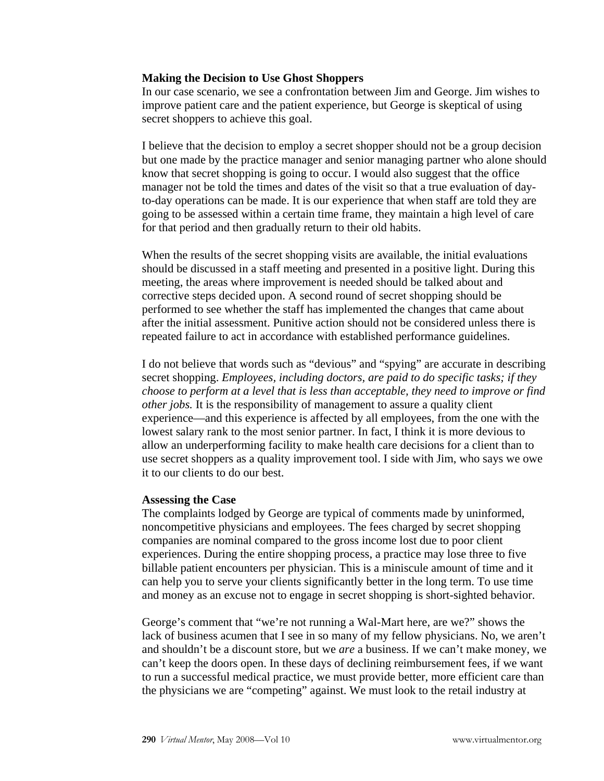#### **Making the Decision to Use Ghost Shoppers**

In our case scenario, we see a confrontation between Jim and George. Jim wishes to improve patient care and the patient experience, but George is skeptical of using secret shoppers to achieve this goal.

I believe that the decision to employ a secret shopper should not be a group decision but one made by the practice manager and senior managing partner who alone should know that secret shopping is going to occur. I would also suggest that the office manager not be told the times and dates of the visit so that a true evaluation of dayto-day operations can be made. It is our experience that when staff are told they are going to be assessed within a certain time frame, they maintain a high level of care for that period and then gradually return to their old habits.

When the results of the secret shopping visits are available, the initial evaluations should be discussed in a staff meeting and presented in a positive light. During this meeting, the areas where improvement is needed should be talked about and corrective steps decided upon. A second round of secret shopping should be performed to see whether the staff has implemented the changes that came about after the initial assessment. Punitive action should not be considered unless there is repeated failure to act in accordance with established performance guidelines.

I do not believe that words such as "devious" and "spying" are accurate in describing secret shopping. *Employees, including doctors, are paid to do specific tasks; if they choose to perform at a level that is less than acceptable, they need to improve or find other jobs.* It is the responsibility of management to assure a quality client experience—and this experience is affected by all employees, from the one with the lowest salary rank to the most senior partner. In fact, I think it is more devious to allow an underperforming facility to make health care decisions for a client than to use secret shoppers as a quality improvement tool. I side with Jim, who says we owe it to our clients to do our best.

### **Assessing the Case**

The complaints lodged by George are typical of comments made by uninformed, noncompetitive physicians and employees. The fees charged by secret shopping companies are nominal compared to the gross income lost due to poor client experiences. During the entire shopping process, a practice may lose three to five billable patient encounters per physician. This is a miniscule amount of time and it can help you to serve your clients significantly better in the long term. To use time and money as an excuse not to engage in secret shopping is short-sighted behavior.

George's comment that "we're not running a Wal-Mart here, are we?" shows the lack of business acumen that I see in so many of my fellow physicians. No, we aren't and shouldn't be a discount store, but we *are* a business. If we can't make money, we can't keep the doors open. In these days of declining reimbursement fees, if we want to run a successful medical practice, we must provide better, more efficient care than the physicians we are "competing" against. We must look to the retail industry at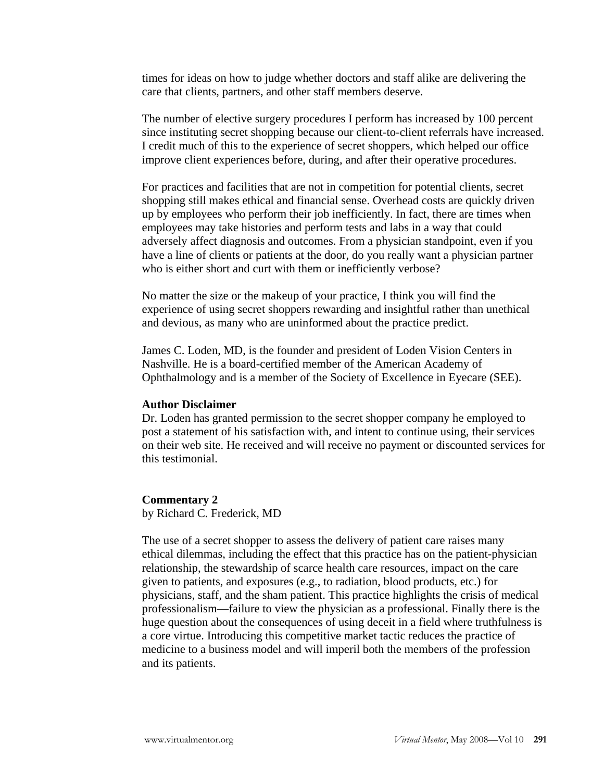times for ideas on how to judge whether doctors and staff alike are delivering the care that clients, partners, and other staff members deserve.

The number of elective surgery procedures I perform has increased by 100 percent since instituting secret shopping because our client-to-client referrals have increased. I credit much of this to the experience of secret shoppers, which helped our office improve client experiences before, during, and after their operative procedures.

For practices and facilities that are not in competition for potential clients, secret shopping still makes ethical and financial sense. Overhead costs are quickly driven up by employees who perform their job inefficiently. In fact, there are times when employees may take histories and perform tests and labs in a way that could adversely affect diagnosis and outcomes. From a physician standpoint, even if you have a line of clients or patients at the door, do you really want a physician partner who is either short and curt with them or inefficiently verbose?

No matter the size or the makeup of your practice, I think you will find the experience of using secret shoppers rewarding and insightful rather than unethical and devious, as many who are uninformed about the practice predict.

James C. Loden, MD, is the founder and president of Loden Vision Centers in Nashville. He is a board-certified member of the American Academy of Ophthalmology and is a member of the Society of Excellence in Eyecare (SEE).

#### **Author Disclaimer**

Dr. Loden has granted permission to the secret shopper company he employed to post a statement of his satisfaction with, and intent to continue using, their services on their web site. He received and will receive no payment or discounted services for this testimonial.

#### **Commentary 2**

by Richard C. Frederick, MD

The use of a secret shopper to assess the delivery of patient care raises many ethical dilemmas, including the effect that this practice has on the patient-physician relationship, the stewardship of scarce health care resources, impact on the care given to patients, and exposures (e.g., to radiation, blood products, etc.) for physicians, staff, and the sham patient. This practice highlights the crisis of medical professionalism—failure to view the physician as a professional. Finally there is the huge question about the consequences of using deceit in a field where truthfulness is a core virtue. Introducing this competitive market tactic reduces the practice of medicine to a business model and will imperil both the members of the profession and its patients.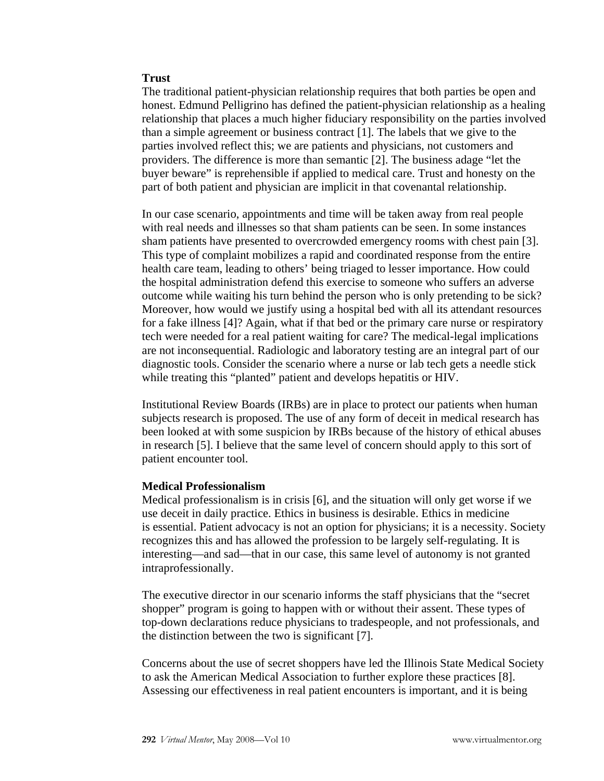#### **Trust**

The traditional patient-physician relationship requires that both parties be open and honest. Edmund Pelligrino has defined the patient-physician relationship as a healing relationship that places a much higher fiduciary responsibility on the parties involved than a simple agreement or business contract [1]. The labels that we give to the parties involved reflect this; we are patients and physicians, not customers and providers. The difference is more than semantic [2]. The business adage "let the buyer beware" is reprehensible if applied to medical care. Trust and honesty on the part of both patient and physician are implicit in that covenantal relationship.

In our case scenario, appointments and time will be taken away from real people with real needs and illnesses so that sham patients can be seen. In some instances sham patients have presented to overcrowded emergency rooms with chest pain [3]. This type of complaint mobilizes a rapid and coordinated response from the entire health care team, leading to others' being triaged to lesser importance. How could the hospital administration defend this exercise to someone who suffers an adverse outcome while waiting his turn behind the person who is only pretending to be sick? Moreover, how would we justify using a hospital bed with all its attendant resources for a fake illness [4]? Again, what if that bed or the primary care nurse or respiratory tech were needed for a real patient waiting for care? The medical-legal implications are not inconsequential. Radiologic and laboratory testing are an integral part of our diagnostic tools. Consider the scenario where a nurse or lab tech gets a needle stick while treating this "planted" patient and develops hepatitis or HIV.

Institutional Review Boards (IRBs) are in place to protect our patients when human subjects research is proposed. The use of any form of deceit in medical research has been looked at with some suspicion by IRBs because of the history of ethical abuses in research [5]. I believe that the same level of concern should apply to this sort of patient encounter tool.

#### **Medical Professionalism**

Medical professionalism is in crisis [6], and the situation will only get worse if we use deceit in daily practice. Ethics in business is desirable. Ethics in medicine is essential. Patient advocacy is not an option for physicians; it is a necessity. Society recognizes this and has allowed the profession to be largely self-regulating. It is interesting—and sad—that in our case, this same level of autonomy is not granted intraprofessionally.

The executive director in our scenario informs the staff physicians that the "secret shopper" program is going to happen with or without their assent. These types of top-down declarations reduce physicians to tradespeople, and not professionals, and the distinction between the two is significant [7].

Concerns about the use of secret shoppers have led the Illinois State Medical Society to ask the American Medical Association to further explore these practices [8]. Assessing our effectiveness in real patient encounters is important, and it is being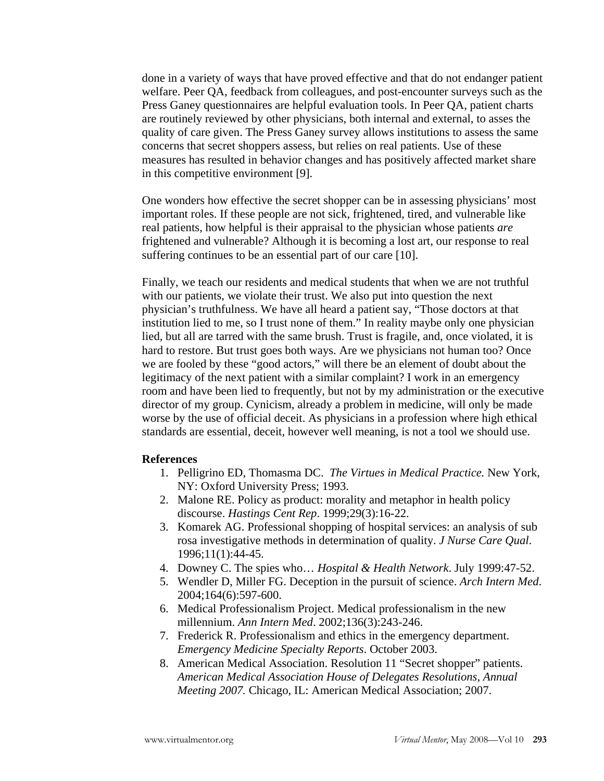done in a variety of ways that have proved effective and that do not endanger patient welfare. Peer QA, feedback from colleagues, and post-encounter surveys such as the Press Ganey questionnaires are helpful evaluation tools. In Peer QA, patient charts are routinely reviewed by other physicians, both internal and external, to asses the quality of care given. The Press Ganey survey allows institutions to assess the same concerns that secret shoppers assess, but relies on real patients. Use of these measures has resulted in behavior changes and has positively affected market share in this competitive environment [9].

One wonders how effective the secret shopper can be in assessing physicians' most important roles. If these people are not sick, frightened, tired, and vulnerable like real patients, how helpful is their appraisal to the physician whose patients *are* frightened and vulnerable? Although it is becoming a lost art, our response to real suffering continues to be an essential part of our care [10].

Finally, we teach our residents and medical students that when we are not truthful with our patients, we violate their trust. We also put into question the next physician's truthfulness. We have all heard a patient say, "Those doctors at that institution lied to me, so I trust none of them." In reality maybe only one physician lied, but all are tarred with the same brush. Trust is fragile, and, once violated, it is hard to restore. But trust goes both ways. Are we physicians not human too? Once we are fooled by these "good actors," will there be an element of doubt about the legitimacy of the next patient with a similar complaint? I work in an emergency room and have been lied to frequently, but not by my administration or the executive director of my group. Cynicism, already a problem in medicine, will only be made worse by the use of official deceit. As physicians in a profession where high ethical standards are essential, deceit, however well meaning, is not a tool we should use.

#### **References**

- 1. Pelligrino ED, Thomasma DC. *The Virtues in Medical Practice.* New York, NY: Oxford University Press; 1993.
- 2. Malone RE. Policy as product: morality and metaphor in health policy discourse. *Hastings Cent Rep*. 1999;29(3):16-22.
- 3. Komarek AG. Professional shopping of hospital services: an analysis of sub rosa investigative methods in determination of quality. *J Nurse Care Qual*. 1996;11(1):44-45.
- 4. Downey C. The spies who… *Hospital & Health Network*. July 1999:47-52.
- 5. Wendler D, Miller FG. Deception in the pursuit of science. *Arch Intern Med*. 2004;164(6):597-600.
- 6. Medical Professionalism Project. Medical professionalism in the new millennium. *Ann Intern Med*. 2002;136(3):243-246.
- 7. Frederick R. Professionalism and ethics in the emergency department. *Emergency Medicine Specialty Reports*. October 2003.
- 8. American Medical Association. Resolution 11 "Secret shopper" patients. *American Medical Association House of Delegates Resolutions, Annual Meeting 2007.* Chicago, IL: American Medical Association; 2007.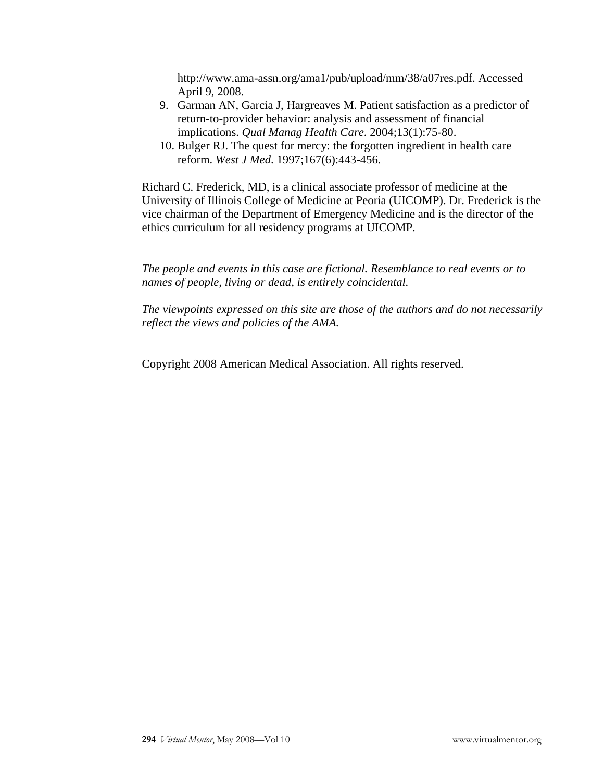http://www.ama-assn.org/ama1/pub/upload/mm/38/a07res.pdf. Accessed April 9, 2008.

- 9. Garman AN, Garcia J, Hargreaves M. Patient satisfaction as a predictor of return-to-provider behavior: analysis and assessment of financial implications. *Qual Manag Health Care*. 2004;13(1):75-80.
- 10. Bulger RJ. The quest for mercy: the forgotten ingredient in health care reform. *West J Med*. 1997;167(6):443-456.

Richard C. Frederick, MD, is a clinical associate professor of medicine at the University of Illinois College of Medicine at Peoria (UICOMP). Dr. Frederick is the vice chairman of the Department of Emergency Medicine and is the director of the ethics curriculum for all residency programs at UICOMP.

*The people and events in this case are fictional. Resemblance to real events or to names of people, living or dead, is entirely coincidental.* 

*The viewpoints expressed on this site are those of the authors and do not necessarily reflect the views and policies of the AMA.* 

Copyright 2008 American Medical Association. All rights reserved.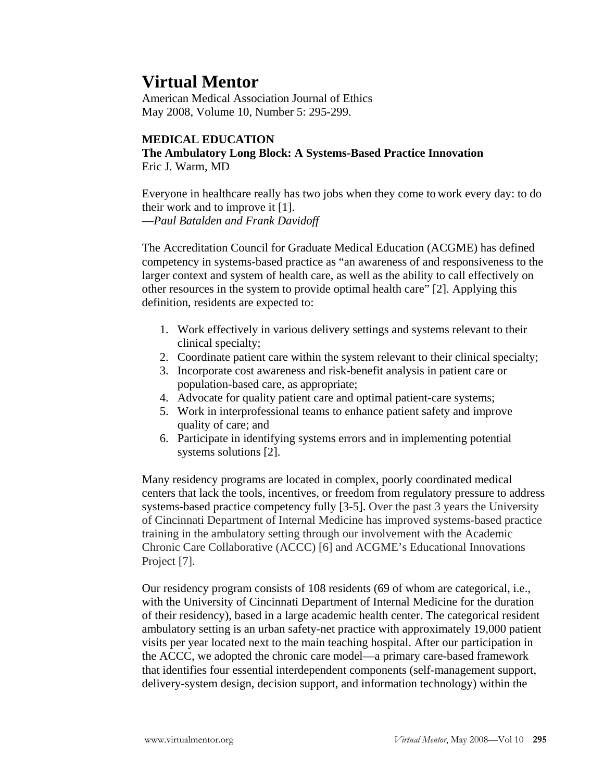American Medical Association Journal of Ethics May 2008, Volume 10, Number 5: 295-299.

## **MEDICAL EDUCATION**

**The Ambulatory Long Block: A Systems-Based Practice Innovation**  Eric J. Warm, MD

Everyone in healthcare really has two jobs when they come to work every day: to do their work and to improve it [1]. —*Paul Batalden and Frank Davidoff* 

The Accreditation Council for Graduate Medical Education (ACGME) has defined competency in systems-based practice as "an awareness of and responsiveness to the larger context and system of health care, as well as the ability to call effectively on other resources in the system to provide optimal health care" [2]. Applying this definition, residents are expected to:

- 1. Work effectively in various delivery settings and systems relevant to their clinical specialty;
- 2. Coordinate patient care within the system relevant to their clinical specialty;
- 3. Incorporate cost awareness and risk-benefit analysis in patient care or population-based care, as appropriate;
- 4. Advocate for quality patient care and optimal patient-care systems;
- 5. Work in interprofessional teams to enhance patient safety and improve quality of care; and
- 6. Participate in identifying systems errors and in implementing potential systems solutions [2].

Many residency programs are located in complex, poorly coordinated medical centers that lack the tools, incentives, or freedom from regulatory pressure to address systems-based practice competency fully [3-5]. Over the past 3 years the University of Cincinnati Department of Internal Medicine has improved systems-based practice training in the ambulatory setting through our involvement with the Academic Chronic Care Collaborative (ACCC) [6] and ACGME's Educational Innovations Project [7].

Our residency program consists of 108 residents (69 of whom are categorical, i.e., with the University of Cincinnati Department of Internal Medicine for the duration of their residency), based in a large academic health center. The categorical resident ambulatory setting is an urban safety-net practice with approximately 19,000 patient visits per year located next to the main teaching hospital. After our participation in the ACCC, we adopted the chronic care model—a primary care-based framework that identifies four essential interdependent components (self-management support, delivery-system design, decision support, and information technology) within the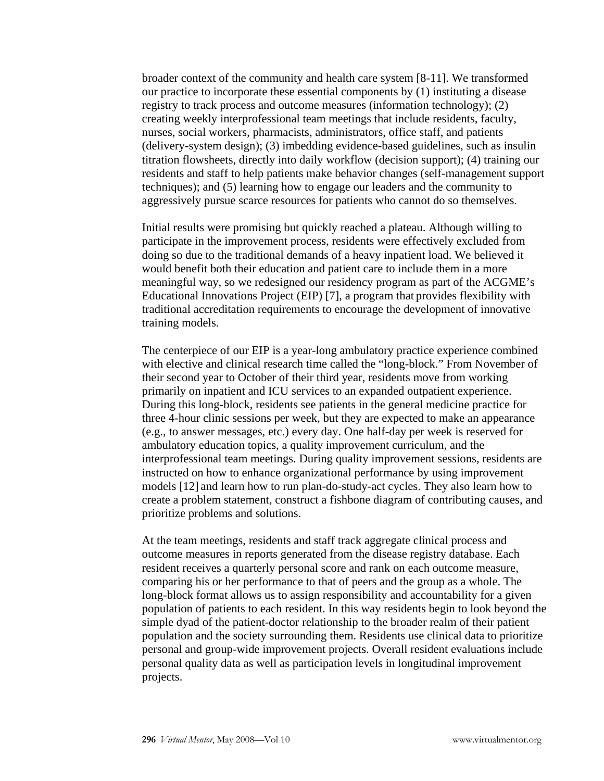broader context of the community and health care system [8-11]. We transformed our practice to incorporate these essential components by (1) instituting a disease registry to track process and outcome measures (information technology); (2) creating weekly interprofessional team meetings that include residents, faculty, nurses, social workers, pharmacists, administrators, office staff, and patients (delivery-system design); (3) imbedding evidence-based guidelines, such as insulin titration flowsheets, directly into daily workflow (decision support); (4) training our residents and staff to help patients make behavior changes (self-management support techniques); and (5) learning how to engage our leaders and the community to aggressively pursue scarce resources for patients who cannot do so themselves.

Initial results were promising but quickly reached a plateau. Although willing to participate in the improvement process, residents were effectively excluded from doing so due to the traditional demands of a heavy inpatient load. We believed it would benefit both their education and patient care to include them in a more meaningful way, so we redesigned our residency program as part of the ACGME's Educational Innovations Project (EIP) [7], a program that provides flexibility with traditional accreditation requirements to encourage the development of innovative training models.

The centerpiece of our EIP is a year-long ambulatory practice experience combined with elective and clinical research time called the "long-block." From November of their second year to October of their third year, residents move from working primarily on inpatient and ICU services to an expanded outpatient experience. During this long-block, residents see patients in the general medicine practice for three 4-hour clinic sessions per week, but they are expected to make an appearance (e.g., to answer messages, etc.) every day. One half-day per week is reserved for ambulatory education topics, a quality improvement curriculum, and the interprofessional team meetings. During quality improvement sessions, residents are instructed on how to enhance organizational performance by using improvement models [12] and learn how to run plan-do-study-act cycles. They also learn how to create a problem statement, construct a fishbone diagram of contributing causes, and prioritize problems and solutions.

At the team meetings, residents and staff track aggregate clinical process and outcome measures in reports generated from the disease registry database. Each resident receives a quarterly personal score and rank on each outcome measure, comparing his or her performance to that of peers and the group as a whole. The long-block format allows us to assign responsibility and accountability for a given population of patients to each resident. In this way residents begin to look beyond the simple dyad of the patient-doctor relationship to the broader realm of their patient population and the society surrounding them. Residents use clinical data to prioritize personal and group-wide improvement projects. Overall resident evaluations include personal quality data as well as participation levels in longitudinal improvement projects.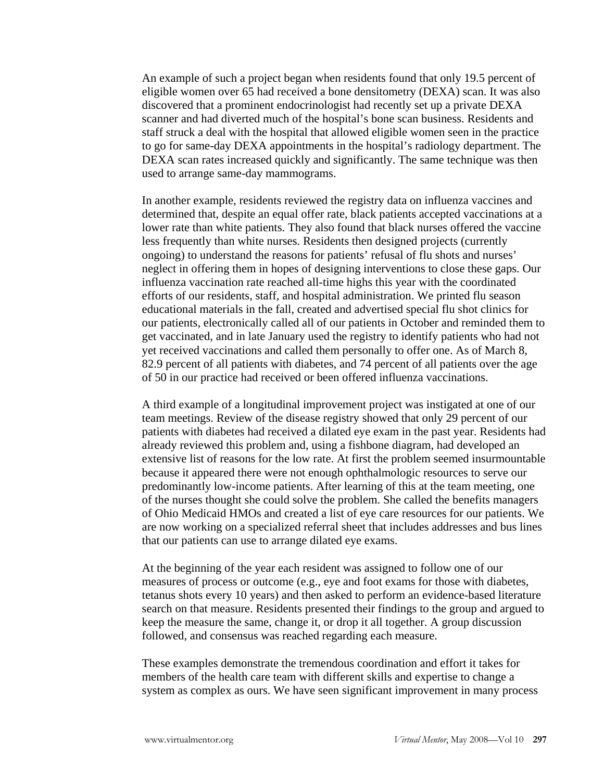An example of such a project began when residents found that only 19.5 percent of eligible women over 65 had received a bone densitometry (DEXA) scan. It was also discovered that a prominent endocrinologist had recently set up a private DEXA scanner and had diverted much of the hospital's bone scan business. Residents and staff struck a deal with the hospital that allowed eligible women seen in the practice to go for same-day DEXA appointments in the hospital's radiology department. The DEXA scan rates increased quickly and significantly. The same technique was then used to arrange same-day mammograms.

In another example, residents reviewed the registry data on influenza vaccines and determined that, despite an equal offer rate, black patients accepted vaccinations at a lower rate than white patients. They also found that black nurses offered the vaccine less frequently than white nurses. Residents then designed projects (currently ongoing) to understand the reasons for patients' refusal of flu shots and nurses' neglect in offering them in hopes of designing interventions to close these gaps. Our influenza vaccination rate reached all-time highs this year with the coordinated efforts of our residents, staff, and hospital administration. We printed flu season educational materials in the fall, created and advertised special flu shot clinics for our patients, electronically called all of our patients in October and reminded them to get vaccinated, and in late January used the registry to identify patients who had not yet received vaccinations and called them personally to offer one. As of March 8, 82.9 percent of all patients with diabetes, and 74 percent of all patients over the age of 50 in our practice had received or been offered influenza vaccinations.

A third example of a longitudinal improvement project was instigated at one of our team meetings. Review of the disease registry showed that only 29 percent of our patients with diabetes had received a dilated eye exam in the past year. Residents had already reviewed this problem and, using a fishbone diagram, had developed an extensive list of reasons for the low rate. At first the problem seemed insurmountable because it appeared there were not enough ophthalmologic resources to serve our predominantly low-income patients. After learning of this at the team meeting, one of the nurses thought she could solve the problem. She called the benefits managers of Ohio Medicaid HMOs and created a list of eye care resources for our patients. We are now working on a specialized referral sheet that includes addresses and bus lines that our patients can use to arrange dilated eye exams.

At the beginning of the year each resident was assigned to follow one of our measures of process or outcome (e.g., eye and foot exams for those with diabetes, tetanus shots every 10 years) and then asked to perform an evidence-based literature search on that measure. Residents presented their findings to the group and argued to keep the measure the same, change it, or drop it all together. A group discussion followed, and consensus was reached regarding each measure.

These examples demonstrate the tremendous coordination and effort it takes for members of the health care team with different skills and expertise to change a system as complex as ours. We have seen significant improvement in many process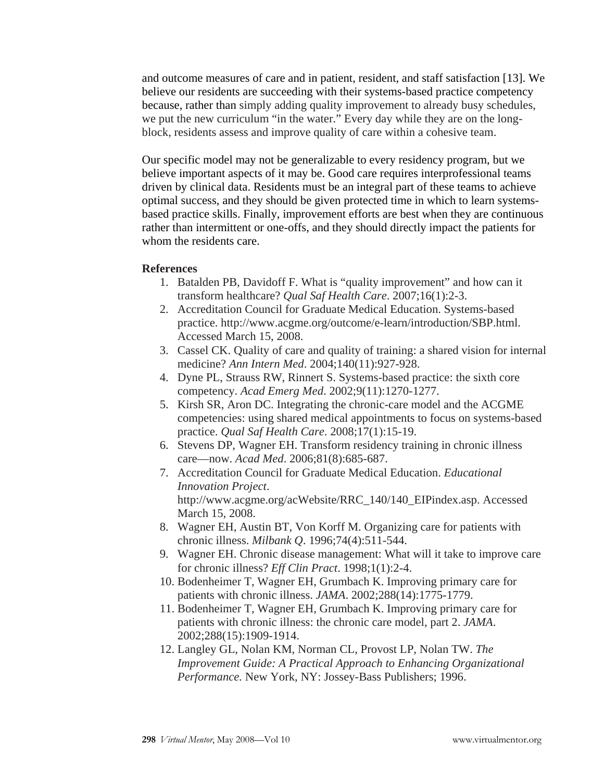and outcome measures of care and in patient, resident, and staff satisfaction [13]. We believe our residents are succeeding with their systems-based practice competency because, rather than simply adding quality improvement to already busy schedules, we put the new curriculum "in the water." Every day while they are on the longblock, residents assess and improve quality of care within a cohesive team.

Our specific model may not be generalizable to every residency program, but we believe important aspects of it may be. Good care requires interprofessional teams driven by clinical data. Residents must be an integral part of these teams to achieve optimal success, and they should be given protected time in which to learn systemsbased practice skills. Finally, improvement efforts are best when they are continuous rather than intermittent or one-offs, and they should directly impact the patients for whom the residents care.

#### **References**

- 1. Batalden PB, Davidoff F. What is "quality improvement" and how can it transform healthcare? *Qual Saf Health Care*. 2007;16(1):2-3.
- 2. Accreditation Council for Graduate Medical Education. Systems-based practice. http://www.acgme.org/outcome/e-learn/introduction/SBP.html. Accessed March 15, 2008.
- 3. Cassel CK. Quality of care and quality of training: a shared vision for internal medicine? *Ann Intern Med*. 2004;140(11):927-928.
- 4. Dyne PL, Strauss RW, Rinnert S. Systems-based practice: the sixth core competency. *Acad Emerg Med*. 2002;9(11):1270-1277.
- 5. Kirsh SR, Aron DC. Integrating the chronic-care model and the ACGME competencies: using shared medical appointments to focus on systems-based practice. *Qual Saf Health Care*. 2008;17(1):15-19.
- 6. Stevens DP, Wagner EH. Transform residency training in chronic illness care—now. *Acad Med*. 2006;81(8):685-687.
- 7. Accreditation Council for Graduate Medical Education. *Educational Innovation Project*. http://www.acgme.org/acWebsite/RRC\_140/140\_EIPindex.asp. Accessed March 15, 2008.
- 8. Wagner EH, Austin BT, Von Korff M. Organizing care for patients with chronic illness. *Milbank Q*. 1996;74(4):511-544.
- 9. Wagner EH. Chronic disease management: What will it take to improve care for chronic illness? *Eff Clin Pract*. 1998;1(1):2-4.
- 10. Bodenheimer T, Wagner EH, Grumbach K. Improving primary care for patients with chronic illness. *JAMA*. 2002;288(14):1775-1779.
- 11. Bodenheimer T, Wagner EH, Grumbach K. Improving primary care for patients with chronic illness: the chronic care model, part 2. *JAMA*. 2002;288(15):1909-1914.
- 12. Langley GL, Nolan KM, Norman CL, Provost LP, Nolan TW. *The Improvement Guide: A Practical Approach to Enhancing Organizational Performance.* New York, NY: Jossey-Bass Publishers; 1996.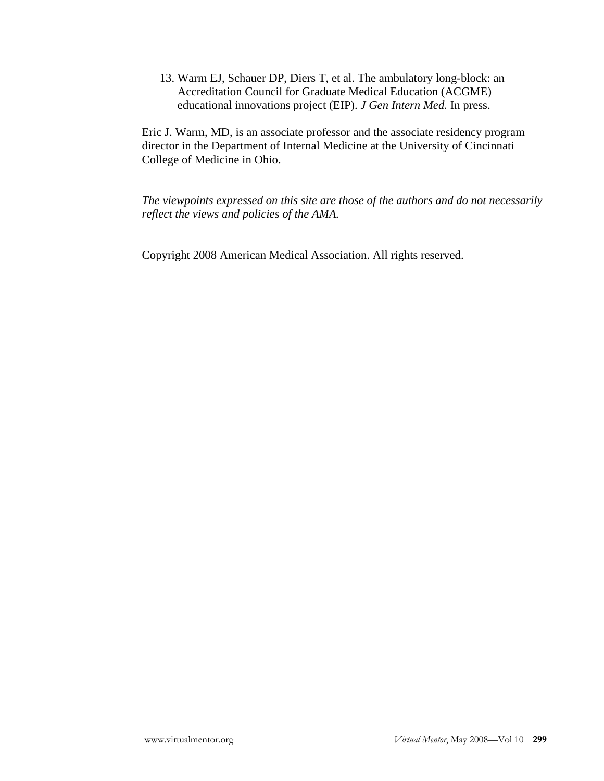13. Warm EJ, Schauer DP, Diers T, et al. The ambulatory long-block: an Accreditation Council for Graduate Medical Education (ACGME) educational innovations project (EIP). *J Gen Intern Med.* In press.

Eric J. Warm, MD, is an associate professor and the associate residency program director in the Department of Internal Medicine at the University of Cincinnati College of Medicine in Ohio.

*The viewpoints expressed on this site are those of the authors and do not necessarily reflect the views and policies of the AMA.*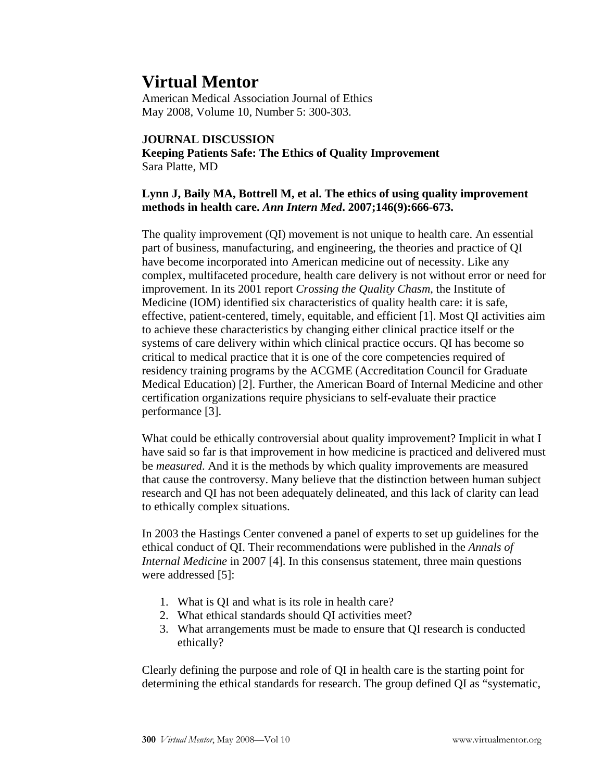American Medical Association Journal of Ethics May 2008, Volume 10, Number 5: 300-303.

## **JOURNAL DISCUSSION**

**Keeping Patients Safe: The Ethics of Quality Improvement**  Sara Platte, MD

## **Lynn J, Baily MA, Bottrell M, et al. The ethics of using quality improvement methods in health care.** *Ann Intern Med***. 2007;146(9):666-673.**

The quality improvement (QI) movement is not unique to health care. An essential part of business, manufacturing, and engineering, the theories and practice of QI have become incorporated into American medicine out of necessity. Like any complex, multifaceted procedure, health care delivery is not without error or need for improvement. In its 2001 report *Crossing the Quality Chasm*, the Institute of Medicine (IOM) identified six characteristics of quality health care: it is safe, effective, patient-centered, timely, equitable, and efficient [1]. Most QI activities aim to achieve these characteristics by changing either clinical practice itself or the systems of care delivery within which clinical practice occurs. QI has become so critical to medical practice that it is one of the core competencies required of residency training programs by the ACGME (Accreditation Council for Graduate Medical Education) [2]. Further, the American Board of Internal Medicine and other certification organizations require physicians to self-evaluate their practice performance [3].

What could be ethically controversial about quality improvement? Implicit in what I have said so far is that improvement in how medicine is practiced and delivered must be *measured*. And it is the methods by which quality improvements are measured that cause the controversy. Many believe that the distinction between human subject research and QI has not been adequately delineated, and this lack of clarity can lead to ethically complex situations.

In 2003 the Hastings Center convened a panel of experts to set up guidelines for the ethical conduct of QI. Their recommendations were published in the *Annals of Internal Medicine* in 2007 [4]. In this consensus statement, three main questions were addressed [5]:

- 1. What is QI and what is its role in health care?
- 2. What ethical standards should QI activities meet?
- 3. What arrangements must be made to ensure that QI research is conducted ethically?

Clearly defining the purpose and role of QI in health care is the starting point for determining the ethical standards for research. The group defined QI as "systematic,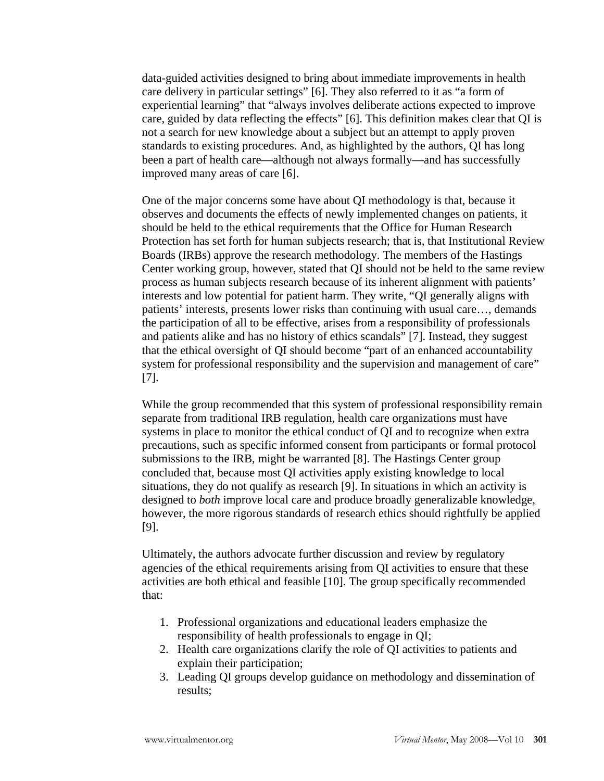data-guided activities designed to bring about immediate improvements in health care delivery in particular settings" [6]. They also referred to it as "a form of experiential learning" that "always involves deliberate actions expected to improve care, guided by data reflecting the effects" [6]. This definition makes clear that QI is not a search for new knowledge about a subject but an attempt to apply proven standards to existing procedures. And, as highlighted by the authors, QI has long been a part of health care—although not always formally—and has successfully improved many areas of care [6].

One of the major concerns some have about QI methodology is that, because it observes and documents the effects of newly implemented changes on patients, it should be held to the ethical requirements that the Office for Human Research Protection has set forth for human subjects research; that is, that Institutional Review Boards (IRBs) approve the research methodology. The members of the Hastings Center working group, however, stated that QI should not be held to the same review process as human subjects research because of its inherent alignment with patients' interests and low potential for patient harm. They write, "QI generally aligns with patients' interests, presents lower risks than continuing with usual care…, demands the participation of all to be effective, arises from a responsibility of professionals and patients alike and has no history of ethics scandals" [7]. Instead, they suggest that the ethical oversight of QI should become "part of an enhanced accountability system for professional responsibility and the supervision and management of care" [7].

While the group recommended that this system of professional responsibility remain separate from traditional IRB regulation, health care organizations must have systems in place to monitor the ethical conduct of QI and to recognize when extra precautions, such as specific informed consent from participants or formal protocol submissions to the IRB, might be warranted [8]. The Hastings Center group concluded that, because most QI activities apply existing knowledge to local situations, they do not qualify as research [9]. In situations in which an activity is designed to *both* improve local care and produce broadly generalizable knowledge, however, the more rigorous standards of research ethics should rightfully be applied [9].

Ultimately, the authors advocate further discussion and review by regulatory agencies of the ethical requirements arising from QI activities to ensure that these activities are both ethical and feasible [10]. The group specifically recommended that:

- 1. Professional organizations and educational leaders emphasize the responsibility of health professionals to engage in QI;
- 2. Health care organizations clarify the role of QI activities to patients and explain their participation;
- 3. Leading QI groups develop guidance on methodology and dissemination of results;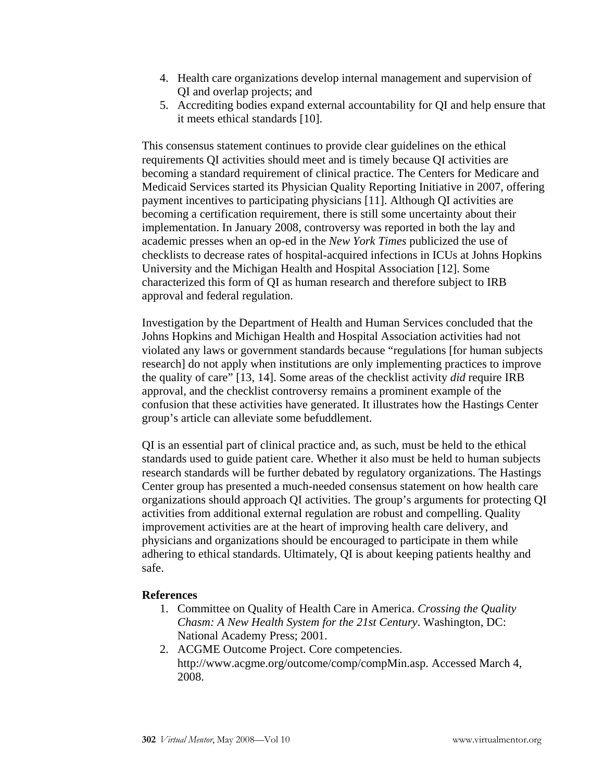- 4. Health care organizations develop internal management and supervision of QI and overlap projects; and
- 5. Accrediting bodies expand external accountability for QI and help ensure that it meets ethical standards [10].

This consensus statement continues to provide clear guidelines on the ethical requirements QI activities should meet and is timely because QI activities are becoming a standard requirement of clinical practice. The Centers for Medicare and Medicaid Services started its Physician Quality Reporting Initiative in 2007, offering payment incentives to participating physicians [11]. Although QI activities are becoming a certification requirement, there is still some uncertainty about their implementation. In January 2008, controversy was reported in both the lay and academic presses when an op-ed in the *New York Times* publicized the use of checklists to decrease rates of hospital-acquired infections in ICUs at Johns Hopkins University and the Michigan Health and Hospital Association [12]. Some characterized this form of QI as human research and therefore subject to IRB approval and federal regulation.

Investigation by the Department of Health and Human Services concluded that the Johns Hopkins and Michigan Health and Hospital Association activities had not violated any laws or government standards because "regulations [for human subjects research] do not apply when institutions are only implementing practices to improve the quality of care" [13, 14]. Some areas of the checklist activity *did* require IRB approval, and the checklist controversy remains a prominent example of the confusion that these activities have generated. It illustrates how the Hastings Center group's article can alleviate some befuddlement.

QI is an essential part of clinical practice and, as such, must be held to the ethical standards used to guide patient care. Whether it also must be held to human subjects research standards will be further debated by regulatory organizations. The Hastings Center group has presented a much-needed consensus statement on how health care organizations should approach QI activities. The group's arguments for protecting QI activities from additional external regulation are robust and compelling. Quality improvement activities are at the heart of improving health care delivery, and physicians and organizations should be encouraged to participate in them while adhering to ethical standards. Ultimately, QI is about keeping patients healthy and safe.

## **References**

- 1. Committee on Quality of Health Care in America. *Crossing the Quality Chasm: A New Health System for the 21st Century*. Washington, DC: National Academy Press; 2001.
- 2. ACGME Outcome Project. Core competencies. http://www.acgme.org/outcome/comp/compMin.asp. Accessed March 4, 2008.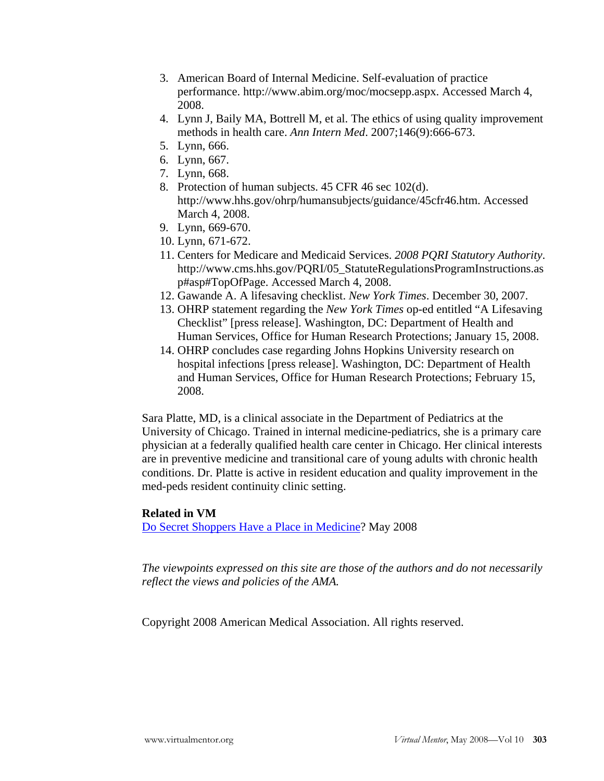- 3. American Board of Internal Medicine. Self-evaluation of practice performance. http://www.abim.org/moc/mocsepp.aspx. Accessed March 4, 2008.
- 4. Lynn J, Baily MA, Bottrell M, et al. The ethics of using quality improvement methods in health care. *Ann Intern Med*. 2007;146(9):666-673.
- 5. Lynn, 666.
- 6. Lynn, 667.
- 7. Lynn, 668.
- 8. Protection of human subjects. 45 CFR 46 sec 102(d). http://www.hhs.gov/ohrp/humansubjects/guidance/45cfr46.htm. Accessed March 4, 2008.
- 9. Lynn, 669-670.
- 10. Lynn, 671-672.
- 11. Centers for Medicare and Medicaid Services. *2008 PQRI Statutory Authority*. http://www.cms.hhs.gov/PQRI/05\_StatuteRegulationsProgramInstructions.as p#asp#TopOfPage. Accessed March 4, 2008.
- 12. Gawande A. A lifesaving checklist. *New York Times*. December 30, 2007.
- 13. OHRP statement regarding the *New York Times* op-ed entitled "A Lifesaving Checklist" [press release]. Washington, DC: Department of Health and Human Services, Office for Human Research Protections; January 15, 2008.
- 14. OHRP concludes case regarding Johns Hopkins University research on hospital infections [press release]. Washington, DC: Department of Health and Human Services, Office for Human Research Protections; February 15, 2008.

Sara Platte, MD, is a clinical associate in the Department of Pediatrics at the University of Chicago. Trained in internal medicine-pediatrics, she is a primary care physician at a federally qualified health care center in Chicago. Her clinical interests are in preventive medicine and transitional care of young adults with chronic health conditions. Dr. Platte is active in resident education and quality improvement in the med-peds resident continuity clinic setting.

## **Related in VM**

[Do Secret Shoppers Have a Place in Medicine?](http://virtualmentor.ama-assn.org/2008/05/ccas5-0805.html) May 2008

*The viewpoints expressed on this site are those of the authors and do not necessarily reflect the views and policies of the AMA.*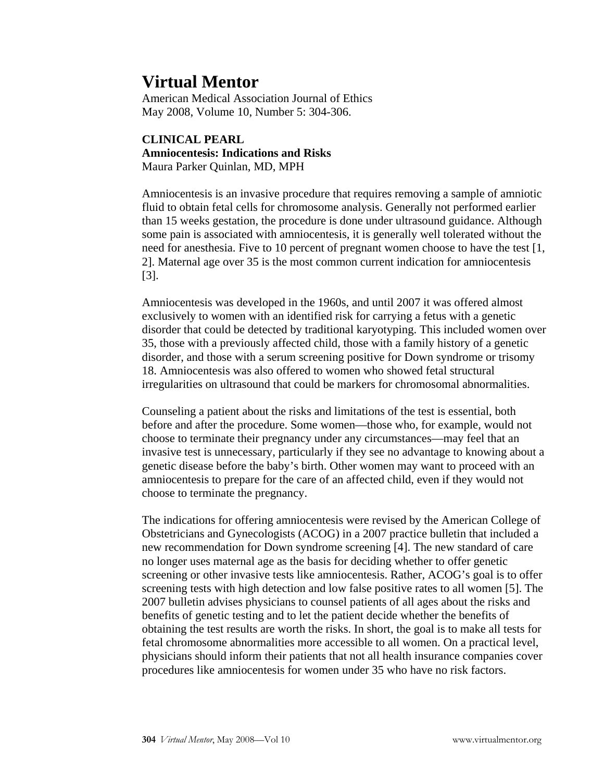American Medical Association Journal of Ethics May 2008, Volume 10, Number 5: 304-306.

## **CLINICAL PEARL Amniocentesis: Indications and Risks**  Maura Parker Quinlan, MD, MPH

Amniocentesis is an invasive procedure that requires removing a sample of amniotic fluid to obtain fetal cells for chromosome analysis. Generally not performed earlier than 15 weeks gestation, the procedure is done under ultrasound guidance. Although some pain is associated with amniocentesis, it is generally well tolerated without the need for anesthesia. Five to 10 percent of pregnant women choose to have the test [1, 2]. Maternal age over 35 is the most common current indication for amniocentesis [3].

Amniocentesis was developed in the 1960s, and until 2007 it was offered almost exclusively to women with an identified risk for carrying a fetus with a genetic disorder that could be detected by traditional karyotyping. This included women over 35, those with a previously affected child, those with a family history of a genetic disorder, and those with a serum screening positive for Down syndrome or trisomy 18. Amniocentesis was also offered to women who showed fetal structural irregularities on ultrasound that could be markers for chromosomal abnormalities.

Counseling a patient about the risks and limitations of the test is essential, both before and after the procedure. Some women—those who, for example, would not choose to terminate their pregnancy under any circumstances—may feel that an invasive test is unnecessary, particularly if they see no advantage to knowing about a genetic disease before the baby's birth. Other women may want to proceed with an amniocentesis to prepare for the care of an affected child, even if they would not choose to terminate the pregnancy.

The indications for offering amniocentesis were revised by the American College of Obstetricians and Gynecologists (ACOG) in a 2007 practice bulletin that included a new recommendation for Down syndrome screening [4]. The new standard of care no longer uses maternal age as the basis for deciding whether to offer genetic screening or other invasive tests like amniocentesis. Rather, ACOG's goal is to offer screening tests with high detection and low false positive rates to all women [5]. The 2007 bulletin advises physicians to counsel patients of all ages about the risks and benefits of genetic testing and to let the patient decide whether the benefits of obtaining the test results are worth the risks. In short, the goal is to make all tests for fetal chromosome abnormalities more accessible to all women. On a practical level, physicians should inform their patients that not all health insurance companies cover procedures like amniocentesis for women under 35 who have no risk factors.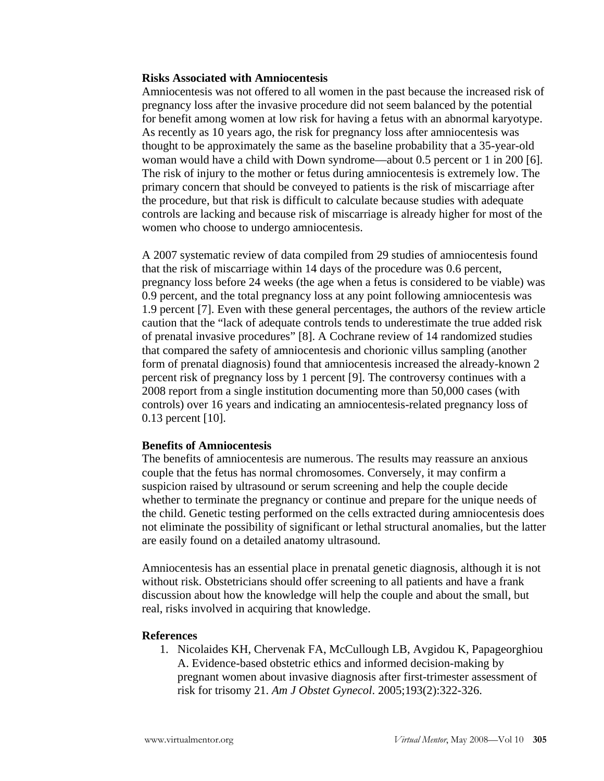### **Risks Associated with Amniocentesis**

Amniocentesis was not offered to all women in the past because the increased risk of pregnancy loss after the invasive procedure did not seem balanced by the potential for benefit among women at low risk for having a fetus with an abnormal karyotype. As recently as 10 years ago, the risk for pregnancy loss after amniocentesis was thought to be approximately the same as the baseline probability that a 35-year-old woman would have a child with Down syndrome—about 0.5 percent or 1 in 200 [6]. The risk of injury to the mother or fetus during amniocentesis is extremely low. The primary concern that should be conveyed to patients is the risk of miscarriage after the procedure, but that risk is difficult to calculate because studies with adequate controls are lacking and because risk of miscarriage is already higher for most of the women who choose to undergo amniocentesis.

A 2007 systematic review of data compiled from 29 studies of amniocentesis found that the risk of miscarriage within 14 days of the procedure was 0.6 percent, pregnancy loss before 24 weeks (the age when a fetus is considered to be viable) was 0.9 percent, and the total pregnancy loss at any point following amniocentesis was 1.9 percent [7]. Even with these general percentages, the authors of the review article caution that the "lack of adequate controls tends to underestimate the true added risk of prenatal invasive procedures" [8]. A Cochrane review of 14 randomized studies that compared the safety of amniocentesis and chorionic villus sampling (another form of prenatal diagnosis) found that amniocentesis increased the already-known 2 percent risk of pregnancy loss by 1 percent [9]. The controversy continues with a 2008 report from a single institution documenting more than 50,000 cases (with controls) over 16 years and indicating an amniocentesis-related pregnancy loss of 0.13 percent [10].

## **Benefits of Amniocentesis**

The benefits of amniocentesis are numerous. The results may reassure an anxious couple that the fetus has normal chromosomes. Conversely, it may confirm a suspicion raised by ultrasound or serum screening and help the couple decide whether to terminate the pregnancy or continue and prepare for the unique needs of the child. Genetic testing performed on the cells extracted during amniocentesis does not eliminate the possibility of significant or lethal structural anomalies, but the latter are easily found on a detailed anatomy ultrasound.

Amniocentesis has an essential place in prenatal genetic diagnosis, although it is not without risk. Obstetricians should offer screening to all patients and have a frank discussion about how the knowledge will help the couple and about the small, but real, risks involved in acquiring that knowledge.

## **References**

1. Nicolaides KH, Chervenak FA, McCullough LB, Avgidou K, Papageorghiou A. Evidence-based obstetric ethics and informed decision-making by pregnant women about invasive diagnosis after first-trimester assessment of risk for trisomy 21. *Am J Obstet Gynecol*. 2005;193(2):322-326.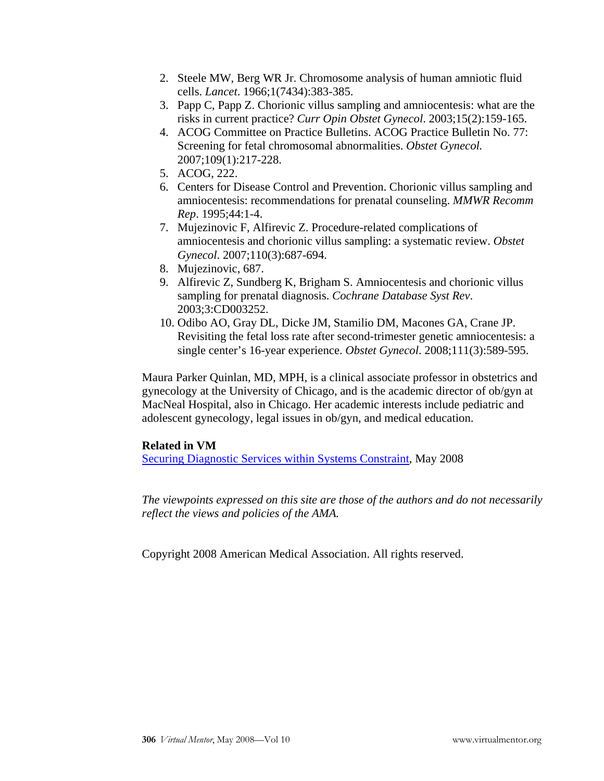- 2. Steele MW, Berg WR Jr. Chromosome analysis of human amniotic fluid cells. *Lancet*. 1966;1(7434):383-385.
- 3. Papp C, Papp Z. Chorionic villus sampling and amniocentesis: what are the risks in current practice? *Curr Opin Obstet Gynecol*. 2003;15(2):159-165.
- 4. ACOG Committee on Practice Bulletins. ACOG Practice Bulletin No. 77: Screening for fetal chromosomal abnormalities. *Obstet Gynecol.* 2007;109(1):217-228.
- 5. ACOG, 222.
- 6. Centers for Disease Control and Prevention. Chorionic villus sampling and amniocentesis: recommendations for prenatal counseling. *MMWR Recomm Rep*. 1995;44:1-4.
- 7. Mujezinovic F, Alfirevic Z. Procedure-related complications of amniocentesis and chorionic villus sampling: a systematic review. *Obstet Gynecol*. 2007;110(3):687-694.
- 8. Mujezinovic, 687.
- 9. Alfirevic Z, Sundberg K, Brigham S. Amniocentesis and chorionic villus sampling for prenatal diagnosis. *Cochrane Database Syst Rev*. 2003;3:CD003252.
- 10. Odibo AO, Gray DL, Dicke JM, Stamilio DM, Macones GA, Crane JP. Revisiting the fetal loss rate after second-trimester genetic amniocentesis: a single center's 16-year experience. *Obstet Gynecol*. 2008;111(3):589-595.

Maura Parker Quinlan, MD, MPH, is a clinical associate professor in obstetrics and gynecology at the University of Chicago, and is the academic director of ob/gyn at MacNeal Hospital, also in Chicago. Her academic interests include pediatric and adolescent gynecology, legal issues in ob/gyn, and medical education.

## **Related in VM**

[Securing Diagnostic Services within Systems Constraint,](http://virtualmentor.ama-assn.org/2008/05/ccas3-0805.html) May 2008

*The viewpoints expressed on this site are those of the authors and do not necessarily reflect the views and policies of the AMA.*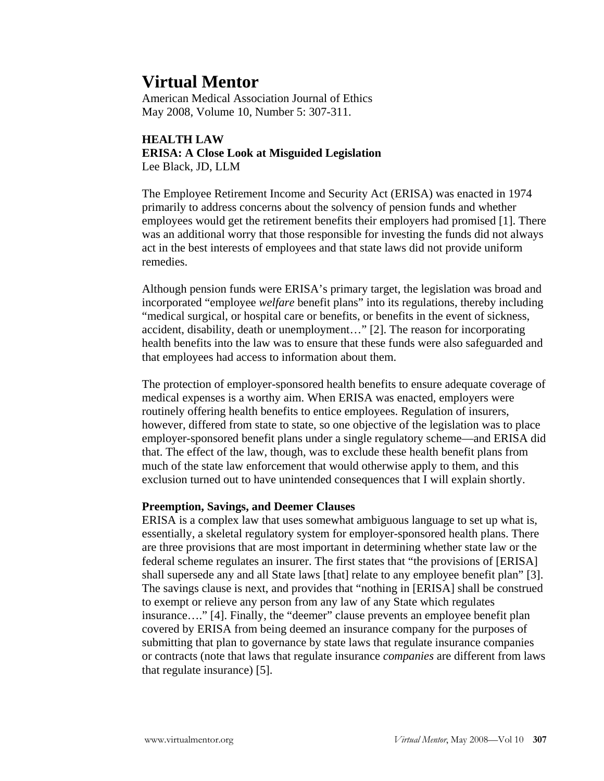American Medical Association Journal of Ethics May 2008, Volume 10, Number 5: 307-311.

### **HEALTH LAW ERISA: A Close Look at Misguided Legislation**  Lee Black, JD, LLM

The Employee Retirement Income and Security Act (ERISA) was enacted in 1974 primarily to address concerns about the solvency of pension funds and whether employees would get the retirement benefits their employers had promised [1]. There was an additional worry that those responsible for investing the funds did not always act in the best interests of employees and that state laws did not provide uniform remedies.

Although pension funds were ERISA's primary target, the legislation was broad and incorporated "employee *welfare* benefit plans" into its regulations, thereby including "medical surgical, or hospital care or benefits, or benefits in the event of sickness, accident, disability, death or unemployment…" [2]. The reason for incorporating health benefits into the law was to ensure that these funds were also safeguarded and that employees had access to information about them.

The protection of employer-sponsored health benefits to ensure adequate coverage of medical expenses is a worthy aim. When ERISA was enacted, employers were routinely offering health benefits to entice employees. Regulation of insurers, however, differed from state to state, so one objective of the legislation was to place employer-sponsored benefit plans under a single regulatory scheme—and ERISA did that. The effect of the law, though, was to exclude these health benefit plans from much of the state law enforcement that would otherwise apply to them, and this exclusion turned out to have unintended consequences that I will explain shortly.

## **Preemption, Savings, and Deemer Clauses**

ERISA is a complex law that uses somewhat ambiguous language to set up what is, essentially, a skeletal regulatory system for employer-sponsored health plans. There are three provisions that are most important in determining whether state law or the federal scheme regulates an insurer. The first states that "the provisions of [ERISA] shall supersede any and all State laws [that] relate to any employee benefit plan" [3]. The savings clause is next, and provides that "nothing in [ERISA] shall be construed to exempt or relieve any person from any law of any State which regulates insurance…." [4]. Finally, the "deemer" clause prevents an employee benefit plan covered by ERISA from being deemed an insurance company for the purposes of submitting that plan to governance by state laws that regulate insurance companies or contracts (note that laws that regulate insurance *companies* are different from laws that regulate insurance) [5].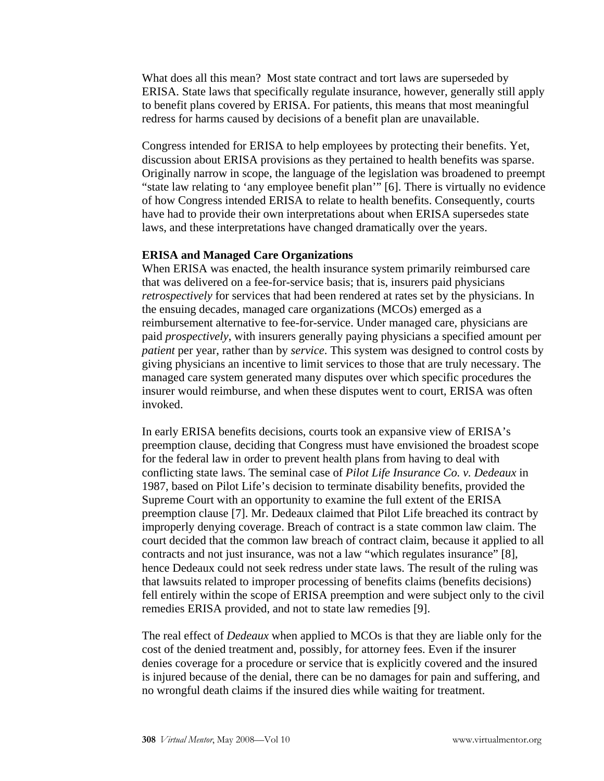What does all this mean? Most state contract and tort laws are superseded by ERISA. State laws that specifically regulate insurance, however, generally still apply to benefit plans covered by ERISA. For patients, this means that most meaningful redress for harms caused by decisions of a benefit plan are unavailable.

Congress intended for ERISA to help employees by protecting their benefits. Yet, discussion about ERISA provisions as they pertained to health benefits was sparse. Originally narrow in scope, the language of the legislation was broadened to preempt "state law relating to 'any employee benefit plan'" [6]. There is virtually no evidence of how Congress intended ERISA to relate to health benefits. Consequently, courts have had to provide their own interpretations about when ERISA supersedes state laws, and these interpretations have changed dramatically over the years.

#### **ERISA and Managed Care Organizations**

When ERISA was enacted, the health insurance system primarily reimbursed care that was delivered on a fee-for-service basis; that is, insurers paid physicians *retrospectively* for services that had been rendered at rates set by the physicians. In the ensuing decades, managed care organizations (MCOs) emerged as a reimbursement alternative to fee-for-service. Under managed care, physicians are paid *prospectively*, with insurers generally paying physicians a specified amount per *patient* per year, rather than by *service*. This system was designed to control costs by giving physicians an incentive to limit services to those that are truly necessary. The managed care system generated many disputes over which specific procedures the insurer would reimburse, and when these disputes went to court, ERISA was often invoked.

In early ERISA benefits decisions, courts took an expansive view of ERISA's preemption clause, deciding that Congress must have envisioned the broadest scope for the federal law in order to prevent health plans from having to deal with conflicting state laws. The seminal case of *Pilot Life Insurance Co. v. Dedeaux* in 1987, based on Pilot Life's decision to terminate disability benefits, provided the Supreme Court with an opportunity to examine the full extent of the ERISA preemption clause [7]. Mr. Dedeaux claimed that Pilot Life breached its contract by improperly denying coverage. Breach of contract is a state common law claim. The court decided that the common law breach of contract claim, because it applied to all contracts and not just insurance, was not a law "which regulates insurance" [8], hence Dedeaux could not seek redress under state laws. The result of the ruling was that lawsuits related to improper processing of benefits claims (benefits decisions) fell entirely within the scope of ERISA preemption and were subject only to the civil remedies ERISA provided, and not to state law remedies [9].

The real effect of *Dedeaux* when applied to MCOs is that they are liable only for the cost of the denied treatment and, possibly, for attorney fees. Even if the insurer denies coverage for a procedure or service that is explicitly covered and the insured is injured because of the denial, there can be no damages for pain and suffering, and no wrongful death claims if the insured dies while waiting for treatment.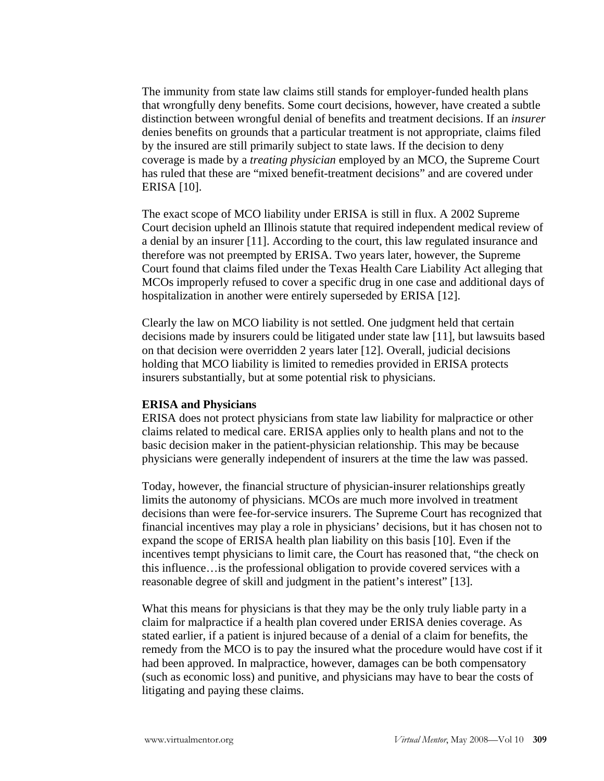The immunity from state law claims still stands for employer-funded health plans that wrongfully deny benefits. Some court decisions, however, have created a subtle distinction between wrongful denial of benefits and treatment decisions. If an *insurer* denies benefits on grounds that a particular treatment is not appropriate, claims filed by the insured are still primarily subject to state laws. If the decision to deny coverage is made by a *treating physician* employed by an MCO, the Supreme Court has ruled that these are "mixed benefit-treatment decisions" and are covered under ERISA [10].

The exact scope of MCO liability under ERISA is still in flux. A 2002 Supreme Court decision upheld an Illinois statute that required independent medical review of a denial by an insurer [11]. According to the court, this law regulated insurance and therefore was not preempted by ERISA. Two years later, however, the Supreme Court found that claims filed under the Texas Health Care Liability Act alleging that MCOs improperly refused to cover a specific drug in one case and additional days of hospitalization in another were entirely superseded by ERISA [12].

Clearly the law on MCO liability is not settled. One judgment held that certain decisions made by insurers could be litigated under state law [11], but lawsuits based on that decision were overridden 2 years later [12]. Overall, judicial decisions holding that MCO liability is limited to remedies provided in ERISA protects insurers substantially, but at some potential risk to physicians.

### **ERISA and Physicians**

ERISA does not protect physicians from state law liability for malpractice or other claims related to medical care. ERISA applies only to health plans and not to the basic decision maker in the patient-physician relationship. This may be because physicians were generally independent of insurers at the time the law was passed.

Today, however, the financial structure of physician-insurer relationships greatly limits the autonomy of physicians. MCOs are much more involved in treatment decisions than were fee-for-service insurers. The Supreme Court has recognized that financial incentives may play a role in physicians' decisions, but it has chosen not to expand the scope of ERISA health plan liability on this basis [10]. Even if the incentives tempt physicians to limit care, the Court has reasoned that, "the check on this influence…is the professional obligation to provide covered services with a reasonable degree of skill and judgment in the patient's interest" [13].

What this means for physicians is that they may be the only truly liable party in a claim for malpractice if a health plan covered under ERISA denies coverage. As stated earlier, if a patient is injured because of a denial of a claim for benefits, the remedy from the MCO is to pay the insured what the procedure would have cost if it had been approved. In malpractice, however, damages can be both compensatory (such as economic loss) and punitive, and physicians may have to bear the costs of litigating and paying these claims.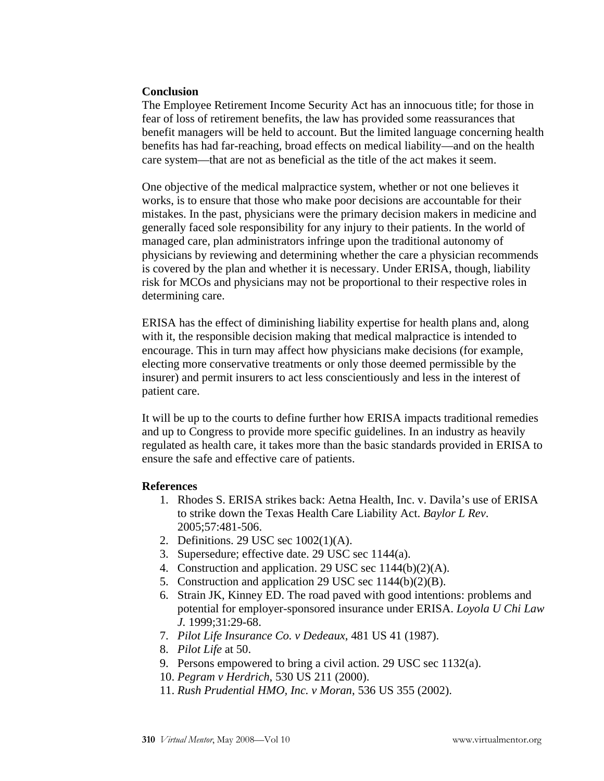### **Conclusion**

The Employee Retirement Income Security Act has an innocuous title; for those in fear of loss of retirement benefits, the law has provided some reassurances that benefit managers will be held to account. But the limited language concerning health benefits has had far-reaching, broad effects on medical liability—and on the health care system—that are not as beneficial as the title of the act makes it seem.

One objective of the medical malpractice system, whether or not one believes it works, is to ensure that those who make poor decisions are accountable for their mistakes. In the past, physicians were the primary decision makers in medicine and generally faced sole responsibility for any injury to their patients. In the world of managed care, plan administrators infringe upon the traditional autonomy of physicians by reviewing and determining whether the care a physician recommends is covered by the plan and whether it is necessary. Under ERISA, though, liability risk for MCOs and physicians may not be proportional to their respective roles in determining care.

ERISA has the effect of diminishing liability expertise for health plans and, along with it, the responsible decision making that medical malpractice is intended to encourage. This in turn may affect how physicians make decisions (for example, electing more conservative treatments or only those deemed permissible by the insurer) and permit insurers to act less conscientiously and less in the interest of patient care.

It will be up to the courts to define further how ERISA impacts traditional remedies and up to Congress to provide more specific guidelines. In an industry as heavily regulated as health care, it takes more than the basic standards provided in ERISA to ensure the safe and effective care of patients.

### **References**

- 1. Rhodes S. ERISA strikes back: Aetna Health, Inc. v. Davila's use of ERISA to strike down the Texas Health Care Liability Act. *Baylor L Rev*. 2005;57:481-506.
- 2. Definitions. 29 USC sec 1002(1)(A).
- 3. Supersedure; effective date. 29 USC sec 1144(a).
- 4. Construction and application. 29 USC sec 1144(b)(2)(A).
- 5. Construction and application 29 USC sec 1144(b)(2)(B).
- 6. Strain JK, Kinney ED. The road paved with good intentions: problems and potential for employer-sponsored insurance under ERISA. *Loyola U Chi Law J.* 1999;31:29-68.
- 7. *Pilot Life Insurance Co. v Dedeaux*, 481 US 41 (1987).
- 8. *Pilot Life* at 50.
- 9. Persons empowered to bring a civil action. 29 USC sec 1132(a).
- 10. *Pegram v Herdrich*, 530 US 211 (2000).
- 11. *Rush Prudential HMO, Inc. v Moran*, 536 US 355 (2002).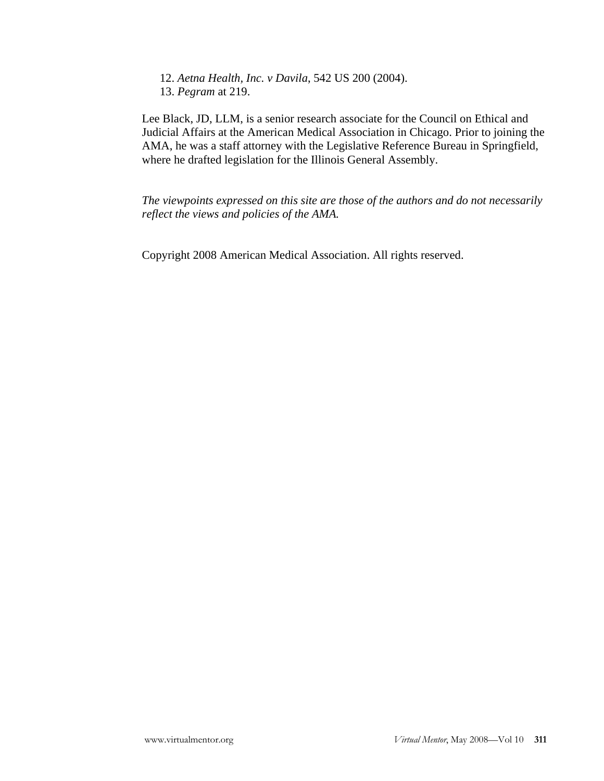- 12. *Aetna Health, Inc. v Davila*, 542 US 200 (2004).
- 13. *Pegram* at 219.

Lee Black, JD, LLM, is a senior research associate for the Council on Ethical and Judicial Affairs at the American Medical Association in Chicago. Prior to joining the AMA, he was a staff attorney with the Legislative Reference Bureau in Springfield, where he drafted legislation for the Illinois General Assembly.

*The viewpoints expressed on this site are those of the authors and do not necessarily reflect the views and policies of the AMA.*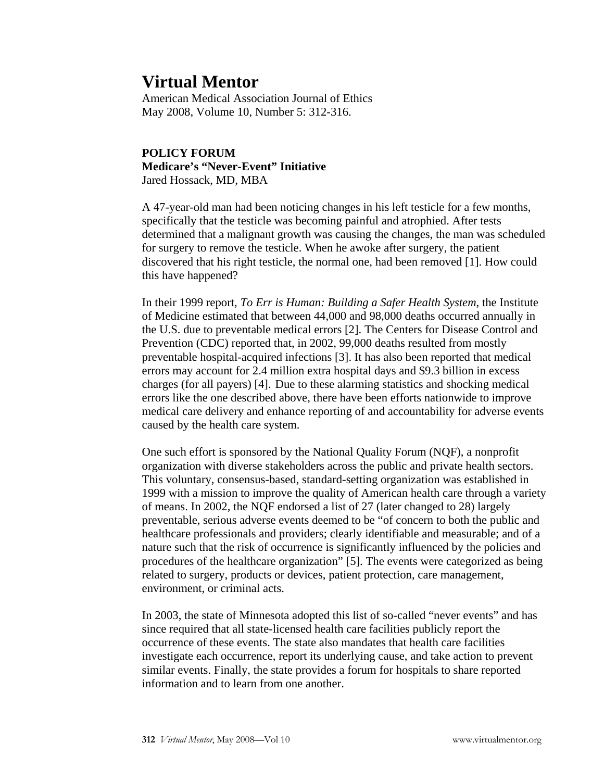American Medical Association Journal of Ethics May 2008, Volume 10, Number 5: 312-316.

## **POLICY FORUM Medicare's "Never-Event" Initiative**  Jared Hossack, MD, MBA

A 47-year-old man had been noticing changes in his left testicle for a few months, specifically that the testicle was becoming painful and atrophied. After tests determined that a malignant growth was causing the changes, the man was scheduled for surgery to remove the testicle. When he awoke after surgery, the patient discovered that his right testicle, the normal one, had been removed [1]. How could this have happened?

In their 1999 report, *To Err is Human: Building a Safer Health System*, the Institute of Medicine estimated that between 44,000 and 98,000 deaths occurred annually in the U.S. due to preventable medical errors [2]. The Centers for Disease Control and Prevention (CDC) reported that, in 2002, 99,000 deaths resulted from mostly preventable hospital-acquired infections [3]. It has also been reported that medical errors may account for 2.4 million extra hospital days and \$9.3 billion in excess charges (for all payers) [4]. Due to these alarming statistics and shocking medical errors like the one described above, there have been efforts nationwide to improve medical care delivery and enhance reporting of and accountability for adverse events caused by the health care system.

One such effort is sponsored by the National Quality Forum (NQF), a nonprofit organization with diverse stakeholders across the public and private health sectors. This voluntary, consensus-based, standard-setting organization was established in 1999 with a mission to improve the quality of American health care through a variety of means. In 2002, the NQF endorsed a list of 27 (later changed to 28) largely preventable, serious adverse events deemed to be "of concern to both the public and healthcare professionals and providers; clearly identifiable and measurable; and of a nature such that the risk of occurrence is significantly influenced by the policies and procedures of the healthcare organization" [5]. The events were categorized as being related to surgery, products or devices, patient protection, care management, environment, or criminal acts.

In 2003, the state of Minnesota adopted this list of so-called "never events" and has since required that all state-licensed health care facilities publicly report the occurrence of these events. The state also mandates that health care facilities investigate each occurrence, report its underlying cause, and take action to prevent similar events. Finally, the state provides a forum for hospitals to share reported information and to learn from one another.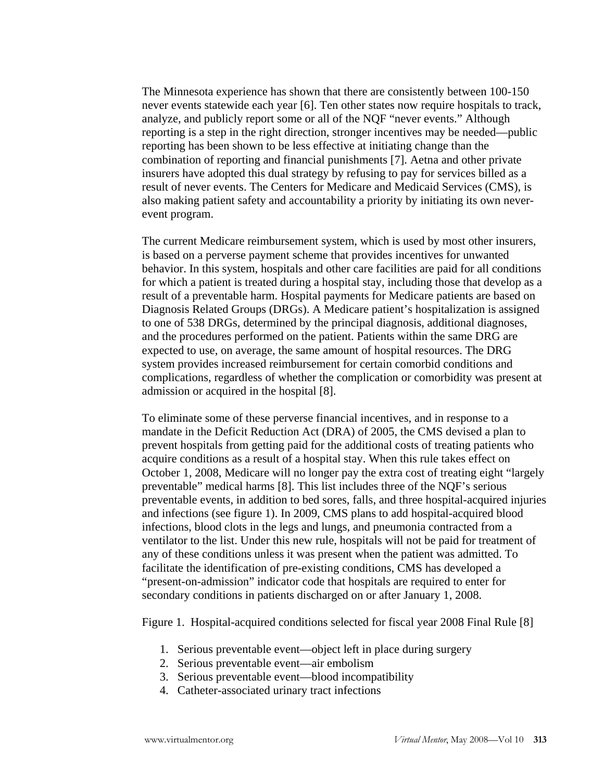The Minnesota experience has shown that there are consistently between 100-150 never events statewide each year [6]. Ten other states now require hospitals to track, analyze, and publicly report some or all of the NQF "never events." Although reporting is a step in the right direction, stronger incentives may be needed—public reporting has been shown to be less effective at initiating change than the combination of reporting and financial punishments [7]. Aetna and other private insurers have adopted this dual strategy by refusing to pay for services billed as a result of never events. The Centers for Medicare and Medicaid Services (CMS), is also making patient safety and accountability a priority by initiating its own neverevent program.

The current Medicare reimbursement system, which is used by most other insurers, is based on a perverse payment scheme that provides incentives for unwanted behavior. In this system, hospitals and other care facilities are paid for all conditions for which a patient is treated during a hospital stay, including those that develop as a result of a preventable harm. Hospital payments for Medicare patients are based on Diagnosis Related Groups (DRGs). A Medicare patient's hospitalization is assigned to one of 538 DRGs, determined by the principal diagnosis, additional diagnoses, and the procedures performed on the patient. Patients within the same DRG are expected to use, on average, the same amount of hospital resources. The DRG system provides increased reimbursement for certain comorbid conditions and complications, regardless of whether the complication or comorbidity was present at admission or acquired in the hospital [8].

To eliminate some of these perverse financial incentives, and in response to a mandate in the Deficit Reduction Act (DRA) of 2005, the CMS devised a plan to prevent hospitals from getting paid for the additional costs of treating patients who acquire conditions as a result of a hospital stay. When this rule takes effect on October 1, 2008, Medicare will no longer pay the extra cost of treating eight "largely preventable" medical harms [8]. This list includes three of the NQF's serious preventable events, in addition to bed sores, falls, and three hospital-acquired injuries and infections (see figure 1). In 2009, CMS plans to add hospital-acquired blood infections, blood clots in the legs and lungs, and pneumonia contracted from a ventilator to the list. Under this new rule, hospitals will not be paid for treatment of any of these conditions unless it was present when the patient was admitted. To facilitate the identification of pre-existing conditions, CMS has developed a "present-on-admission" indicator code that hospitals are required to enter for secondary conditions in patients discharged on or after January 1, 2008.

Figure 1. Hospital-acquired conditions selected for fiscal year 2008 Final Rule [8]

- 1. Serious preventable event—object left in place during surgery
- 2. Serious preventable event—air embolism
- 3. Serious preventable event—blood incompatibility
- 4. Catheter-associated urinary tract infections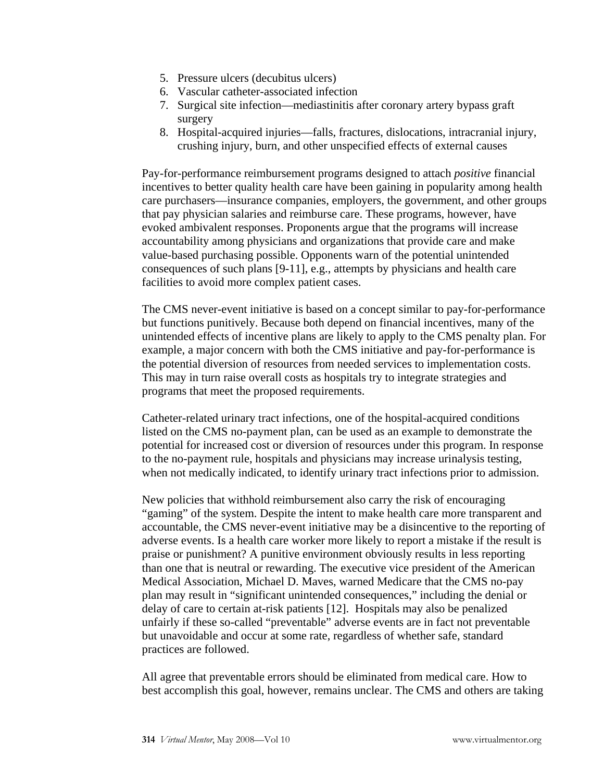- 5. Pressure ulcers (decubitus ulcers)
- 6. Vascular catheter-associated infection
- 7. Surgical site infection—mediastinitis after coronary artery bypass graft surgery
- 8. Hospital-acquired injuries—falls, fractures, dislocations, intracranial injury, crushing injury, burn, and other unspecified effects of external causes

Pay-for-performance reimbursement programs designed to attach *positive* financial incentives to better quality health care have been gaining in popularity among health care purchasers—insurance companies, employers, the government, and other groups that pay physician salaries and reimburse care. These programs, however, have evoked ambivalent responses. Proponents argue that the programs will increase accountability among physicians and organizations that provide care and make value-based purchasing possible. Opponents warn of the potential unintended consequences of such plans [9-11], e.g., attempts by physicians and health care facilities to avoid more complex patient cases.

The CMS never-event initiative is based on a concept similar to pay-for-performance but functions punitively. Because both depend on financial incentives, many of the unintended effects of incentive plans are likely to apply to the CMS penalty plan. For example, a major concern with both the CMS initiative and pay-for-performance is the potential diversion of resources from needed services to implementation costs. This may in turn raise overall costs as hospitals try to integrate strategies and programs that meet the proposed requirements.

Catheter-related urinary tract infections, one of the hospital-acquired conditions listed on the CMS no-payment plan, can be used as an example to demonstrate the potential for increased cost or diversion of resources under this program. In response to the no-payment rule, hospitals and physicians may increase urinalysis testing, when not medically indicated, to identify urinary tract infections prior to admission.

New policies that withhold reimbursement also carry the risk of encouraging "gaming" of the system. Despite the intent to make health care more transparent and accountable, the CMS never-event initiative may be a disincentive to the reporting of adverse events. Is a health care worker more likely to report a mistake if the result is praise or punishment? A punitive environment obviously results in less reporting than one that is neutral or rewarding. The executive vice president of the American Medical Association, Michael D. Maves, warned Medicare that the CMS no-pay plan may result in "significant unintended consequences," including the denial or delay of care to certain at-risk patients [12]. Hospitals may also be penalized unfairly if these so-called "preventable" adverse events are in fact not preventable but unavoidable and occur at some rate, regardless of whether safe, standard practices are followed.

All agree that preventable errors should be eliminated from medical care. How to best accomplish this goal, however, remains unclear. The CMS and others are taking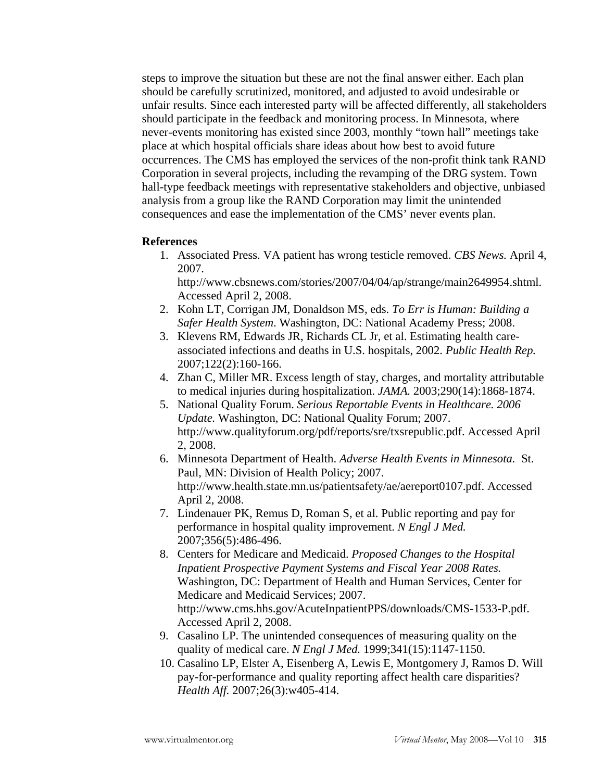steps to improve the situation but these are not the final answer either. Each plan should be carefully scrutinized, monitored, and adjusted to avoid undesirable or unfair results. Since each interested party will be affected differently, all stakeholders should participate in the feedback and monitoring process. In Minnesota, where never-events monitoring has existed since 2003, monthly "town hall" meetings take place at which hospital officials share ideas about how best to avoid future occurrences. The CMS has employed the services of the non-profit think tank RAND Corporation in several projects, including the revamping of the DRG system. Town hall-type feedback meetings with representative stakeholders and objective, unbiased analysis from a group like the RAND Corporation may limit the unintended consequences and ease the implementation of the CMS' never events plan.

### **References**

1. Associated Press. VA patient has wrong testicle removed. *CBS News.* April 4, 2007.

http://www.cbsnews.com/stories/2007/04/04/ap/strange/main2649954.shtml. Accessed April 2, 2008.

- 2. Kohn LT, Corrigan JM, Donaldson MS, eds. *To Err is Human: Building a Safer Health System*. Washington, DC: National Academy Press; 2008.
- 3. Klevens RM, Edwards JR, Richards CL Jr, et al. Estimating health careassociated infections and deaths in U.S. hospitals, 2002. *Public Health Rep.* 2007;122(2):160-166.
- 4. Zhan C, Miller MR. Excess length of stay, charges, and mortality attributable to medical injuries during hospitalization. *JAMA.* 2003;290(14):1868-1874.
- 5. National Quality Forum. *Serious Reportable Events in Healthcare. 2006 Update.* Washington, DC: National Quality Forum; 2007. http://www.qualityforum.org/pdf/reports/sre/txsrepublic.pdf. Accessed April 2, 2008.
- 6. Minnesota Department of Health. *Adverse Health Events in Minnesota.* St. Paul, MN: Division of Health Policy; 2007. http://www.health.state.mn.us/patientsafety/ae/aereport0107.pdf. Accessed April 2, 2008.
- 7. Lindenauer PK, Remus D, Roman S, et al. Public reporting and pay for performance in hospital quality improvement. *N Engl J Med.* 2007;356(5):486-496.
- 8. Centers for Medicare and Medicaid. *Proposed Changes to the Hospital Inpatient Prospective Payment Systems and Fiscal Year 2008 Rates.*  Washington, DC: Department of Health and Human Services, Center for Medicare and Medicaid Services; 2007. http://www.cms.hhs.gov/AcuteInpatientPPS/downloads/CMS-1533-P.pdf. Accessed April 2, 2008.
- 9. Casalino LP. The unintended consequences of measuring quality on the quality of medical care. *N Engl J Med.* 1999;341(15):1147-1150.
- 10. Casalino LP, Elster A, Eisenberg A, Lewis E, Montgomery J, Ramos D. Will pay-for-performance and quality reporting affect health care disparities? *Health Aff.* 2007;26(3):w405-414.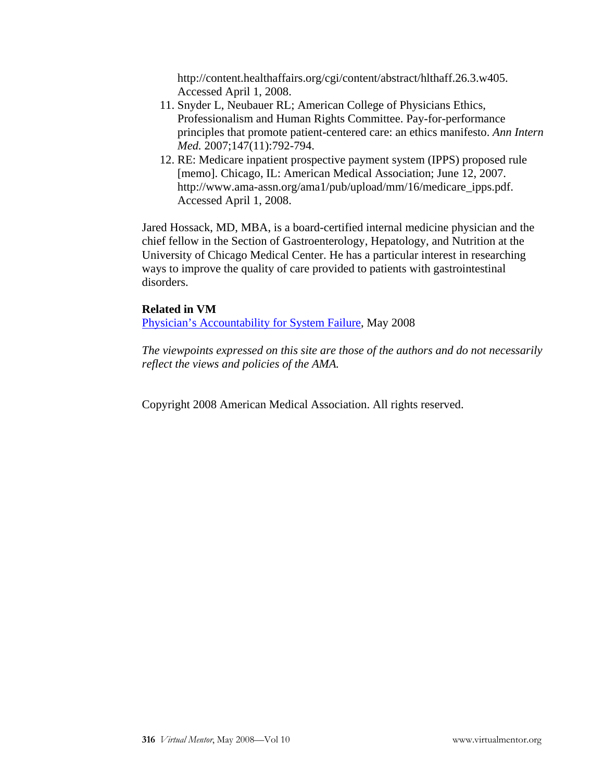http://content.healthaffairs.org/cgi/content/abstract/hlthaff.26.3.w405. Accessed April 1, 2008.

- 11. Snyder L, Neubauer RL; American College of Physicians Ethics, Professionalism and Human Rights Committee. Pay-for-performance principles that promote patient-centered care: an ethics manifesto. *Ann Intern Med.* 2007;147(11):792-794.
- 12. RE: Medicare inpatient prospective payment system (IPPS) proposed rule [memo]. Chicago, IL: American Medical Association; June 12, 2007. http://www.ama-assn.org/ama1/pub/upload/mm/16/medicare\_ipps.pdf. Accessed April 1, 2008.

Jared Hossack, MD, MBA, is a board-certified internal medicine physician and the chief fellow in the Section of Gastroenterology, Hepatology, and Nutrition at the University of Chicago Medical Center. He has a particular interest in researching ways to improve the quality of care provided to patients with gastrointestinal disorders.

### **Related in VM**

[Physician's Accountability for System Failure,](http://virtualmentor.ama-assn.org/2008/05/ccas1-0805.html) May 2008

*The viewpoints expressed on this site are those of the authors and do not necessarily reflect the views and policies of the AMA.*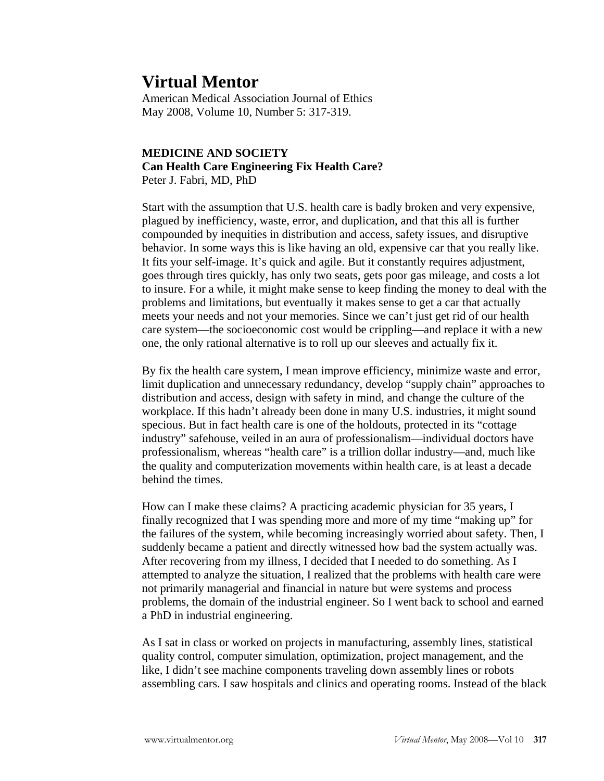American Medical Association Journal of Ethics May 2008, Volume 10, Number 5: 317-319.

## **MEDICINE AND SOCIETY Can Health Care Engineering Fix Health Care?**  Peter J. Fabri, MD, PhD

Start with the assumption that U.S. health care is badly broken and very expensive, plagued by inefficiency, waste, error, and duplication, and that this all is further compounded by inequities in distribution and access, safety issues, and disruptive behavior. In some ways this is like having an old, expensive car that you really like. It fits your self-image. It's quick and agile. But it constantly requires adjustment, goes through tires quickly, has only two seats, gets poor gas mileage, and costs a lot to insure. For a while, it might make sense to keep finding the money to deal with the problems and limitations, but eventually it makes sense to get a car that actually meets your needs and not your memories. Since we can't just get rid of our health care system—the socioeconomic cost would be crippling—and replace it with a new one, the only rational alternative is to roll up our sleeves and actually fix it.

By fix the health care system, I mean improve efficiency, minimize waste and error, limit duplication and unnecessary redundancy, develop "supply chain" approaches to distribution and access, design with safety in mind, and change the culture of the workplace. If this hadn't already been done in many U.S. industries, it might sound specious. But in fact health care is one of the holdouts, protected in its "cottage industry" safehouse, veiled in an aura of professionalism—individual doctors have professionalism, whereas "health care" is a trillion dollar industry—and, much like the quality and computerization movements within health care, is at least a decade behind the times.

How can I make these claims? A practicing academic physician for 35 years, I finally recognized that I was spending more and more of my time "making up" for the failures of the system, while becoming increasingly worried about safety. Then, I suddenly became a patient and directly witnessed how bad the system actually was. After recovering from my illness, I decided that I needed to do something. As I attempted to analyze the situation, I realized that the problems with health care were not primarily managerial and financial in nature but were systems and process problems, the domain of the industrial engineer. So I went back to school and earned a PhD in industrial engineering.

As I sat in class or worked on projects in manufacturing, assembly lines, statistical quality control, computer simulation, optimization, project management, and the like, I didn't see machine components traveling down assembly lines or robots assembling cars. I saw hospitals and clinics and operating rooms. Instead of the black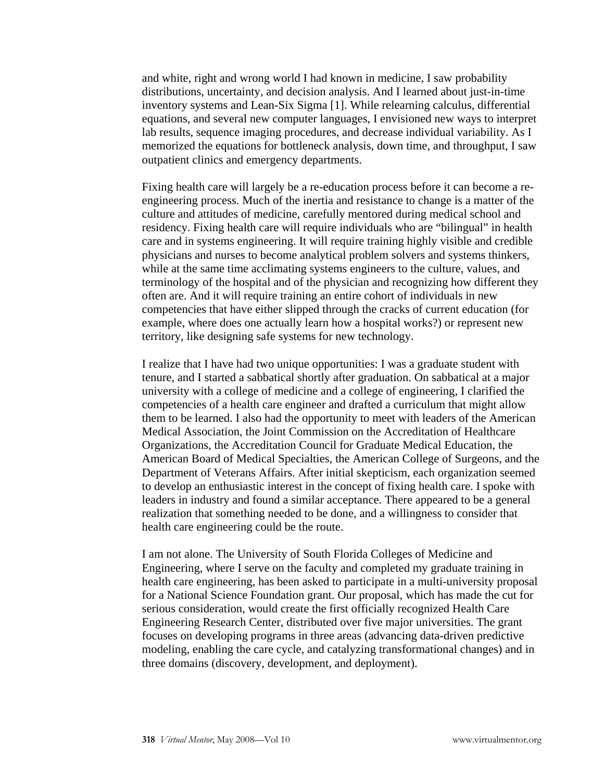and white, right and wrong world I had known in medicine, I saw probability distributions, uncertainty, and decision analysis. And I learned about just-in-time inventory systems and Lean-Six Sigma [1]. While relearning calculus, differential equations, and several new computer languages, I envisioned new ways to interpret lab results, sequence imaging procedures, and decrease individual variability. As I memorized the equations for bottleneck analysis, down time, and throughput, I saw outpatient clinics and emergency departments.

Fixing health care will largely be a re-education process before it can become a reengineering process. Much of the inertia and resistance to change is a matter of the culture and attitudes of medicine, carefully mentored during medical school and residency. Fixing health care will require individuals who are "bilingual" in health care and in systems engineering. It will require training highly visible and credible physicians and nurses to become analytical problem solvers and systems thinkers, while at the same time acclimating systems engineers to the culture, values, and terminology of the hospital and of the physician and recognizing how different they often are. And it will require training an entire cohort of individuals in new competencies that have either slipped through the cracks of current education (for example, where does one actually learn how a hospital works?) or represent new territory, like designing safe systems for new technology.

I realize that I have had two unique opportunities: I was a graduate student with tenure, and I started a sabbatical shortly after graduation. On sabbatical at a major university with a college of medicine and a college of engineering, I clarified the competencies of a health care engineer and drafted a curriculum that might allow them to be learned. I also had the opportunity to meet with leaders of the American Medical Association, the Joint Commission on the Accreditation of Healthcare Organizations, the Accreditation Council for Graduate Medical Education, the American Board of Medical Specialties, the American College of Surgeons, and the Department of Veterans Affairs. After initial skepticism, each organization seemed to develop an enthusiastic interest in the concept of fixing health care. I spoke with leaders in industry and found a similar acceptance. There appeared to be a general realization that something needed to be done, and a willingness to consider that health care engineering could be the route.

I am not alone. The University of South Florida Colleges of Medicine and Engineering, where I serve on the faculty and completed my graduate training in health care engineering, has been asked to participate in a multi-university proposal for a National Science Foundation grant. Our proposal, which has made the cut for serious consideration, would create the first officially recognized Health Care Engineering Research Center, distributed over five major universities. The grant focuses on developing programs in three areas (advancing data-driven predictive modeling, enabling the care cycle, and catalyzing transformational changes) and in three domains (discovery, development, and deployment).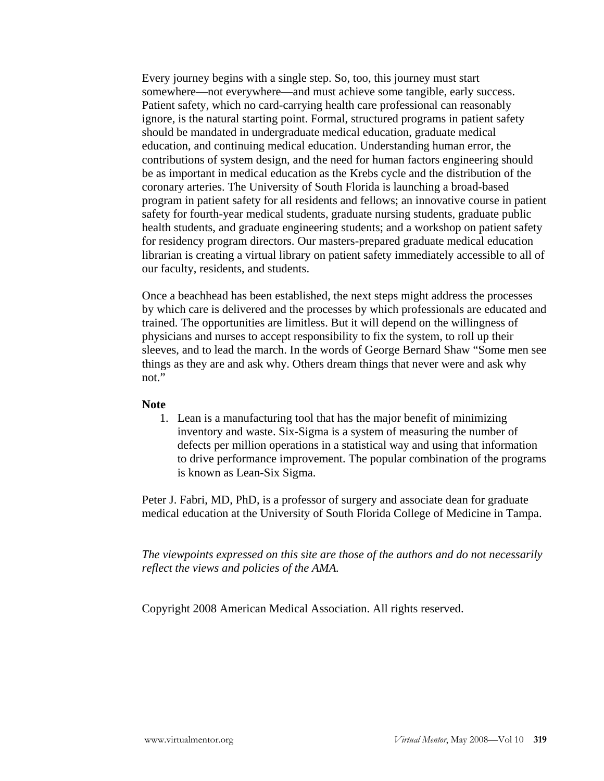Every journey begins with a single step. So, too, this journey must start somewhere—not everywhere—and must achieve some tangible, early success. Patient safety, which no card-carrying health care professional can reasonably ignore, is the natural starting point. Formal, structured programs in patient safety should be mandated in undergraduate medical education, graduate medical education, and continuing medical education. Understanding human error, the contributions of system design, and the need for human factors engineering should be as important in medical education as the Krebs cycle and the distribution of the coronary arteries. The University of South Florida is launching a broad-based program in patient safety for all residents and fellows; an innovative course in patient safety for fourth-year medical students, graduate nursing students, graduate public health students, and graduate engineering students; and a workshop on patient safety for residency program directors. Our masters-prepared graduate medical education librarian is creating a virtual library on patient safety immediately accessible to all of our faculty, residents, and students.

Once a beachhead has been established, the next steps might address the processes by which care is delivered and the processes by which professionals are educated and trained. The opportunities are limitless. But it will depend on the willingness of physicians and nurses to accept responsibility to fix the system, to roll up their sleeves, and to lead the march. In the words of George Bernard Shaw "Some men see things as they are and ask why. Others dream things that never were and ask why not."

### **Note**

1. Lean is a manufacturing tool that has the major benefit of minimizing inventory and waste. Six-Sigma is a system of measuring the number of defects per million operations in a statistical way and using that information to drive performance improvement. The popular combination of the programs is known as Lean-Six Sigma.

Peter J. Fabri, MD, PhD, is a professor of surgery and associate dean for graduate medical education at the University of South Florida College of Medicine in Tampa.

*The viewpoints expressed on this site are those of the authors and do not necessarily reflect the views and policies of the AMA.*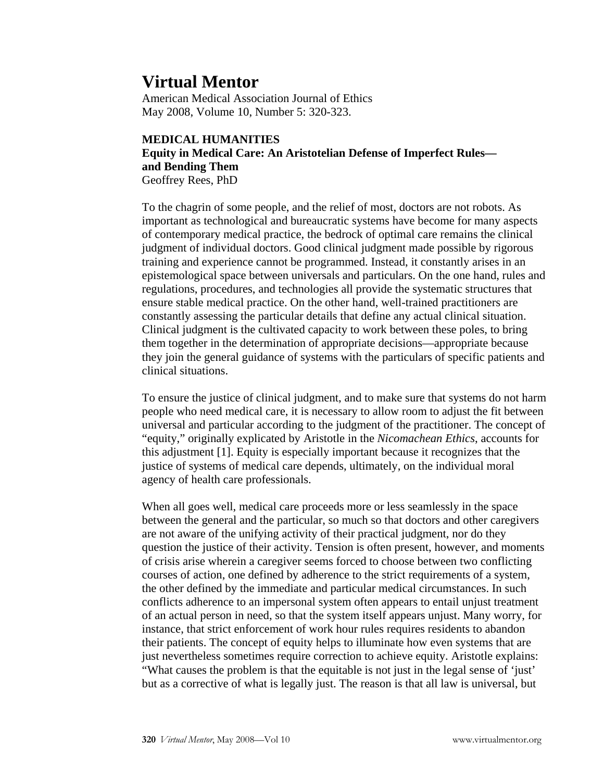American Medical Association Journal of Ethics May 2008, Volume 10, Number 5: 320-323.

## **MEDICAL HUMANITIES Equity in Medical Care: An Aristotelian Defense of Imperfect Rules and Bending Them**  Geoffrey Rees, PhD

To the chagrin of some people, and the relief of most, doctors are not robots. As important as technological and bureaucratic systems have become for many aspects of contemporary medical practice, the bedrock of optimal care remains the clinical judgment of individual doctors. Good clinical judgment made possible by rigorous training and experience cannot be programmed. Instead, it constantly arises in an epistemological space between universals and particulars. On the one hand, rules and regulations, procedures, and technologies all provide the systematic structures that ensure stable medical practice. On the other hand, well-trained practitioners are constantly assessing the particular details that define any actual clinical situation. Clinical judgment is the cultivated capacity to work between these poles, to bring them together in the determination of appropriate decisions—appropriate because they join the general guidance of systems with the particulars of specific patients and clinical situations.

To ensure the justice of clinical judgment, and to make sure that systems do not harm people who need medical care, it is necessary to allow room to adjust the fit between universal and particular according to the judgment of the practitioner. The concept of "equity," originally explicated by Aristotle in the *Nicomachean Ethics*, accounts for this adjustment [1]. Equity is especially important because it recognizes that the justice of systems of medical care depends, ultimately, on the individual moral agency of health care professionals.

When all goes well, medical care proceeds more or less seamlessly in the space between the general and the particular, so much so that doctors and other caregivers are not aware of the unifying activity of their practical judgment, nor do they question the justice of their activity. Tension is often present, however, and moments of crisis arise wherein a caregiver seems forced to choose between two conflicting courses of action, one defined by adherence to the strict requirements of a system, the other defined by the immediate and particular medical circumstances. In such conflicts adherence to an impersonal system often appears to entail unjust treatment of an actual person in need, so that the system itself appears unjust. Many worry, for instance, that strict enforcement of work hour rules requires residents to abandon their patients. The concept of equity helps to illuminate how even systems that are just nevertheless sometimes require correction to achieve equity. Aristotle explains: "What causes the problem is that the equitable is not just in the legal sense of 'just' but as a corrective of what is legally just. The reason is that all law is universal, but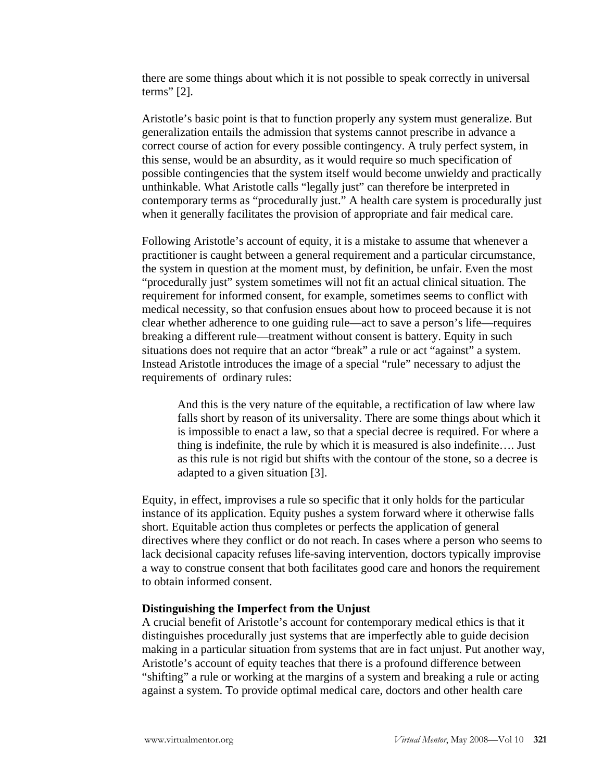there are some things about which it is not possible to speak correctly in universal terms" [2].

Aristotle's basic point is that to function properly any system must generalize. But generalization entails the admission that systems cannot prescribe in advance a correct course of action for every possible contingency. A truly perfect system, in this sense, would be an absurdity, as it would require so much specification of possible contingencies that the system itself would become unwieldy and practically unthinkable. What Aristotle calls "legally just" can therefore be interpreted in contemporary terms as "procedurally just." A health care system is procedurally just when it generally facilitates the provision of appropriate and fair medical care.

Following Aristotle's account of equity, it is a mistake to assume that whenever a practitioner is caught between a general requirement and a particular circumstance, the system in question at the moment must, by definition, be unfair. Even the most "procedurally just" system sometimes will not fit an actual clinical situation. The requirement for informed consent, for example, sometimes seems to conflict with medical necessity, so that confusion ensues about how to proceed because it is not clear whether adherence to one guiding rule—act to save a person's life—requires breaking a different rule—treatment without consent is battery. Equity in such situations does not require that an actor "break" a rule or act "against" a system. Instead Aristotle introduces the image of a special "rule" necessary to adjust the requirements of ordinary rules:

And this is the very nature of the equitable, a rectification of law where law falls short by reason of its universality. There are some things about which it is impossible to enact a law, so that a special decree is required. For where a thing is indefinite, the rule by which it is measured is also indefinite…. Just as this rule is not rigid but shifts with the contour of the stone, so a decree is adapted to a given situation [3].

Equity, in effect, improvises a rule so specific that it only holds for the particular instance of its application. Equity pushes a system forward where it otherwise falls short. Equitable action thus completes or perfects the application of general directives where they conflict or do not reach. In cases where a person who seems to lack decisional capacity refuses life-saving intervention, doctors typically improvise a way to construe consent that both facilitates good care and honors the requirement to obtain informed consent.

### **Distinguishing the Imperfect from the Unjust**

A crucial benefit of Aristotle's account for contemporary medical ethics is that it distinguishes procedurally just systems that are imperfectly able to guide decision making in a particular situation from systems that are in fact unjust. Put another way, Aristotle's account of equity teaches that there is a profound difference between "shifting" a rule or working at the margins of a system and breaking a rule or acting against a system. To provide optimal medical care, doctors and other health care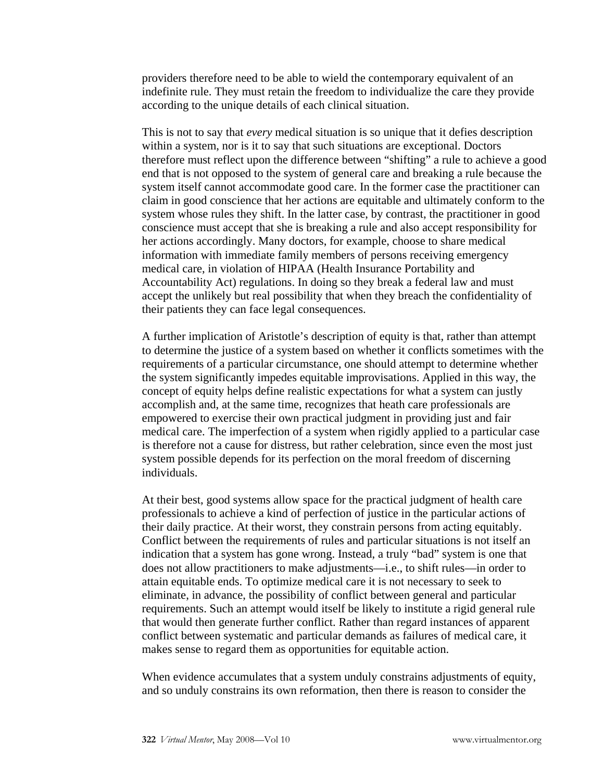providers therefore need to be able to wield the contemporary equivalent of an indefinite rule. They must retain the freedom to individualize the care they provide according to the unique details of each clinical situation.

This is not to say that *every* medical situation is so unique that it defies description within a system, nor is it to say that such situations are exceptional. Doctors therefore must reflect upon the difference between "shifting" a rule to achieve a good end that is not opposed to the system of general care and breaking a rule because the system itself cannot accommodate good care. In the former case the practitioner can claim in good conscience that her actions are equitable and ultimately conform to the system whose rules they shift. In the latter case, by contrast, the practitioner in good conscience must accept that she is breaking a rule and also accept responsibility for her actions accordingly. Many doctors, for example, choose to share medical information with immediate family members of persons receiving emergency medical care, in violation of HIPAA (Health Insurance Portability and Accountability Act) regulations. In doing so they break a federal law and must accept the unlikely but real possibility that when they breach the confidentiality of their patients they can face legal consequences.

A further implication of Aristotle's description of equity is that, rather than attempt to determine the justice of a system based on whether it conflicts sometimes with the requirements of a particular circumstance, one should attempt to determine whether the system significantly impedes equitable improvisations. Applied in this way, the concept of equity helps define realistic expectations for what a system can justly accomplish and, at the same time, recognizes that heath care professionals are empowered to exercise their own practical judgment in providing just and fair medical care. The imperfection of a system when rigidly applied to a particular case is therefore not a cause for distress, but rather celebration, since even the most just system possible depends for its perfection on the moral freedom of discerning individuals.

At their best, good systems allow space for the practical judgment of health care professionals to achieve a kind of perfection of justice in the particular actions of their daily practice. At their worst, they constrain persons from acting equitably. Conflict between the requirements of rules and particular situations is not itself an indication that a system has gone wrong. Instead, a truly "bad" system is one that does not allow practitioners to make adjustments—i.e., to shift rules—in order to attain equitable ends. To optimize medical care it is not necessary to seek to eliminate, in advance, the possibility of conflict between general and particular requirements. Such an attempt would itself be likely to institute a rigid general rule that would then generate further conflict. Rather than regard instances of apparent conflict between systematic and particular demands as failures of medical care, it makes sense to regard them as opportunities for equitable action.

When evidence accumulates that a system unduly constrains adjustments of equity, and so unduly constrains its own reformation, then there is reason to consider the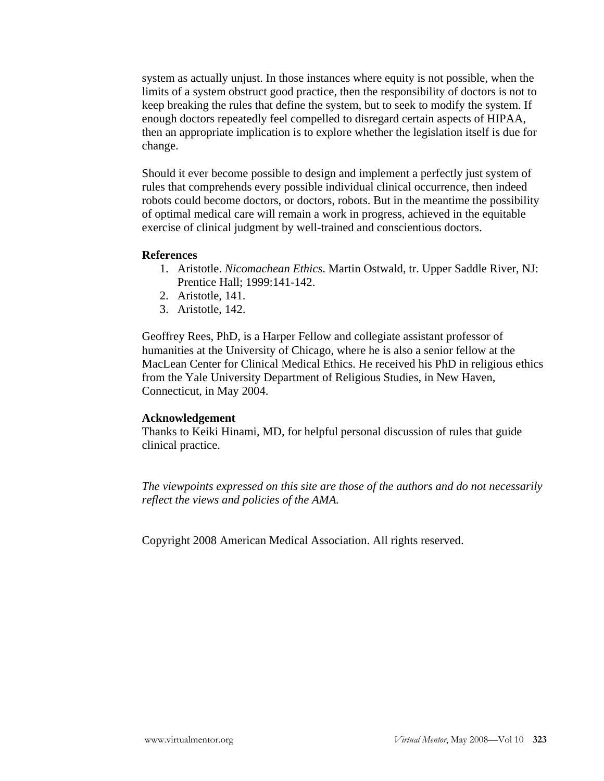system as actually unjust. In those instances where equity is not possible, when the limits of a system obstruct good practice, then the responsibility of doctors is not to keep breaking the rules that define the system, but to seek to modify the system. If enough doctors repeatedly feel compelled to disregard certain aspects of HIPAA, then an appropriate implication is to explore whether the legislation itself is due for change.

Should it ever become possible to design and implement a perfectly just system of rules that comprehends every possible individual clinical occurrence, then indeed robots could become doctors, or doctors, robots. But in the meantime the possibility of optimal medical care will remain a work in progress, achieved in the equitable exercise of clinical judgment by well-trained and conscientious doctors.

### **References**

- 1. Aristotle. *Nicomachean Ethics*. Martin Ostwald, tr. Upper Saddle River, NJ: Prentice Hall; 1999:141-142.
- 2. Aristotle, 141.
- 3. Aristotle, 142.

Geoffrey Rees, PhD, is a Harper Fellow and collegiate assistant professor of humanities at the University of Chicago, where he is also a senior fellow at the MacLean Center for Clinical Medical Ethics. He received his PhD in religious ethics from the Yale University Department of Religious Studies, in New Haven, Connecticut, in May 2004.

### **Acknowledgement**

Thanks to Keiki Hinami, MD, for helpful personal discussion of rules that guide clinical practice.

*The viewpoints expressed on this site are those of the authors and do not necessarily reflect the views and policies of the AMA.*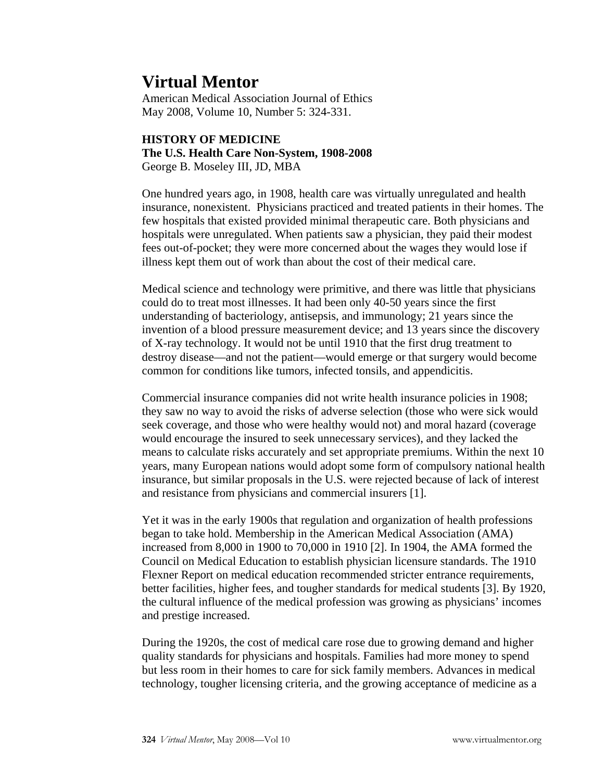American Medical Association Journal of Ethics May 2008, Volume 10, Number 5: 324-331.

## **HISTORY OF MEDICINE The U.S. Health Care Non-System, 1908-2008**  George B. Moseley III, JD, MBA

One hundred years ago, in 1908, health care was virtually unregulated and health insurance, nonexistent. Physicians practiced and treated patients in their homes. The few hospitals that existed provided minimal therapeutic care. Both physicians and hospitals were unregulated. When patients saw a physician, they paid their modest fees out-of-pocket; they were more concerned about the wages they would lose if illness kept them out of work than about the cost of their medical care.

Medical science and technology were primitive, and there was little that physicians could do to treat most illnesses. It had been only 40-50 years since the first understanding of bacteriology, antisepsis, and immunology; 21 years since the invention of a blood pressure measurement device; and 13 years since the discovery of X-ray technology. It would not be until 1910 that the first drug treatment to destroy disease—and not the patient—would emerge or that surgery would become common for conditions like tumors, infected tonsils, and appendicitis.

Commercial insurance companies did not write health insurance policies in 1908; they saw no way to avoid the risks of adverse selection (those who were sick would seek coverage, and those who were healthy would not) and moral hazard (coverage would encourage the insured to seek unnecessary services), and they lacked the means to calculate risks accurately and set appropriate premiums. Within the next 10 years, many European nations would adopt some form of compulsory national health insurance, but similar proposals in the U.S. were rejected because of lack of interest and resistance from physicians and commercial insurers [1].

Yet it was in the early 1900s that regulation and organization of health professions began to take hold. Membership in the American Medical Association (AMA) increased from 8,000 in 1900 to 70,000 in 1910 [2]. In 1904, the AMA formed the Council on Medical Education to establish physician licensure standards. The 1910 Flexner Report on medical education recommended stricter entrance requirements, better facilities, higher fees, and tougher standards for medical students [3]. By 1920, the cultural influence of the medical profession was growing as physicians' incomes and prestige increased.

During the 1920s, the cost of medical care rose due to growing demand and higher quality standards for physicians and hospitals. Families had more money to spend but less room in their homes to care for sick family members. Advances in medical technology, tougher licensing criteria, and the growing acceptance of medicine as a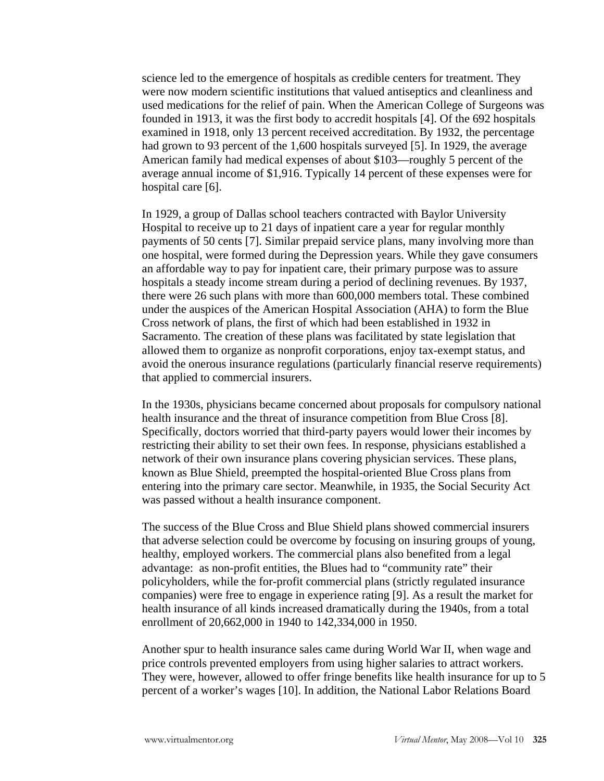science led to the emergence of hospitals as credible centers for treatment. They were now modern scientific institutions that valued antiseptics and cleanliness and used medications for the relief of pain. When the American College of Surgeons was founded in 1913, it was the first body to accredit hospitals [4]. Of the 692 hospitals examined in 1918, only 13 percent received accreditation. By 1932, the percentage had grown to 93 percent of the 1,600 hospitals surveyed [5]. In 1929, the average American family had medical expenses of about \$103—roughly 5 percent of the average annual income of \$1,916. Typically 14 percent of these expenses were for hospital care [6].

In 1929, a group of Dallas school teachers contracted with Baylor University Hospital to receive up to 21 days of inpatient care a year for regular monthly payments of 50 cents [7]. Similar prepaid service plans, many involving more than one hospital, were formed during the Depression years. While they gave consumers an affordable way to pay for inpatient care, their primary purpose was to assure hospitals a steady income stream during a period of declining revenues. By 1937, there were 26 such plans with more than 600,000 members total. These combined under the auspices of the American Hospital Association (AHA) to form the Blue Cross network of plans, the first of which had been established in 1932 in Sacramento. The creation of these plans was facilitated by state legislation that allowed them to organize as nonprofit corporations, enjoy tax-exempt status, and avoid the onerous insurance regulations (particularly financial reserve requirements) that applied to commercial insurers.

In the 1930s, physicians became concerned about proposals for compulsory national health insurance and the threat of insurance competition from Blue Cross [8]. Specifically, doctors worried that third-party payers would lower their incomes by restricting their ability to set their own fees. In response, physicians established a network of their own insurance plans covering physician services. These plans, known as Blue Shield, preempted the hospital-oriented Blue Cross plans from entering into the primary care sector. Meanwhile, in 1935, the Social Security Act was passed without a health insurance component.

The success of the Blue Cross and Blue Shield plans showed commercial insurers that adverse selection could be overcome by focusing on insuring groups of young, healthy, employed workers. The commercial plans also benefited from a legal advantage: as non-profit entities, the Blues had to "community rate" their policyholders, while the for-profit commercial plans (strictly regulated insurance companies) were free to engage in experience rating [9]. As a result the market for health insurance of all kinds increased dramatically during the 1940s, from a total enrollment of 20,662,000 in 1940 to 142,334,000 in 1950.

Another spur to health insurance sales came during World War II, when wage and price controls prevented employers from using higher salaries to attract workers. They were, however, allowed to offer fringe benefits like health insurance for up to 5 percent of a worker's wages [10]. In addition, the National Labor Relations Board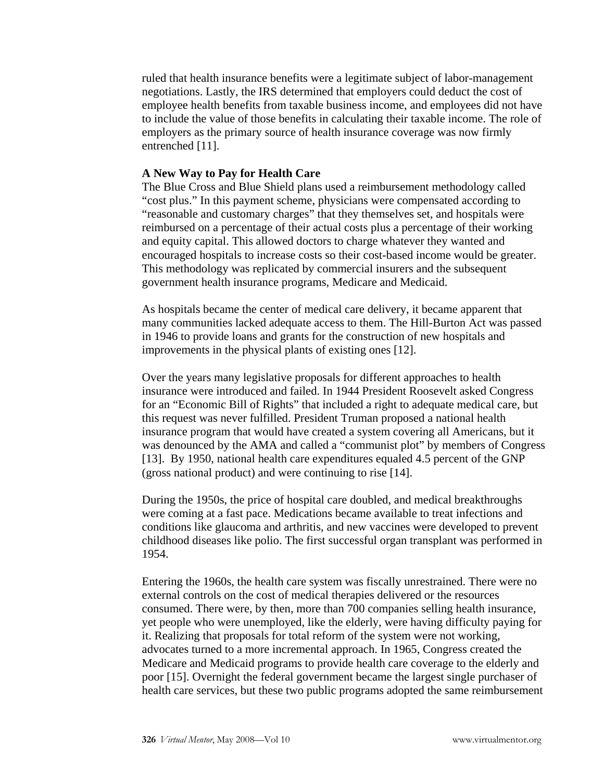ruled that health insurance benefits were a legitimate subject of labor-management negotiations. Lastly, the IRS determined that employers could deduct the cost of employee health benefits from taxable business income, and employees did not have to include the value of those benefits in calculating their taxable income. The role of employers as the primary source of health insurance coverage was now firmly entrenched [11].

#### **A New Way to Pay for Health Care**

The Blue Cross and Blue Shield plans used a reimbursement methodology called "cost plus." In this payment scheme, physicians were compensated according to "reasonable and customary charges" that they themselves set, and hospitals were reimbursed on a percentage of their actual costs plus a percentage of their working and equity capital. This allowed doctors to charge whatever they wanted and encouraged hospitals to increase costs so their cost-based income would be greater. This methodology was replicated by commercial insurers and the subsequent government health insurance programs, Medicare and Medicaid.

As hospitals became the center of medical care delivery, it became apparent that many communities lacked adequate access to them. The Hill-Burton Act was passed in 1946 to provide loans and grants for the construction of new hospitals and improvements in the physical plants of existing ones [12].

Over the years many legislative proposals for different approaches to health insurance were introduced and failed. In 1944 President Roosevelt asked Congress for an "Economic Bill of Rights" that included a right to adequate medical care, but this request was never fulfilled. President Truman proposed a national health insurance program that would have created a system covering all Americans, but it was denounced by the AMA and called a "communist plot" by members of Congress [13]. By 1950, national health care expenditures equaled 4.5 percent of the GNP (gross national product) and were continuing to rise [14].

During the 1950s, the price of hospital care doubled, and medical breakthroughs were coming at a fast pace. Medications became available to treat infections and conditions like glaucoma and arthritis, and new vaccines were developed to prevent childhood diseases like polio. The first successful organ transplant was performed in 1954.

Entering the 1960s, the health care system was fiscally unrestrained. There were no external controls on the cost of medical therapies delivered or the resources consumed. There were, by then, more than 700 companies selling health insurance, yet people who were unemployed, like the elderly, were having difficulty paying for it. Realizing that proposals for total reform of the system were not working, advocates turned to a more incremental approach. In 1965, Congress created the Medicare and Medicaid programs to provide health care coverage to the elderly and poor [15]. Overnight the federal government became the largest single purchaser of health care services, but these two public programs adopted the same reimbursement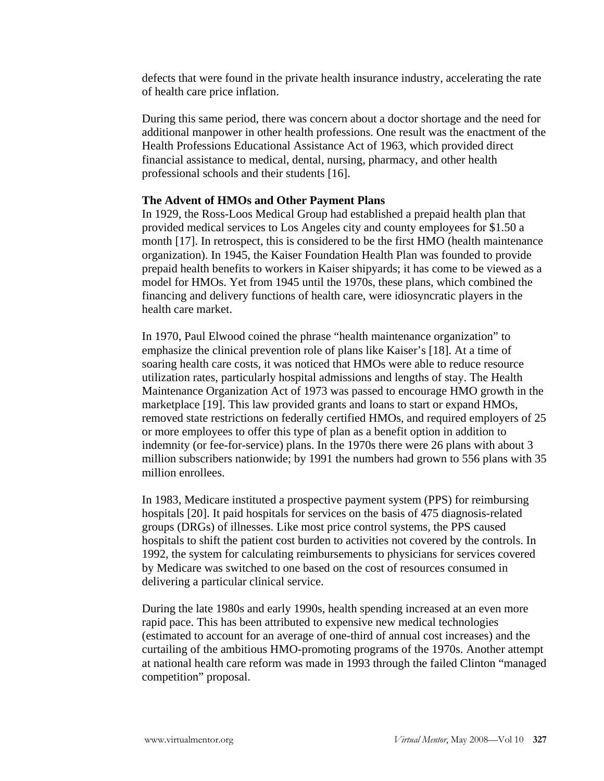defects that were found in the private health insurance industry, accelerating the rate of health care price inflation.

During this same period, there was concern about a doctor shortage and the need for additional manpower in other health professions. One result was the enactment of the Health Professions Educational Assistance Act of 1963, which provided direct financial assistance to medical, dental, nursing, pharmacy, and other health professional schools and their students [16].

### **The Advent of HMOs and Other Payment Plans**

In 1929, the Ross-Loos Medical Group had established a prepaid health plan that provided medical services to Los Angeles city and county employees for \$1.50 a month [17]. In retrospect, this is considered to be the first HMO (health maintenance organization). In 1945, the Kaiser Foundation Health Plan was founded to provide prepaid health benefits to workers in Kaiser shipyards; it has come to be viewed as a model for HMOs. Yet from 1945 until the 1970s, these plans, which combined the financing and delivery functions of health care, were idiosyncratic players in the health care market.

In 1970, Paul Elwood coined the phrase "health maintenance organization" to emphasize the clinical prevention role of plans like Kaiser's [18]. At a time of soaring health care costs, it was noticed that HMOs were able to reduce resource utilization rates, particularly hospital admissions and lengths of stay. The Health Maintenance Organization Act of 1973 was passed to encourage HMO growth in the marketplace [19]. This law provided grants and loans to start or expand HMOs, removed state restrictions on federally certified HMOs, and required employers of 25 or more employees to offer this type of plan as a benefit option in addition to indemnity (or fee-for-service) plans. In the 1970s there were 26 plans with about 3 million subscribers nationwide; by 1991 the numbers had grown to 556 plans with 35 million enrollees.

In 1983, Medicare instituted a prospective payment system (PPS) for reimbursing hospitals [20]. It paid hospitals for services on the basis of 475 diagnosis-related groups (DRGs) of illnesses. Like most price control systems, the PPS caused hospitals to shift the patient cost burden to activities not covered by the controls. In 1992, the system for calculating reimbursements to physicians for services covered by Medicare was switched to one based on the cost of resources consumed in delivering a particular clinical service.

During the late 1980s and early 1990s, health spending increased at an even more rapid pace. This has been attributed to expensive new medical technologies (estimated to account for an average of one-third of annual cost increases) and the curtailing of the ambitious HMO-promoting programs of the 1970s. Another attempt at national health care reform was made in 1993 through the failed Clinton "managed competition" proposal.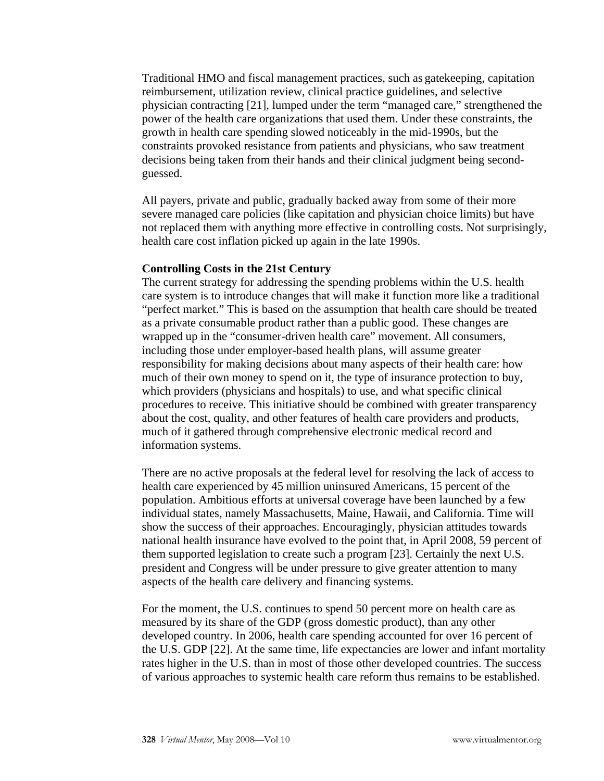Traditional HMO and fiscal management practices, such as gatekeeping, capitation reimbursement, utilization review, clinical practice guidelines, and selective physician contracting [21], lumped under the term "managed care," strengthened the power of the health care organizations that used them. Under these constraints, the growth in health care spending slowed noticeably in the mid-1990s, but the constraints provoked resistance from patients and physicians, who saw treatment decisions being taken from their hands and their clinical judgment being secondguessed.

All payers, private and public, gradually backed away from some of their more severe managed care policies (like capitation and physician choice limits) but have not replaced them with anything more effective in controlling costs. Not surprisingly, health care cost inflation picked up again in the late 1990s.

### **Controlling Costs in the 21st Century**

The current strategy for addressing the spending problems within the U.S. health care system is to introduce changes that will make it function more like a traditional "perfect market." This is based on the assumption that health care should be treated as a private consumable product rather than a public good. These changes are wrapped up in the "consumer-driven health care" movement. All consumers, including those under employer-based health plans, will assume greater responsibility for making decisions about many aspects of their health care: how much of their own money to spend on it, the type of insurance protection to buy, which providers (physicians and hospitals) to use, and what specific clinical procedures to receive. This initiative should be combined with greater transparency about the cost, quality, and other features of health care providers and products, much of it gathered through comprehensive electronic medical record and information systems.

There are no active proposals at the federal level for resolving the lack of access to health care experienced by 45 million uninsured Americans, 15 percent of the population. Ambitious efforts at universal coverage have been launched by a few individual states, namely Massachusetts, Maine, Hawaii, and California. Time will show the success of their approaches. Encouragingly, physician attitudes towards national health insurance have evolved to the point that, in April 2008, 59 percent of them supported legislation to create such a program [23]. Certainly the next U.S. president and Congress will be under pressure to give greater attention to many aspects of the health care delivery and financing systems.

For the moment, the U.S. continues to spend 50 percent more on health care as measured by its share of the GDP (gross domestic product), than any other developed country. In 2006, health care spending accounted for over 16 percent of the U.S. GDP [22]. At the same time, life expectancies are lower and infant mortality rates higher in the U.S. than in most of those other developed countries. The success of various approaches to systemic health care reform thus remains to be established.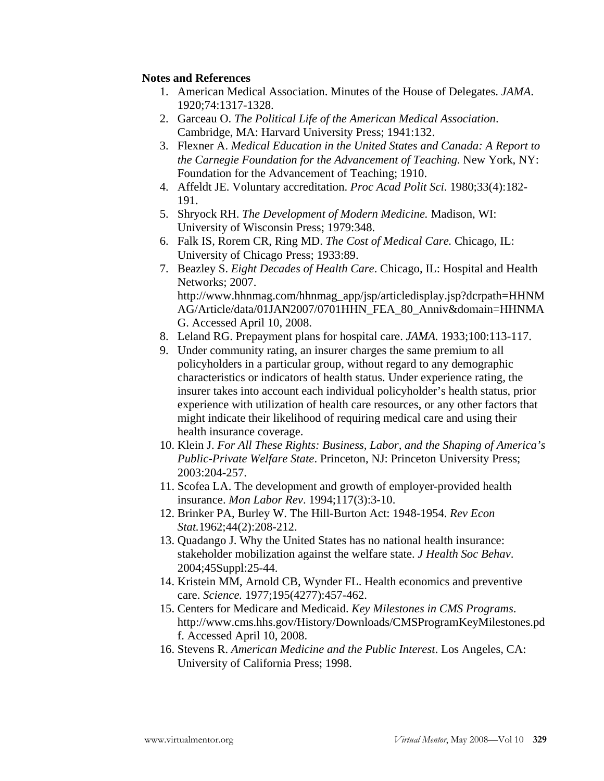## **Notes and References**

- 1. American Medical Association. Minutes of the House of Delegates. *JAMA*. 1920;74:1317-1328.
- 2. Garceau O. *The Political Life of the American Medical Association*. Cambridge, MA: Harvard University Press; 1941:132.
- 3. Flexner A. *Medical Education in the United States and Canada: A Report to the Carnegie Foundation for the Advancement of Teaching.* New York, NY: Foundation for the Advancement of Teaching; 1910.
- 4. Affeldt JE. Voluntary accreditation. *Proc Acad Polit Sci*. 1980;33(4):182- 191.
- 5. Shryock RH. *The Development of Modern Medicine.* Madison, WI: University of Wisconsin Press; 1979:348.
- 6. Falk IS, Rorem CR, Ring MD. *The Cost of Medical Care.* Chicago, IL: University of Chicago Press; 1933:89.
- 7. Beazley S. *Eight Decades of Health Care*. Chicago, IL: Hospital and Health Networks; 2007. http://www.hhnmag.com/hhnmag\_app/jsp/articledisplay.jsp?dcrpath=HHNM AG/Article/data/01JAN2007/0701HHN\_FEA\_80\_Anniv&domain=HHNMA G. Accessed April 10, 2008.
- 8. Leland RG. Prepayment plans for hospital care. *JAMA.* 1933;100:113-117.
- 9. Under community rating, an insurer charges the same premium to all policyholders in a particular group, without regard to any demographic characteristics or indicators of health status. Under experience rating, the insurer takes into account each individual policyholder's health status, prior experience with utilization of health care resources, or any other factors that might indicate their likelihood of requiring medical care and using their health insurance coverage.
- 10. Klein J. *For All These Rights: Business, Labor, and the Shaping of America's Public-Private Welfare State*. Princeton, NJ: Princeton University Press; 2003:204-257.
- 11. Scofea LA. The development and growth of employer-provided health insurance. *Mon Labor Rev*. 1994;117(3):3-10.
- 12. Brinker PA, Burley W. The Hill-Burton Act: 1948-1954. *Rev Econ Stat.*1962;44(2):208-212.
- 13. Quadango J. Why the United States has no national health insurance: stakeholder mobilization against the welfare state. *J Health Soc Behav*. 2004;45Suppl:25-44.
- 14. Kristein MM, Arnold CB, Wynder FL. Health economics and preventive care. *Science.* 1977;195(4277):457-462.
- 15. Centers for Medicare and Medicaid. *Key Milestones in CMS Programs*. http://www.cms.hhs.gov/History/Downloads/CMSProgramKeyMilestones.pd f. Accessed April 10, 2008.
- 16. Stevens R. *American Medicine and the Public Interest*. Los Angeles, CA: University of California Press; 1998.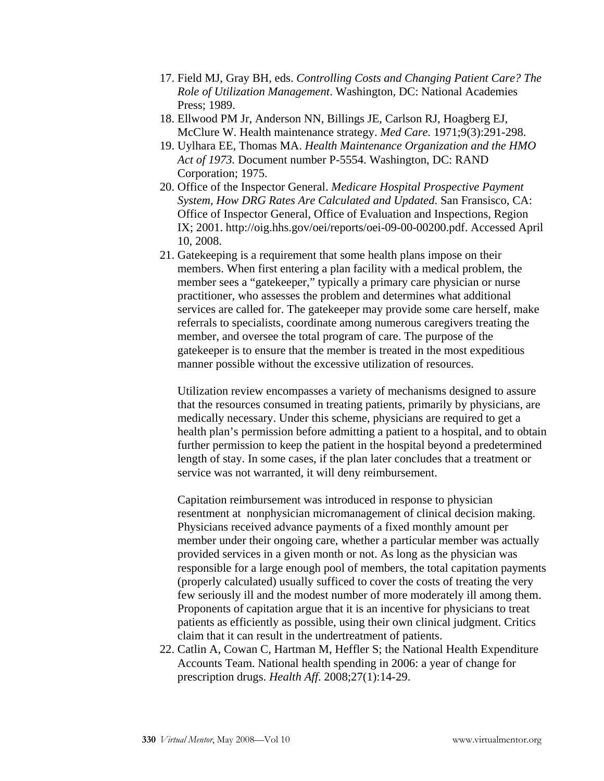- 17. Field MJ, Gray BH, eds. *Controlling Costs and Changing Patient Care? The Role of Utilization Management*. Washington, DC: National Academies Press; 1989.
- 18. Ellwood PM Jr, Anderson NN, Billings JE, Carlson RJ, Hoagberg EJ, McClure W. Health maintenance strategy. *Med Care.* 1971;9(3):291-298.
- 19. Uylhara EE, Thomas MA. *Health Maintenance Organization and the HMO Act of 1973.* Document number P-5554. Washington, DC: RAND Corporation; 1975.
- 20. Office of the Inspector General. *Medicare Hospital Prospective Payment System, How DRG Rates Are Calculated and Updated*. San Fransisco, CA: Office of Inspector General, Office of Evaluation and Inspections, Region IX; 2001. http://oig.hhs.gov/oei/reports/oei-09-00-00200.pdf. Accessed April 10, 2008.
- 21. Gatekeeping is a requirement that some health plans impose on their members. When first entering a plan facility with a medical problem, the member sees a "gatekeeper," typically a primary care physician or nurse practitioner, who assesses the problem and determines what additional services are called for. The gatekeeper may provide some care herself, make referrals to specialists, coordinate among numerous caregivers treating the member, and oversee the total program of care. The purpose of the gatekeeper is to ensure that the member is treated in the most expeditious manner possible without the excessive utilization of resources.

Utilization review encompasses a variety of mechanisms designed to assure that the resources consumed in treating patients, primarily by physicians, are medically necessary. Under this scheme, physicians are required to get a health plan's permission before admitting a patient to a hospital, and to obtain further permission to keep the patient in the hospital beyond a predetermined length of stay. In some cases, if the plan later concludes that a treatment or service was not warranted, it will deny reimbursement.

Capitation reimbursement was introduced in response to physician resentment at nonphysician micromanagement of clinical decision making. Physicians received advance payments of a fixed monthly amount per member under their ongoing care, whether a particular member was actually provided services in a given month or not. As long as the physician was responsible for a large enough pool of members, the total capitation payments (properly calculated) usually sufficed to cover the costs of treating the very few seriously ill and the modest number of more moderately ill among them. Proponents of capitation argue that it is an incentive for physicians to treat patients as efficiently as possible, using their own clinical judgment. Critics claim that it can result in the undertreatment of patients.

22. Catlin A, Cowan C, Hartman M, Heffler S; the National Health Expenditure Accounts Team. National health spending in 2006: a year of change for prescription drugs. *Health Aff*. 2008;27(1):14-29.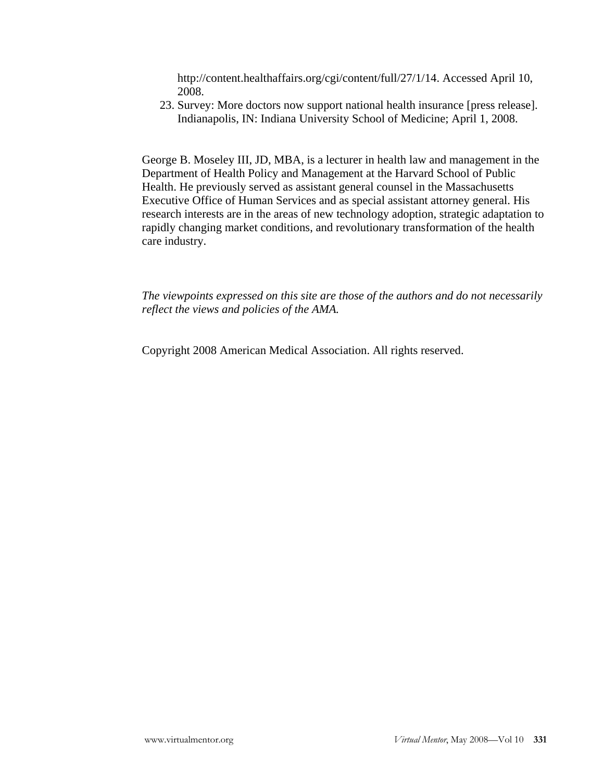http://content.healthaffairs.org/cgi/content/full/27/1/14. Accessed April 10, 2008.

23. Survey: More doctors now support national health insurance [press release]. Indianapolis, IN: Indiana University School of Medicine; April 1, 2008.

George B. Moseley III, JD, MBA, is a lecturer in health law and management in the Department of Health Policy and Management at the Harvard School of Public Health. He previously served as assistant general counsel in the Massachusetts Executive Office of Human Services and as special assistant attorney general. His research interests are in the areas of new technology adoption, strategic adaptation to rapidly changing market conditions, and revolutionary transformation of the health care industry.

*The viewpoints expressed on this site are those of the authors and do not necessarily reflect the views and policies of the AMA.*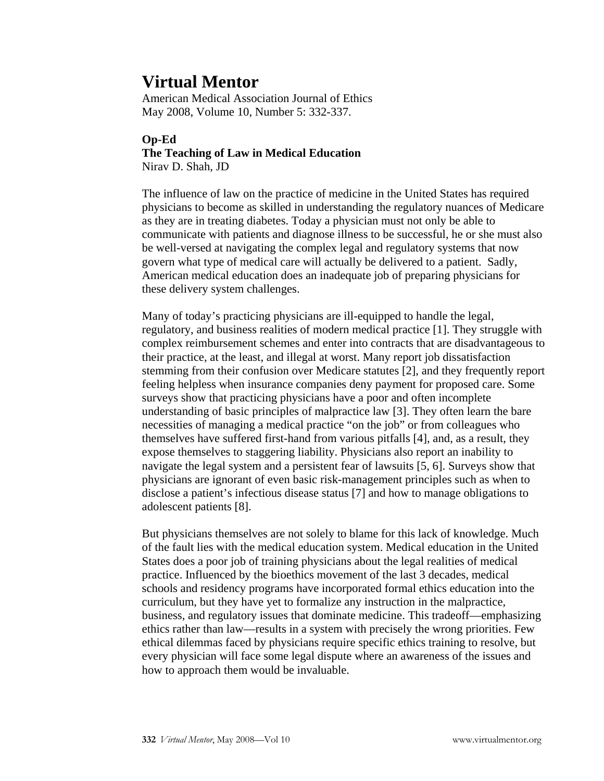American Medical Association Journal of Ethics May 2008, Volume 10, Number 5: 332-337.

## **Op-Ed The Teaching of Law in Medical Education**  Nirav D. Shah, JD

The influence of law on the practice of medicine in the United States has required physicians to become as skilled in understanding the regulatory nuances of Medicare as they are in treating diabetes. Today a physician must not only be able to communicate with patients and diagnose illness to be successful, he or she must also be well-versed at navigating the complex legal and regulatory systems that now govern what type of medical care will actually be delivered to a patient. Sadly, American medical education does an inadequate job of preparing physicians for these delivery system challenges.

Many of today's practicing physicians are ill-equipped to handle the legal, regulatory, and business realities of modern medical practice [1]. They struggle with complex reimbursement schemes and enter into contracts that are disadvantageous to their practice, at the least, and illegal at worst. Many report job dissatisfaction stemming from their confusion over Medicare statutes [2], and they frequently report feeling helpless when insurance companies deny payment for proposed care. Some surveys show that practicing physicians have a poor and often incomplete understanding of basic principles of malpractice law [3]. They often learn the bare necessities of managing a medical practice "on the job" or from colleagues who themselves have suffered first-hand from various pitfalls [4], and, as a result, they expose themselves to staggering liability. Physicians also report an inability to navigate the legal system and a persistent fear of lawsuits [5, 6]. Surveys show that physicians are ignorant of even basic risk-management principles such as when to disclose a patient's infectious disease status [7] and how to manage obligations to adolescent patients [8].

But physicians themselves are not solely to blame for this lack of knowledge. Much of the fault lies with the medical education system. Medical education in the United States does a poor job of training physicians about the legal realities of medical practice. Influenced by the bioethics movement of the last 3 decades, medical schools and residency programs have incorporated formal ethics education into the curriculum, but they have yet to formalize any instruction in the malpractice, business, and regulatory issues that dominate medicine. This tradeoff—emphasizing ethics rather than law—results in a system with precisely the wrong priorities. Few ethical dilemmas faced by physicians require specific ethics training to resolve, but every physician will face some legal dispute where an awareness of the issues and how to approach them would be invaluable.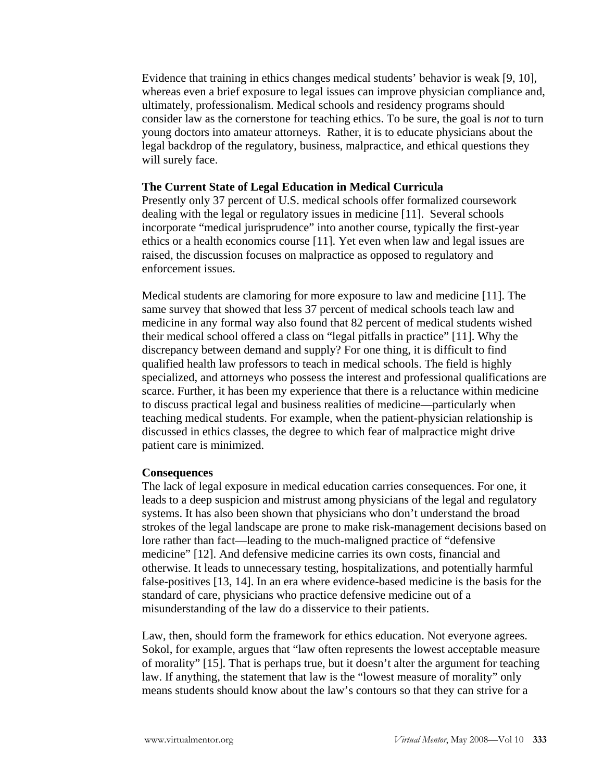Evidence that training in ethics changes medical students' behavior is weak [9, 10], whereas even a brief exposure to legal issues can improve physician compliance and, ultimately, professionalism. Medical schools and residency programs should consider law as the cornerstone for teaching ethics. To be sure, the goal is *not* to turn young doctors into amateur attorneys. Rather, it is to educate physicians about the legal backdrop of the regulatory, business, malpractice, and ethical questions they will surely face.

#### **The Current State of Legal Education in Medical Curricula**

Presently only 37 percent of U.S. medical schools offer formalized coursework dealing with the legal or regulatory issues in medicine [11]. Several schools incorporate "medical jurisprudence" into another course, typically the first-year ethics or a health economics course [11]. Yet even when law and legal issues are raised, the discussion focuses on malpractice as opposed to regulatory and enforcement issues.

Medical students are clamoring for more exposure to law and medicine [11]. The same survey that showed that less 37 percent of medical schools teach law and medicine in any formal way also found that 82 percent of medical students wished their medical school offered a class on "legal pitfalls in practice" [11]. Why the discrepancy between demand and supply? For one thing, it is difficult to find qualified health law professors to teach in medical schools. The field is highly specialized, and attorneys who possess the interest and professional qualifications are scarce. Further, it has been my experience that there is a reluctance within medicine to discuss practical legal and business realities of medicine—particularly when teaching medical students. For example, when the patient-physician relationship is discussed in ethics classes, the degree to which fear of malpractice might drive patient care is minimized.

#### **Consequences**

The lack of legal exposure in medical education carries consequences. For one, it leads to a deep suspicion and mistrust among physicians of the legal and regulatory systems. It has also been shown that physicians who don't understand the broad strokes of the legal landscape are prone to make risk-management decisions based on lore rather than fact—leading to the much-maligned practice of "defensive medicine" [12]. And defensive medicine carries its own costs, financial and otherwise. It leads to unnecessary testing, hospitalizations, and potentially harmful false-positives [13, 14]. In an era where evidence-based medicine is the basis for the standard of care, physicians who practice defensive medicine out of a misunderstanding of the law do a disservice to their patients.

Law, then, should form the framework for ethics education. Not everyone agrees. Sokol, for example, argues that "law often represents the lowest acceptable measure of morality" [15]. That is perhaps true, but it doesn't alter the argument for teaching law. If anything, the statement that law is the "lowest measure of morality" only means students should know about the law's contours so that they can strive for a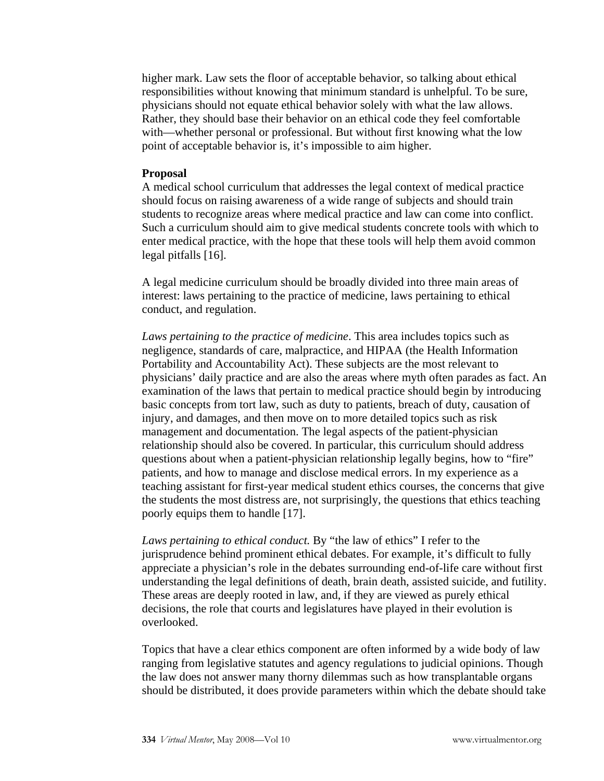higher mark. Law sets the floor of acceptable behavior, so talking about ethical responsibilities without knowing that minimum standard is unhelpful. To be sure, physicians should not equate ethical behavior solely with what the law allows. Rather, they should base their behavior on an ethical code they feel comfortable with—whether personal or professional. But without first knowing what the low point of acceptable behavior is, it's impossible to aim higher.

#### **Proposal**

A medical school curriculum that addresses the legal context of medical practice should focus on raising awareness of a wide range of subjects and should train students to recognize areas where medical practice and law can come into conflict. Such a curriculum should aim to give medical students concrete tools with which to enter medical practice, with the hope that these tools will help them avoid common legal pitfalls [16].

A legal medicine curriculum should be broadly divided into three main areas of interest: laws pertaining to the practice of medicine, laws pertaining to ethical conduct, and regulation.

*Laws pertaining to the practice of medicine*. This area includes topics such as negligence, standards of care, malpractice, and HIPAA (the Health Information Portability and Accountability Act). These subjects are the most relevant to physicians' daily practice and are also the areas where myth often parades as fact. An examination of the laws that pertain to medical practice should begin by introducing basic concepts from tort law, such as duty to patients, breach of duty, causation of injury, and damages, and then move on to more detailed topics such as risk management and documentation. The legal aspects of the patient-physician relationship should also be covered. In particular, this curriculum should address questions about when a patient-physician relationship legally begins, how to "fire" patients, and how to manage and disclose medical errors. In my experience as a teaching assistant for first-year medical student ethics courses, the concerns that give the students the most distress are, not surprisingly, the questions that ethics teaching poorly equips them to handle [17].

*Laws pertaining to ethical conduct.* By "the law of ethics" I refer to the jurisprudence behind prominent ethical debates. For example, it's difficult to fully appreciate a physician's role in the debates surrounding end-of-life care without first understanding the legal definitions of death, brain death, assisted suicide, and futility. These areas are deeply rooted in law, and, if they are viewed as purely ethical decisions, the role that courts and legislatures have played in their evolution is overlooked.

Topics that have a clear ethics component are often informed by a wide body of law ranging from legislative statutes and agency regulations to judicial opinions. Though the law does not answer many thorny dilemmas such as how transplantable organs should be distributed, it does provide parameters within which the debate should take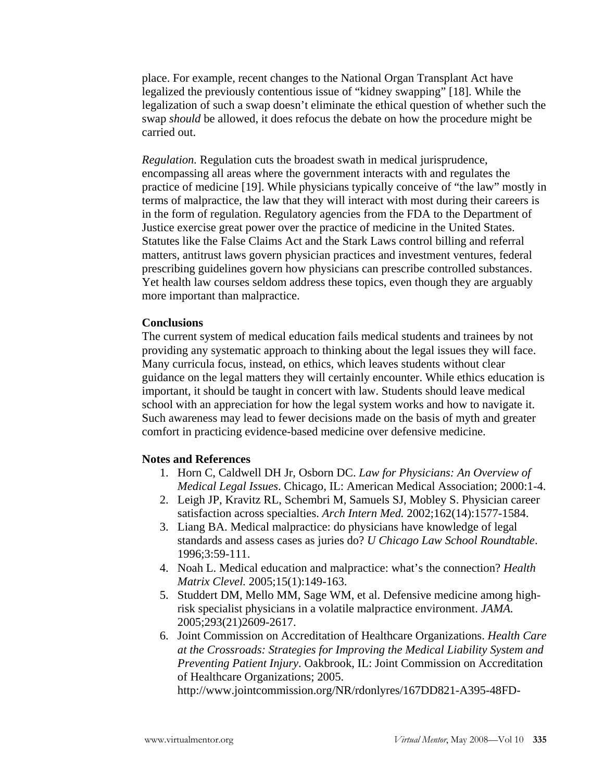place. For example, recent changes to the National Organ Transplant Act have legalized the previously contentious issue of "kidney swapping" [18]. While the legalization of such a swap doesn't eliminate the ethical question of whether such the swap *should* be allowed, it does refocus the debate on how the procedure might be carried out.

*Regulation.* Regulation cuts the broadest swath in medical jurisprudence, encompassing all areas where the government interacts with and regulates the practice of medicine [19]. While physicians typically conceive of "the law" mostly in terms of malpractice, the law that they will interact with most during their careers is in the form of regulation. Regulatory agencies from the FDA to the Department of Justice exercise great power over the practice of medicine in the United States. Statutes like the False Claims Act and the Stark Laws control billing and referral matters, antitrust laws govern physician practices and investment ventures, federal prescribing guidelines govern how physicians can prescribe controlled substances. Yet health law courses seldom address these topics, even though they are arguably more important than malpractice.

#### **Conclusions**

The current system of medical education fails medical students and trainees by not providing any systematic approach to thinking about the legal issues they will face. Many curricula focus, instead, on ethics, which leaves students without clear guidance on the legal matters they will certainly encounter. While ethics education is important, it should be taught in concert with law. Students should leave medical school with an appreciation for how the legal system works and how to navigate it. Such awareness may lead to fewer decisions made on the basis of myth and greater comfort in practicing evidence-based medicine over defensive medicine.

#### **Notes and References**

- 1. Horn C, Caldwell DH Jr, Osborn DC. *Law for Physicians: An Overview of Medical Legal Issues*. Chicago, IL: American Medical Association; 2000:1-4.
- 2. Leigh JP, Kravitz RL, Schembri M, Samuels SJ, Mobley S. Physician career satisfaction across specialties. *Arch Intern Med.* 2002;162(14):1577-1584.
- 3. Liang BA. Medical malpractice: do physicians have knowledge of legal standards and assess cases as juries do? *U Chicago Law School Roundtable*. 1996;3:59-111.
- 4. Noah L. Medical education and malpractice: what's the connection? *Health Matrix Clevel.* 2005;15(1):149-163.
- 5. Studdert DM, Mello MM, Sage WM, et al. Defensive medicine among highrisk specialist physicians in a volatile malpractice environment. *JAMA.*  2005;293(21)2609-2617.
- 6. Joint Commission on Accreditation of Healthcare Organizations. *Health Care at the Crossroads: Strategies for Improving the Medical Liability System and Preventing Patient Injury*. Oakbrook, IL: Joint Commission on Accreditation of Healthcare Organizations; 2005.

http://www.jointcommission.org/NR/rdonlyres/167DD821-A395-48FD-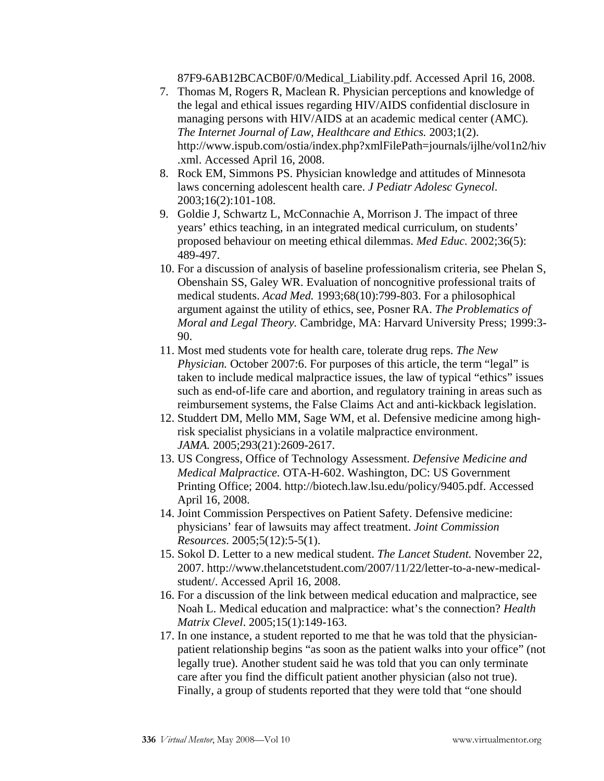87F9-6AB12BCACB0F/0/Medical\_Liability.pdf. Accessed April 16, 2008.

- 7. Thomas M, Rogers R, Maclean R. Physician perceptions and knowledge of the legal and ethical issues regarding HIV/AIDS confidential disclosure in managing persons with HIV/AIDS at an academic medical center (AMC)*. The Internet Journal of Law, Healthcare and Ethics.* 2003;1(2). http://www.ispub.com/ostia/index.php?xmlFilePath=journals/ijlhe/vol1n2/hiv .xml. Accessed April 16, 2008.
- 8. Rock EM, Simmons PS. Physician knowledge and attitudes of Minnesota laws concerning adolescent health care. *J Pediatr Adolesc Gynecol*. 2003;16(2):101-108.
- 9. Goldie J, Schwartz L, McConnachie A, Morrison J. The impact of three years' ethics teaching, in an integrated medical curriculum, on students' proposed behaviour on meeting ethical dilemmas. *Med Educ.* 2002;36(5): 489-497.
- 10. For a discussion of analysis of baseline professionalism criteria, see Phelan S, Obenshain SS, Galey WR. Evaluation of noncognitive professional traits of medical students. *Acad Med.* 1993;68(10):799-803. For a philosophical argument against the utility of ethics, see, Posner RA. *The Problematics of Moral and Legal Theory.* Cambridge, MA: Harvard University Press; 1999:3- 90.
- 11. Most med students vote for health care, tolerate drug reps. *The New Physician.* October 2007:6. For purposes of this article, the term "legal" is taken to include medical malpractice issues, the law of typical "ethics" issues such as end-of-life care and abortion, and regulatory training in areas such as reimbursement systems, the False Claims Act and anti-kickback legislation.
- 12. Studdert DM, Mello MM, Sage WM, et al. Defensive medicine among highrisk specialist physicians in a volatile malpractice environment. *JAMA.* 2005;293(21):2609-2617.
- 13. US Congress, Office of Technology Assessment. *Defensive Medicine and Medical Malpractice.* OTA-H-602. Washington, DC: US Government Printing Office; 2004. http://biotech.law.lsu.edu/policy/9405.pdf. Accessed April 16, 2008.
- 14. Joint Commission Perspectives on Patient Safety. Defensive medicine: physicians' fear of lawsuits may affect treatment. *Joint Commission Resources*. 2005;5(12):5-5(1).
- 15. Sokol D. Letter to a new medical student. *The Lancet Student.* November 22, 2007. http://www.thelancetstudent.com/2007/11/22/letter-to-a-new-medicalstudent/. Accessed April 16, 2008.
- 16. For a discussion of the link between medical education and malpractice, see Noah L. Medical education and malpractice: what's the connection? *Health Matrix Clevel*. 2005;15(1):149-163.
- 17. In one instance, a student reported to me that he was told that the physicianpatient relationship begins "as soon as the patient walks into your office" (not legally true). Another student said he was told that you can only terminate care after you find the difficult patient another physician (also not true). Finally, a group of students reported that they were told that "one should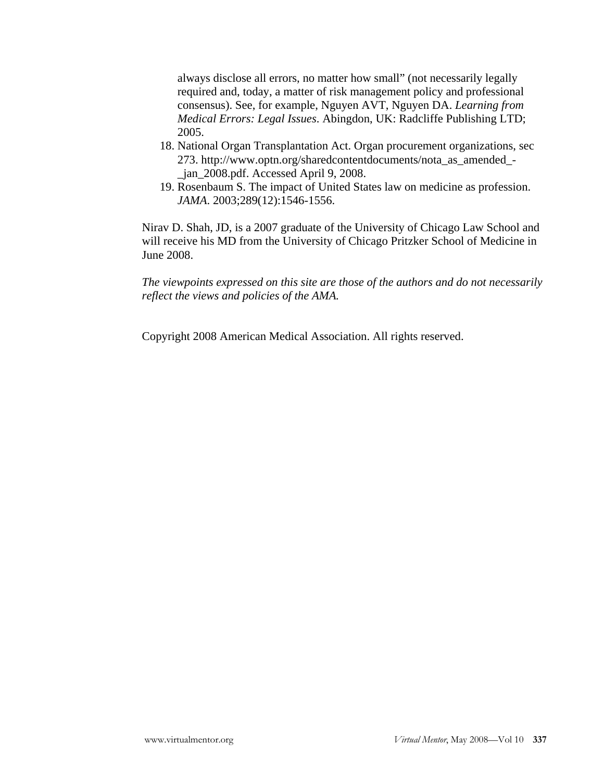always disclose all errors, no matter how small" (not necessarily legally required and, today, a matter of risk management policy and professional consensus). See, for example, Nguyen AVT, Nguyen DA. *Learning from Medical Errors: Legal Issues*. Abingdon, UK: Radcliffe Publishing LTD; 2005.

- 18. National Organ Transplantation Act. Organ procurement organizations, sec 273. http://www.optn.org/sharedcontentdocuments/nota\_as\_amended\_- \_jan\_2008.pdf. Accessed April 9, 2008.
- 19. Rosenbaum S. The impact of United States law on medicine as profession. *JAMA*. 2003;289(12):1546-1556.

Nirav D. Shah, JD, is a 2007 graduate of the University of Chicago Law School and will receive his MD from the University of Chicago Pritzker School of Medicine in June 2008.

*The viewpoints expressed on this site are those of the authors and do not necessarily reflect the views and policies of the AMA.* 

Copyright 2008 American Medical Association. All rights reserved.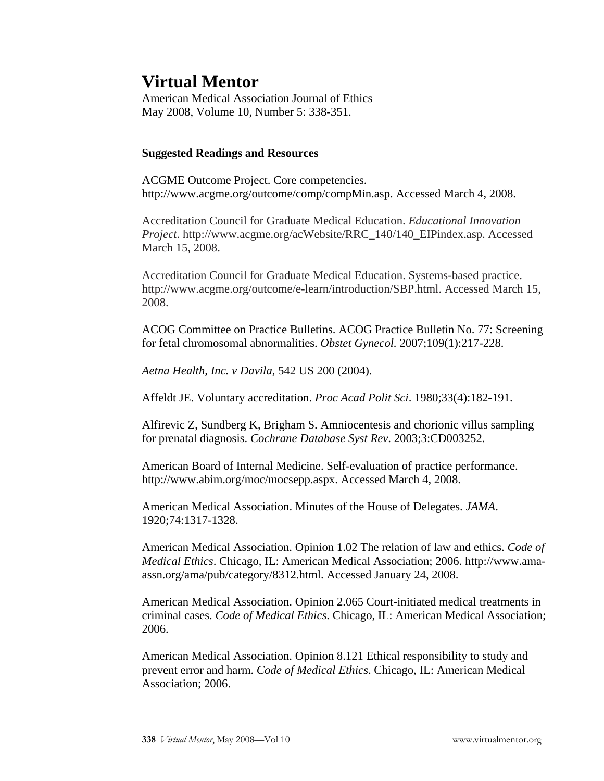# **Virtual Mentor**

American Medical Association Journal of Ethics May 2008, Volume 10, Number 5: 338-351.

### **Suggested Readings and Resources**

ACGME Outcome Project. Core competencies. http://www.acgme.org/outcome/comp/compMin.asp. Accessed March 4, 2008.

Accreditation Council for Graduate Medical Education. *Educational Innovation Project*. http://www.acgme.org/acWebsite/RRC\_140/140\_EIPindex.asp. Accessed March 15, 2008.

Accreditation Council for Graduate Medical Education. Systems-based practice. http://www.acgme.org/outcome/e-learn/introduction/SBP.html. Accessed March 15, 2008.

ACOG Committee on Practice Bulletins. ACOG Practice Bulletin No. 77: Screening for fetal chromosomal abnormalities. *Obstet Gynecol.* 2007;109(1):217-228.

*Aetna Health, Inc. v Davila*, 542 US 200 (2004).

Affeldt JE. Voluntary accreditation. *Proc Acad Polit Sci*. 1980;33(4):182-191.

Alfirevic Z, Sundberg K, Brigham S. Amniocentesis and chorionic villus sampling for prenatal diagnosis. *Cochrane Database Syst Rev*. 2003;3:CD003252.

American Board of Internal Medicine. Self-evaluation of practice performance. http://www.abim.org/moc/mocsepp.aspx. Accessed March 4, 2008.

American Medical Association. Minutes of the House of Delegates. *JAMA*. 1920;74:1317-1328.

American Medical Association. Opinion 1.02 The relation of law and ethics. *Code of Medical Ethics*. Chicago, IL: American Medical Association; 2006. http://www.amaassn.org/ama/pub/category/8312.html. Accessed January 24, 2008.

American Medical Association. Opinion 2.065 Court-initiated medical treatments in criminal cases. *Code of Medical Ethics*. Chicago, IL: American Medical Association; 2006.

American Medical Association. Opinion 8.121 Ethical responsibility to study and prevent error and harm. *Code of Medical Ethics*. Chicago, IL: American Medical Association; 2006.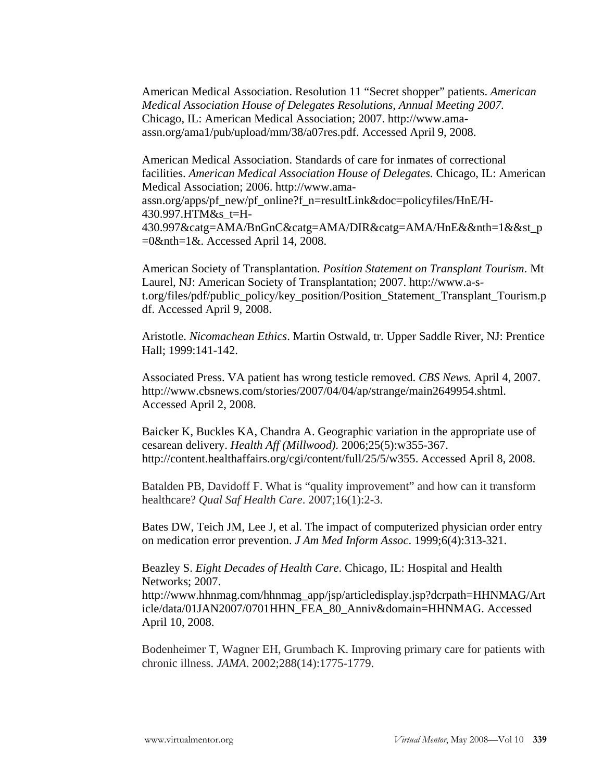American Medical Association. Resolution 11 "Secret shopper" patients. *American Medical Association House of Delegates Resolutions, Annual Meeting 2007.* Chicago, IL: American Medical Association; 2007. http://www.amaassn.org/ama1/pub/upload/mm/38/a07res.pdf. Accessed April 9, 2008.

American Medical Association. Standards of care for inmates of correctional facilities. *American Medical Association House of Delegates.* Chicago, IL: American Medical Association; 2006. http://www.amaassn.org/apps/pf\_new/pf\_online?f\_n=resultLink&doc=policyfiles/HnE/H-430.997.HTM&s\_t=H-430.997&catg=AMA/BnGnC&catg=AMA/DIR&catg=AMA/HnE&&nth=1&&st\_p  $=0$ &nth=1&. Accessed April 14, 2008.

American Society of Transplantation. *Position Statement on Transplant Tourism*. Mt Laurel, NJ: American Society of Transplantation; 2007. http://www.a-st.org/files/pdf/public\_policy/key\_position/Position\_Statement\_Transplant\_Tourism.p df. Accessed April 9, 2008.

Aristotle. *Nicomachean Ethics*. Martin Ostwald, tr. Upper Saddle River, NJ: Prentice Hall; 1999:141-142.

Associated Press. VA patient has wrong testicle removed. *CBS News.* April 4, 2007. http://www.cbsnews.com/stories/2007/04/04/ap/strange/main2649954.shtml. Accessed April 2, 2008.

Baicker K, Buckles KA, Chandra A. Geographic variation in the appropriate use of cesarean delivery. *Health Aff (Millwood)*. 2006;25(5):w355-367. http://content.healthaffairs.org/cgi/content/full/25/5/w355. Accessed April 8, 2008.

Batalden PB, Davidoff F. What is "quality improvement" and how can it transform healthcare? *Qual Saf Health Care*. 2007;16(1):2-3.

Bates DW, Teich JM, Lee J, et al. The impact of computerized physician order entry on medication error prevention. *J Am Med Inform Assoc*. 1999;6(4):313-321.

Beazley S. *Eight Decades of Health Care*. Chicago, IL: Hospital and Health Networks; 2007.

http://www.hhnmag.com/hhnmag\_app/jsp/articledisplay.jsp?dcrpath=HHNMAG/Art icle/data/01JAN2007/0701HHN\_FEA\_80\_Anniv&domain=HHNMAG. Accessed April 10, 2008.

Bodenheimer T, Wagner EH, Grumbach K. Improving primary care for patients with chronic illness. *JAMA*. 2002;288(14):1775-1779.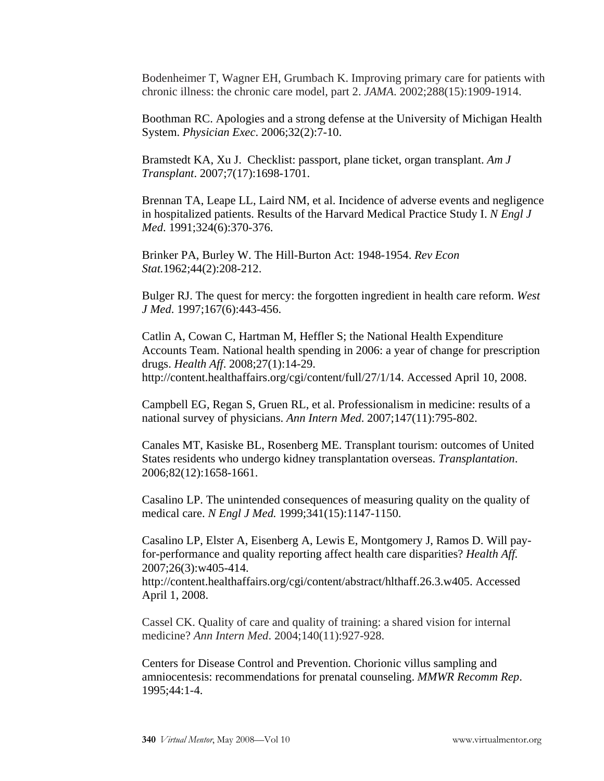Bodenheimer T, Wagner EH, Grumbach K. Improving primary care for patients with chronic illness: the chronic care model, part 2. *JAMA*. 2002;288(15):1909-1914.

Boothman RC. Apologies and a strong defense at the University of Michigan Health System. *Physician Exec*. 2006;32(2):7-10.

Bramstedt KA, Xu J. Checklist: passport, plane ticket, organ transplant. *Am J Transplant*. 2007;7(17):1698-1701.

Brennan TA, Leape LL, Laird NM, et al. Incidence of adverse events and negligence in hospitalized patients. Results of the Harvard Medical Practice Study I. *N Engl J Med*. 1991;324(6):370-376.

Brinker PA, Burley W. The Hill-Burton Act: 1948-1954. *Rev Econ Stat.*1962;44(2):208-212.

Bulger RJ. The quest for mercy: the forgotten ingredient in health care reform. *West J Med*. 1997;167(6):443-456.

Catlin A, Cowan C, Hartman M, Heffler S; the National Health Expenditure Accounts Team. National health spending in 2006: a year of change for prescription drugs. *Health Aff*. 2008;27(1):14-29. http://content.healthaffairs.org/cgi/content/full/27/1/14. Accessed April 10, 2008.

Campbell EG, Regan S, Gruen RL, et al. Professionalism in medicine: results of a national survey of physicians. *Ann Intern Med*. 2007;147(11):795-802.

Canales MT, Kasiske BL, Rosenberg ME. Transplant tourism: outcomes of United States residents who undergo kidney transplantation overseas. *Transplantation*. 2006;82(12):1658-1661.

Casalino LP. The unintended consequences of measuring quality on the quality of medical care. *N Engl J Med.* 1999;341(15):1147-1150.

Casalino LP, Elster A, Eisenberg A, Lewis E, Montgomery J, Ramos D. Will payfor-performance and quality reporting affect health care disparities? *Health Aff.*  2007;26(3):w405-414.

http://content.healthaffairs.org/cgi/content/abstract/hlthaff.26.3.w405. Accessed April 1, 2008.

Cassel CK. Quality of care and quality of training: a shared vision for internal medicine? *Ann Intern Med*. 2004;140(11):927-928.

Centers for Disease Control and Prevention. Chorionic villus sampling and amniocentesis: recommendations for prenatal counseling. *MMWR Recomm Rep*. 1995;44:1-4.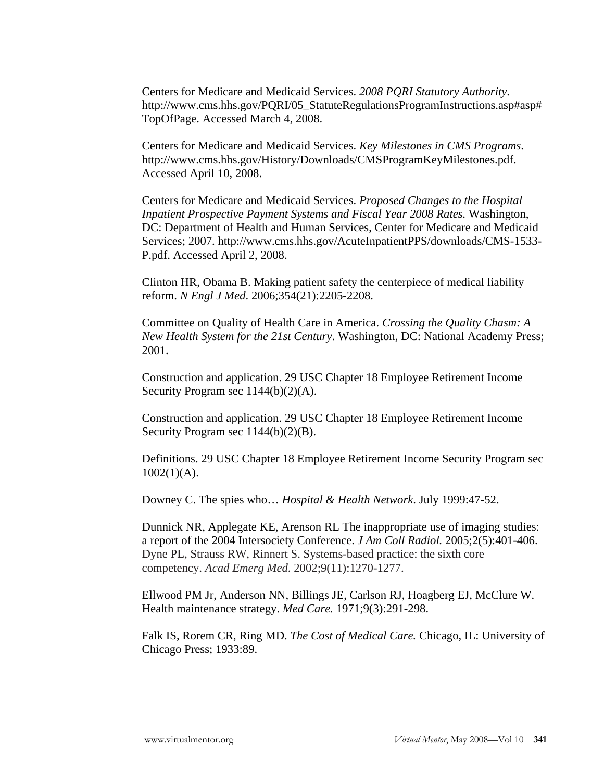Centers for Medicare and Medicaid Services. *2008 PQRI Statutory Authority*. http://www.cms.hhs.gov/PQRI/05\_StatuteRegulationsProgramInstructions.asp#asp# TopOfPage. Accessed March 4, 2008.

Centers for Medicare and Medicaid Services. *Key Milestones in CMS Programs*. http://www.cms.hhs.gov/History/Downloads/CMSProgramKeyMilestones.pdf. Accessed April 10, 2008.

Centers for Medicare and Medicaid Services. *Proposed Changes to the Hospital Inpatient Prospective Payment Systems and Fiscal Year 2008 Rates.* Washington, DC: Department of Health and Human Services, Center for Medicare and Medicaid Services; 2007. http://www.cms.hhs.gov/AcuteInpatientPPS/downloads/CMS-1533- P.pdf. Accessed April 2, 2008.

Clinton HR, Obama B. Making patient safety the centerpiece of medical liability reform. *N Engl J Med*. 2006;354(21):2205-2208.

Committee on Quality of Health Care in America. *Crossing the Quality Chasm: A New Health System for the 21st Century*. Washington, DC: National Academy Press; 2001.

Construction and application. 29 USC Chapter 18 Employee Retirement Income Security Program sec 1144(b)(2)(A).

Construction and application. 29 USC Chapter 18 Employee Retirement Income Security Program sec 1144(b)(2)(B).

Definitions. 29 USC Chapter 18 Employee Retirement Income Security Program sec  $1002(1)(A)$ .

Downey C. The spies who… *Hospital & Health Network*. July 1999:47-52.

Dunnick NR, Applegate KE, Arenson RL The inappropriate use of imaging studies: a report of the 2004 Intersociety Conference. *J Am Coll Radiol.* 2005;2(5):401-406. Dyne PL, Strauss RW, Rinnert S. Systems-based practice: the sixth core competency. *Acad Emerg Med*. 2002;9(11):1270-1277.

Ellwood PM Jr, Anderson NN, Billings JE, Carlson RJ, Hoagberg EJ, McClure W. Health maintenance strategy. *Med Care.* 1971;9(3):291-298.

Falk IS, Rorem CR, Ring MD. *The Cost of Medical Care.* Chicago, IL: University of Chicago Press; 1933:89.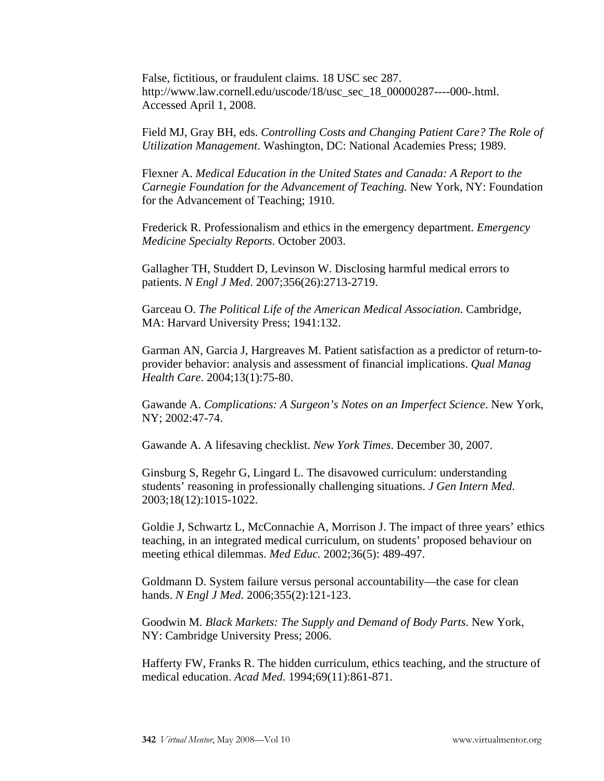False, fictitious, or fraudulent claims. 18 USC sec 287. http://www.law.cornell.edu/uscode/18/usc\_sec\_18\_00000287----000-.html. Accessed April 1, 2008.

Field MJ, Gray BH, eds. *Controlling Costs and Changing Patient Care? The Role of Utilization Management*. Washington, DC: National Academies Press; 1989.

Flexner A. *Medical Education in the United States and Canada: A Report to the Carnegie Foundation for the Advancement of Teaching.* New York, NY: Foundation for the Advancement of Teaching; 1910.

Frederick R. Professionalism and ethics in the emergency department. *Emergency Medicine Specialty Reports*. October 2003.

Gallagher TH, Studdert D, Levinson W. Disclosing harmful medical errors to patients. *N Engl J Med*. 2007;356(26):2713-2719.

Garceau O. *The Political Life of the American Medical Association*. Cambridge, MA: Harvard University Press; 1941:132.

Garman AN, Garcia J, Hargreaves M. Patient satisfaction as a predictor of return-toprovider behavior: analysis and assessment of financial implications. *Qual Manag Health Care*. 2004;13(1):75-80.

Gawande A. *Complications: A Surgeon's Notes on an Imperfect Science*. New York, NY; 2002:47-74.

Gawande A. A lifesaving checklist. *New York Times*. December 30, 2007.

Ginsburg S, Regehr G, Lingard L. The disavowed curriculum: understanding students' reasoning in professionally challenging situations. *J Gen Intern Med*. 2003;18(12):1015-1022.

Goldie J, Schwartz L, McConnachie A, Morrison J. The impact of three years' ethics teaching, in an integrated medical curriculum, on students' proposed behaviour on meeting ethical dilemmas. *Med Educ.* 2002;36(5): 489-497.

Goldmann D. System failure versus personal accountability—the case for clean hands. *N Engl J Med.* 2006;355(2):121-123.

Goodwin M. *Black Markets: The Supply and Demand of Body Parts*. New York, NY: Cambridge University Press; 2006.

Hafferty FW, Franks R. The hidden curriculum, ethics teaching, and the structure of medical education. *Acad Med*. 1994;69(11):861-871.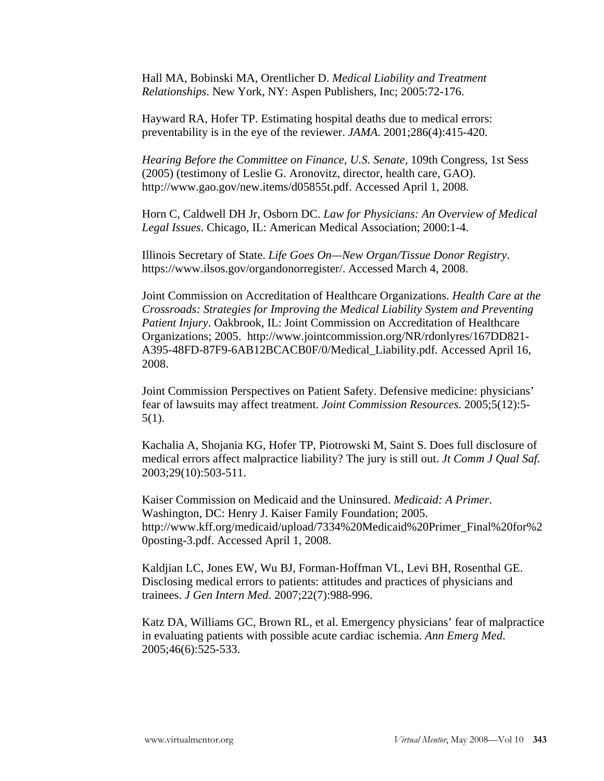Hall MA, Bobinski MA, Orentlicher D. *Medical Liability and Treatment Relationships*. New York, NY: Aspen Publishers, Inc; 2005:72-176.

Hayward RA, Hofer TP. Estimating hospital deaths due to medical errors: preventability is in the eye of the reviewer. *JAMA*. 2001;286(4):415-420.

*Hearing Before the Committee on Finance, U.S. Senate, 109th Congress, 1st Sess* (2005) (testimony of Leslie G. Aronovitz, director, health care, GAO). http://www.gao.gov/new.items/d05855t.pdf. Accessed April 1, 2008.

Horn C, Caldwell DH Jr, Osborn DC. *Law for Physicians: An Overview of Medical Legal Issues*. Chicago, IL: American Medical Association; 2000:1-4.

Illinois Secretary of State. *Life Goes On—New Organ/Tissue Donor Registry*. https://www.ilsos.gov/organdonorregister/. Accessed March 4, 2008.

Joint Commission on Accreditation of Healthcare Organizations. *Health Care at the Crossroads: Strategies for Improving the Medical Liability System and Preventing Patient Injury*. Oakbrook, IL: Joint Commission on Accreditation of Healthcare Organizations; 2005. http://www.jointcommission.org/NR/rdonlyres/167DD821- A395-48FD-87F9-6AB12BCACB0F/0/Medical\_Liability.pdf. Accessed April 16, 2008.

Joint Commission Perspectives on Patient Safety. Defensive medicine: physicians' fear of lawsuits may affect treatment. *Joint Commission Resources*. 2005;5(12):5-  $5(1)$ .

Kachalia A, Shojania KG, Hofer TP, Piotrowski M, Saint S. Does full disclosure of medical errors affect malpractice liability? The jury is still out. *Jt Comm J Qual Saf.* 2003;29(10):503-511.

Kaiser Commission on Medicaid and the Uninsured. *Medicaid: A Primer*. Washington, DC: Henry J. Kaiser Family Foundation; 2005. http://www.kff.org/medicaid/upload/7334%20Medicaid%20Primer\_Final%20for%2 0posting-3.pdf. Accessed April 1, 2008.

Kaldjian LC, Jones EW, Wu BJ, Forman-Hoffman VL, Levi BH, Rosenthal GE. Disclosing medical errors to patients: attitudes and practices of physicians and trainees. *J Gen Intern Med*. 2007;22(7):988-996.

Katz DA, Williams GC, Brown RL, et al. Emergency physicians' fear of malpractice in evaluating patients with possible acute cardiac ischemia. *Ann Emerg Med*. 2005;46(6):525-533.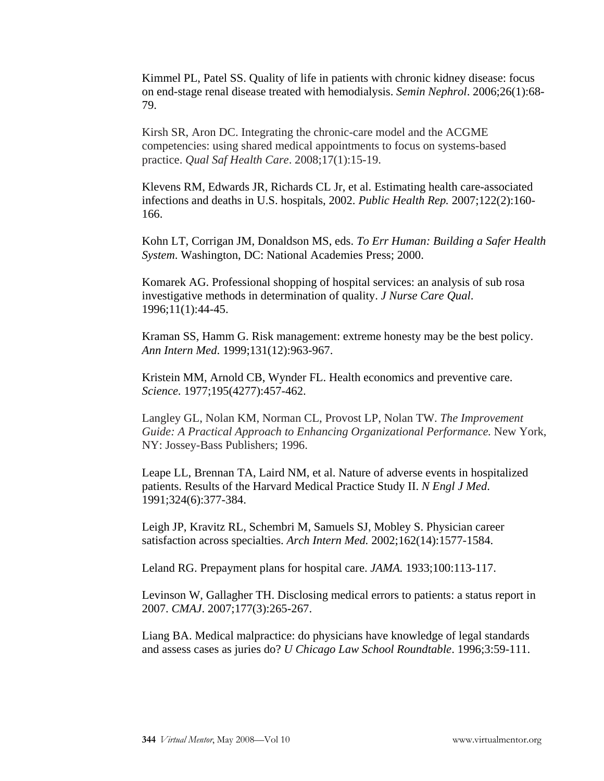Kimmel PL, Patel SS. Quality of life in patients with chronic kidney disease: focus on end-stage renal disease treated with hemodialysis. *Semin Nephrol*. 2006;26(1):68- 79.

Kirsh SR, Aron DC. Integrating the chronic-care model and the ACGME competencies: using shared medical appointments to focus on systems-based practice. *Qual Saf Health Care*. 2008;17(1):15-19.

Klevens RM, Edwards JR, Richards CL Jr, et al. Estimating health care-associated infections and deaths in U.S. hospitals, 2002. *Public Health Rep.* 2007;122(2):160- 166.

Kohn LT, Corrigan JM, Donaldson MS, eds. *To Err Human: Building a Safer Health System*. Washington, DC: National Academies Press; 2000.

Komarek AG. Professional shopping of hospital services: an analysis of sub rosa investigative methods in determination of quality. *J Nurse Care Qual*. 1996;11(1):44-45.

Kraman SS, Hamm G. Risk management: extreme honesty may be the best policy. *Ann Intern Med*. 1999;131(12):963-967.

Kristein MM, Arnold CB, Wynder FL. Health economics and preventive care. *Science.* 1977;195(4277):457-462.

Langley GL, Nolan KM, Norman CL, Provost LP, Nolan TW. *The Improvement Guide: A Practical Approach to Enhancing Organizational Performance.* New York, NY: Jossey-Bass Publishers; 1996.

Leape LL, Brennan TA, Laird NM, et al. Nature of adverse events in hospitalized patients. Results of the Harvard Medical Practice Study II. *N Engl J Med*. 1991;324(6):377-384.

Leigh JP, Kravitz RL, Schembri M, Samuels SJ, Mobley S. Physician career satisfaction across specialties. *Arch Intern Med.* 2002;162(14):1577-1584.

Leland RG. Prepayment plans for hospital care. *JAMA.* 1933;100:113-117.

Levinson W, Gallagher TH. Disclosing medical errors to patients: a status report in 2007. *CMAJ*. 2007;177(3):265-267.

Liang BA. Medical malpractice: do physicians have knowledge of legal standards and assess cases as juries do? *U Chicago Law School Roundtable*. 1996;3:59-111.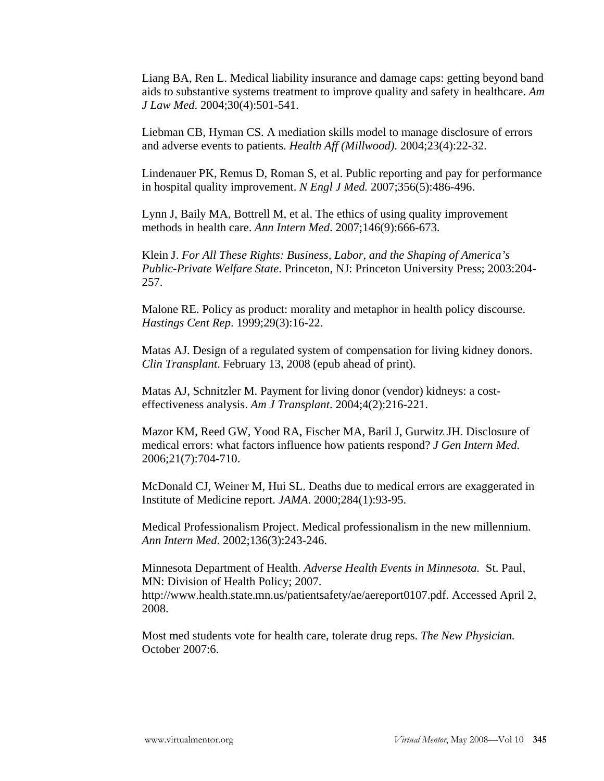Liang BA, Ren L. Medical liability insurance and damage caps: getting beyond band aids to substantive systems treatment to improve quality and safety in healthcare. *Am J Law Med*. 2004;30(4):501-541.

Liebman CB, Hyman CS. A mediation skills model to manage disclosure of errors and adverse events to patients. *Health Aff (Millwood)*. 2004;23(4):22-32.

Lindenauer PK, Remus D, Roman S, et al. Public reporting and pay for performance in hospital quality improvement. *N Engl J Med.* 2007;356(5):486-496.

Lynn J, Baily MA, Bottrell M, et al. The ethics of using quality improvement methods in health care. *Ann Intern Med*. 2007;146(9):666-673.

Klein J. *For All These Rights: Business, Labor, and the Shaping of America's Public-Private Welfare State*. Princeton, NJ: Princeton University Press; 2003:204- 257.

Malone RE. Policy as product: morality and metaphor in health policy discourse. *Hastings Cent Rep*. 1999;29(3):16-22.

Matas AJ. Design of a regulated system of compensation for living kidney donors. *Clin Transplant*. February 13, 2008 (epub ahead of print).

Matas AJ, Schnitzler M. Payment for living donor (vendor) kidneys: a costeffectiveness analysis. *Am J Transplant*. 2004;4(2):216-221.

Mazor KM, Reed GW, Yood RA, Fischer MA, Baril J, Gurwitz JH. Disclosure of medical errors: what factors influence how patients respond? *J Gen Intern Med.* 2006;21(7):704-710.

McDonald CJ, Weiner M, Hui SL. Deaths due to medical errors are exaggerated in Institute of Medicine report. *JAMA*. 2000;284(1):93-95.

Medical Professionalism Project. Medical professionalism in the new millennium. *Ann Intern Med*. 2002;136(3):243-246.

Minnesota Department of Health. *Adverse Health Events in Minnesota.* St. Paul, MN: Division of Health Policy; 2007.

http://www.health.state.mn.us/patientsafety/ae/aereport0107.pdf. Accessed April 2, 2008.

Most med students vote for health care, tolerate drug reps. *The New Physician.* October 2007:6.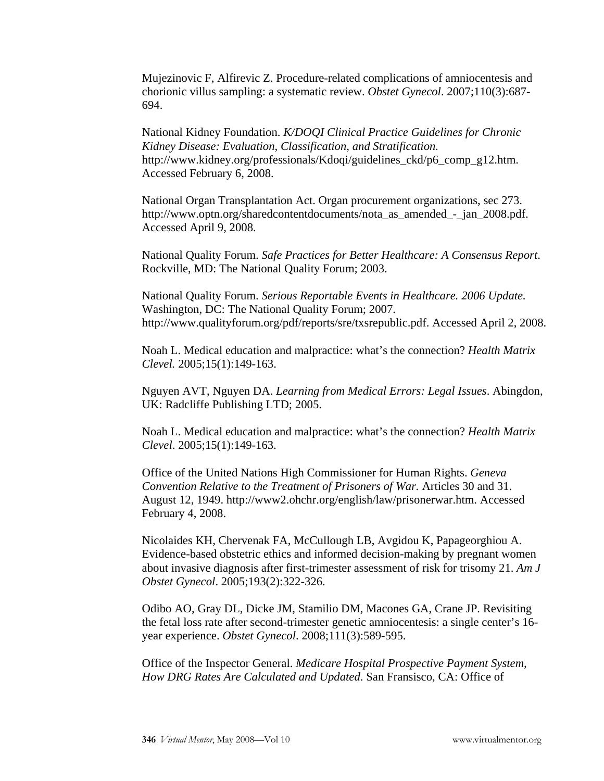Mujezinovic F, Alfirevic Z. Procedure-related complications of amniocentesis and chorionic villus sampling: a systematic review. *Obstet Gynecol*. 2007;110(3):687- 694.

National Kidney Foundation. *K/DOQI Clinical Practice Guidelines for Chronic Kidney Disease: Evaluation, Classification, and Stratification.*  http://www.kidney.org/professionals/Kdoqi/guidelines\_ckd/p6\_comp\_g12.htm. Accessed February 6, 2008.

National Organ Transplantation Act. Organ procurement organizations, sec 273. http://www.optn.org/sharedcontentdocuments/nota\_as\_amended\_-\_jan\_2008.pdf. Accessed April 9, 2008.

National Quality Forum. *Safe Practices for Better Healthcare: A Consensus Report*. Rockville, MD: The National Quality Forum; 2003.

National Quality Forum. *Serious Reportable Events in Healthcare. 2006 Update.* Washington, DC: The National Quality Forum; 2007. http://www.qualityforum.org/pdf/reports/sre/txsrepublic.pdf. Accessed April 2, 2008.

Noah L. Medical education and malpractice: what's the connection? *Health Matrix Clevel.* 2005;15(1):149-163.

Nguyen AVT, Nguyen DA. *Learning from Medical Errors: Legal Issues*. Abingdon, UK: Radcliffe Publishing LTD; 2005.

Noah L. Medical education and malpractice: what's the connection? *Health Matrix Clevel*. 2005;15(1):149-163.

Office of the United Nations High Commissioner for Human Rights. *Geneva Convention Relative to the Treatment of Prisoners of War.* Articles 30 and 31. August 12, 1949. http://www2.ohchr.org/english/law/prisonerwar.htm. Accessed February 4, 2008.

Nicolaides KH, Chervenak FA, McCullough LB, Avgidou K, Papageorghiou A. Evidence-based obstetric ethics and informed decision-making by pregnant women about invasive diagnosis after first-trimester assessment of risk for trisomy 21. *Am J Obstet Gynecol*. 2005;193(2):322-326.

Odibo AO, Gray DL, Dicke JM, Stamilio DM, Macones GA, Crane JP. Revisiting the fetal loss rate after second-trimester genetic amniocentesis: a single center's 16 year experience. *Obstet Gynecol*. 2008;111(3):589-595.

Office of the Inspector General. *Medicare Hospital Prospective Payment System, How DRG Rates Are Calculated and Updated*. San Fransisco, CA: Office of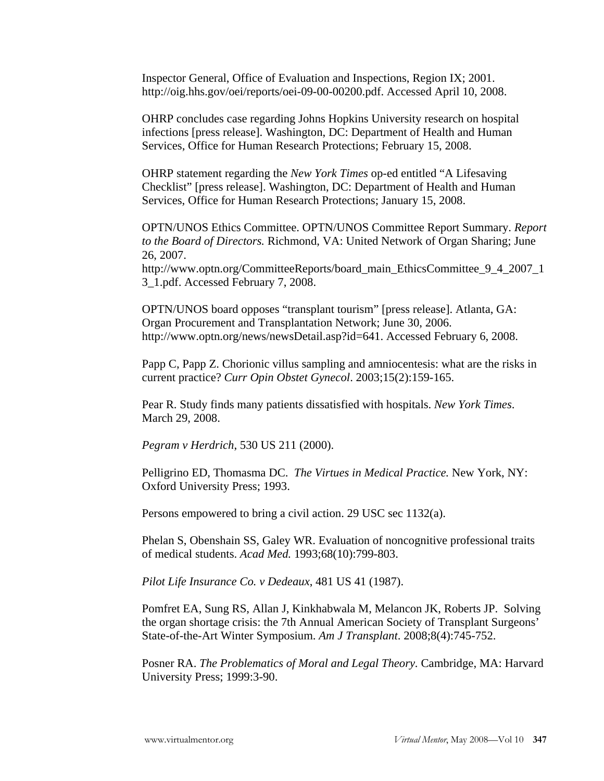Inspector General, Office of Evaluation and Inspections, Region IX; 2001. http://oig.hhs.gov/oei/reports/oei-09-00-00200.pdf. Accessed April 10, 2008.

OHRP concludes case regarding Johns Hopkins University research on hospital infections [press release]. Washington, DC: Department of Health and Human Services, Office for Human Research Protections; February 15, 2008.

OHRP statement regarding the *New York Times* op-ed entitled "A Lifesaving Checklist" [press release]. Washington, DC: Department of Health and Human Services, Office for Human Research Protections; January 15, 2008.

OPTN/UNOS Ethics Committee. OPTN/UNOS Committee Report Summary. *Report to the Board of Directors.* Richmond, VA: United Network of Organ Sharing; June 26, 2007.

http://www.optn.org/CommitteeReports/board\_main\_EthicsCommittee\_9\_4\_2007\_1 3\_1.pdf. Accessed February 7, 2008.

OPTN/UNOS board opposes "transplant tourism" [press release]. Atlanta, GA: Organ Procurement and Transplantation Network; June 30, 2006. http://www.optn.org/news/newsDetail.asp?id=641. Accessed February 6, 2008.

Papp C, Papp Z. Chorionic villus sampling and amniocentesis: what are the risks in current practice? *Curr Opin Obstet Gynecol*. 2003;15(2):159-165.

Pear R. Study finds many patients dissatisfied with hospitals. *New York Times*. March 29, 2008.

*Pegram v Herdrich*, 530 US 211 (2000).

Pelligrino ED, Thomasma DC. *The Virtues in Medical Practice.* New York, NY: Oxford University Press; 1993.

Persons empowered to bring a civil action. 29 USC sec 1132(a).

Phelan S, Obenshain SS, Galey WR. Evaluation of noncognitive professional traits of medical students. *Acad Med.* 1993;68(10):799-803.

*Pilot Life Insurance Co. v Dedeaux*, 481 US 41 (1987).

Pomfret EA, Sung RS, Allan J, Kinkhabwala M, Melancon JK, Roberts JP. Solving the organ shortage crisis: the 7th Annual American Society of Transplant Surgeons' State-of-the-Art Winter Symposium. *Am J Transplant*. 2008;8(4):745-752.

Posner RA. *The Problematics of Moral and Legal Theory.* Cambridge, MA: Harvard University Press; 1999:3-90.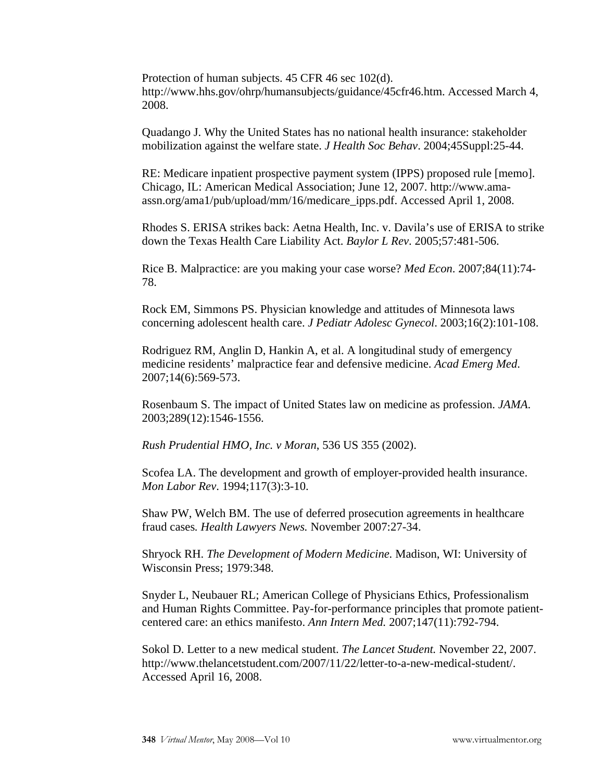Protection of human subjects. 45 CFR 46 sec 102(d). http://www.hhs.gov/ohrp/humansubjects/guidance/45cfr46.htm. Accessed March 4, 2008.

Quadango J. Why the United States has no national health insurance: stakeholder mobilization against the welfare state. *J Health Soc Behav*. 2004;45Suppl:25-44.

RE: Medicare inpatient prospective payment system (IPPS) proposed rule [memo]. Chicago, IL: American Medical Association; June 12, 2007. http://www.amaassn.org/ama1/pub/upload/mm/16/medicare\_ipps.pdf. Accessed April 1, 2008.

Rhodes S. ERISA strikes back: Aetna Health, Inc. v. Davila's use of ERISA to strike down the Texas Health Care Liability Act. *Baylor L Rev*. 2005;57:481-506.

Rice B. Malpractice: are you making your case worse? *Med Econ*. 2007;84(11):74- 78.

Rock EM, Simmons PS. Physician knowledge and attitudes of Minnesota laws concerning adolescent health care. *J Pediatr Adolesc Gynecol*. 2003;16(2):101-108.

Rodriguez RM, Anglin D, Hankin A, et al. A longitudinal study of emergency medicine residents' malpractice fear and defensive medicine. *Acad Emerg Med*. 2007;14(6):569-573.

Rosenbaum S. The impact of United States law on medicine as profession. *JAMA*. 2003;289(12):1546-1556.

*Rush Prudential HMO, Inc. v Moran*, 536 US 355 (2002).

Scofea LA. The development and growth of employer-provided health insurance. *Mon Labor Rev*. 1994;117(3):3-10.

Shaw PW, Welch BM. The use of deferred prosecution agreements in healthcare fraud cases*. Health Lawyers News.* November 2007:27-34.

Shryock RH. *The Development of Modern Medicine.* Madison, WI: University of Wisconsin Press; 1979:348.

Snyder L, Neubauer RL; American College of Physicians Ethics, Professionalism and Human Rights Committee. Pay-for-performance principles that promote patientcentered care: an ethics manifesto. *Ann Intern Med.* 2007;147(11):792-794.

Sokol D. Letter to a new medical student. *The Lancet Student.* November 22, 2007. http://www.thelancetstudent.com/2007/11/22/letter-to-a-new-medical-student/. Accessed April 16, 2008.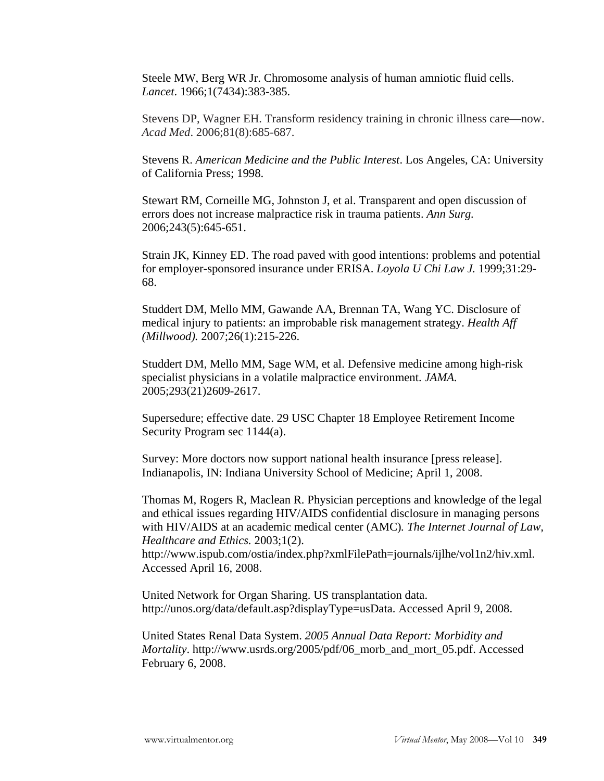Steele MW, Berg WR Jr. Chromosome analysis of human amniotic fluid cells. *Lancet*. 1966;1(7434):383-385.

Stevens DP, Wagner EH. Transform residency training in chronic illness care—now. *Acad Med*. 2006;81(8):685-687.

Stevens R. *American Medicine and the Public Interest*. Los Angeles, CA: University of California Press; 1998.

Stewart RM, Corneille MG, Johnston J, et al. Transparent and open discussion of errors does not increase malpractice risk in trauma patients. *Ann Surg.* 2006;243(5):645-651.

Strain JK, Kinney ED. The road paved with good intentions: problems and potential for employer-sponsored insurance under ERISA. *Loyola U Chi Law J.* 1999;31:29- 68.

Studdert DM, Mello MM, Gawande AA, Brennan TA, Wang YC. Disclosure of medical injury to patients: an improbable risk management strategy. *Health Aff (Millwood).* 2007;26(1):215-226.

Studdert DM, Mello MM, Sage WM, et al. Defensive medicine among high-risk specialist physicians in a volatile malpractice environment. *JAMA.*  2005;293(21)2609-2617.

Supersedure; effective date. 29 USC Chapter 18 Employee Retirement Income Security Program sec 1144(a).

Survey: More doctors now support national health insurance [press release]. Indianapolis, IN: Indiana University School of Medicine; April 1, 2008.

Thomas M, Rogers R, Maclean R. Physician perceptions and knowledge of the legal and ethical issues regarding HIV/AIDS confidential disclosure in managing persons with HIV/AIDS at an academic medical center (AMC)*. The Internet Journal of Law, Healthcare and Ethics.* 2003;1(2).

http://www.ispub.com/ostia/index.php?xmlFilePath=journals/ijlhe/vol1n2/hiv.xml. Accessed April 16, 2008.

United Network for Organ Sharing. US transplantation data. http://unos.org/data/default.asp?displayType=usData. Accessed April 9, 2008.

United States Renal Data System. *2005 Annual Data Report: Morbidity and Mortality*. http://www.usrds.org/2005/pdf/06\_morb\_and\_mort\_05.pdf. Accessed February 6, 2008.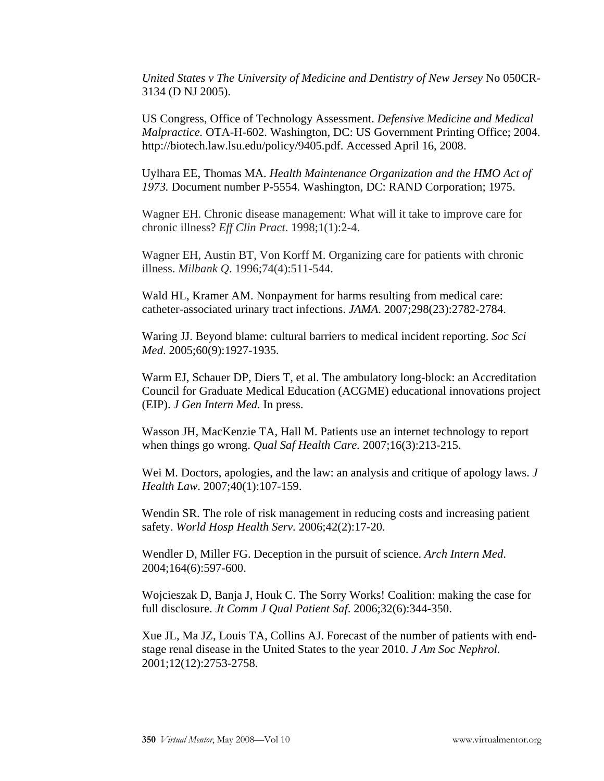*United States v The University of Medicine and Dentistry of New Jersey* No 050CR-3134 (D NJ 2005).

US Congress, Office of Technology Assessment. *Defensive Medicine and Medical Malpractice.* OTA-H-602. Washington, DC: US Government Printing Office; 2004. http://biotech.law.lsu.edu/policy/9405.pdf. Accessed April 16, 2008.

Uylhara EE, Thomas MA. *Health Maintenance Organization and the HMO Act of 1973.* Document number P-5554. Washington, DC: RAND Corporation; 1975.

Wagner EH. Chronic disease management: What will it take to improve care for chronic illness? *Eff Clin Pract*. 1998;1(1):2-4.

Wagner EH, Austin BT, Von Korff M. Organizing care for patients with chronic illness. *Milbank Q*. 1996;74(4):511-544.

Wald HL, Kramer AM. Nonpayment for harms resulting from medical care: catheter-associated urinary tract infections. *JAMA*. 2007;298(23):2782-2784.

Waring JJ. Beyond blame: cultural barriers to medical incident reporting. *Soc Sci Med*. 2005;60(9):1927-1935.

Warm EJ, Schauer DP, Diers T, et al. The ambulatory long-block: an Accreditation Council for Graduate Medical Education (ACGME) educational innovations project (EIP). *J Gen Intern Med.* In press.

Wasson JH, MacKenzie TA, Hall M. Patients use an internet technology to report when things go wrong. *Qual Saf Health Care.* 2007;16(3):213-215.

Wei M. Doctors, apologies, and the law: an analysis and critique of apology laws. *J Health Law*. 2007;40(1):107-159.

Wendin SR. The role of risk management in reducing costs and increasing patient safety. *World Hosp Health Serv.* 2006;42(2):17-20.

Wendler D, Miller FG. Deception in the pursuit of science. *Arch Intern Med*. 2004;164(6):597-600.

Wojcieszak D, Banja J, Houk C. The Sorry Works! Coalition: making the case for full disclosure. *Jt Comm J Qual Patient Saf*. 2006;32(6):344-350.

Xue JL, Ma JZ, Louis TA, Collins AJ. Forecast of the number of patients with endstage renal disease in the United States to the year 2010. *J Am Soc Nephrol.* 2001;12(12):2753-2758.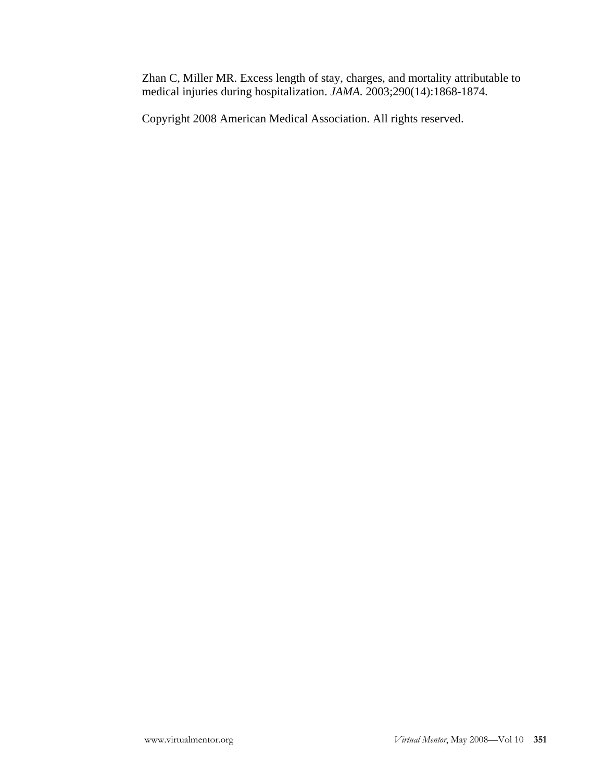Zhan C, Miller MR. Excess length of stay, charges, and mortality attributable to medical injuries during hospitalization. *JAMA.* 2003;290(14):1868-1874.

Copyright 2008 American Medical Association. All rights reserved.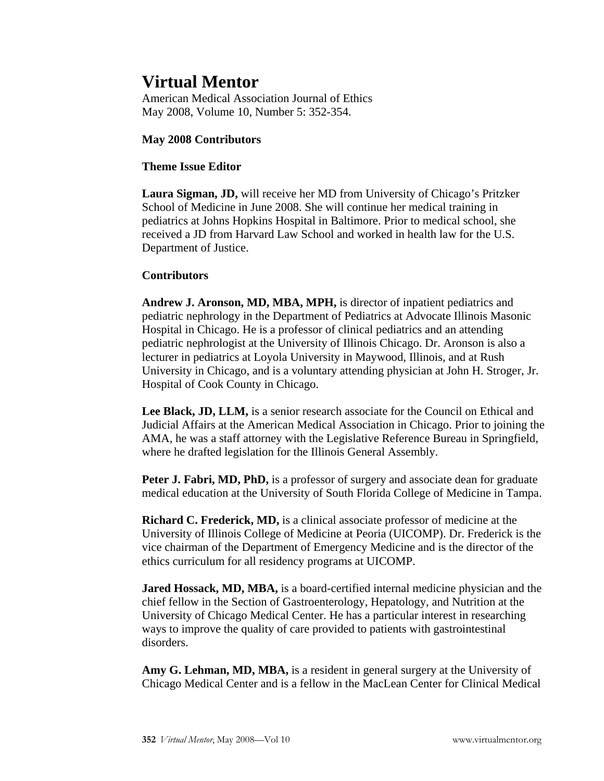# **Virtual Mentor**

American Medical Association Journal of Ethics May 2008, Volume 10, Number 5: 352-354.

## **May 2008 Contributors**

## **Theme Issue Editor**

**Laura Sigman, JD,** will receive her MD from University of Chicago's Pritzker School of Medicine in June 2008. She will continue her medical training in pediatrics at Johns Hopkins Hospital in Baltimore. Prior to medical school, she received a JD from Harvard Law School and worked in health law for the U.S. Department of Justice.

## **Contributors**

**Andrew J. Aronson, MD, MBA, MPH,** is director of inpatient pediatrics and pediatric nephrology in the Department of Pediatrics at Advocate Illinois Masonic Hospital in Chicago. He is a professor of clinical pediatrics and an attending pediatric nephrologist at the University of Illinois Chicago. Dr. Aronson is also a lecturer in pediatrics at Loyola University in Maywood, Illinois, and at Rush University in Chicago, and is a voluntary attending physician at John H. Stroger, Jr. Hospital of Cook County in Chicago.

**Lee Black, JD, LLM,** is a senior research associate for the Council on Ethical and Judicial Affairs at the American Medical Association in Chicago. Prior to joining the AMA, he was a staff attorney with the Legislative Reference Bureau in Springfield, where he drafted legislation for the Illinois General Assembly.

Peter **J. Fabri, MD, PhD,** is a professor of surgery and associate dean for graduate medical education at the University of South Florida College of Medicine in Tampa.

**Richard C. Frederick, MD,** is a clinical associate professor of medicine at the University of Illinois College of Medicine at Peoria (UICOMP). Dr. Frederick is the vice chairman of the Department of Emergency Medicine and is the director of the ethics curriculum for all residency programs at UICOMP.

**Jared Hossack, MD, MBA,** is a board-certified internal medicine physician and the chief fellow in the Section of Gastroenterology, Hepatology, and Nutrition at the University of Chicago Medical Center. He has a particular interest in researching ways to improve the quality of care provided to patients with gastrointestinal disorders.

**Amy G. Lehman, MD, MBA,** is a resident in general surgery at the University of Chicago Medical Center and is a fellow in the MacLean Center for Clinical Medical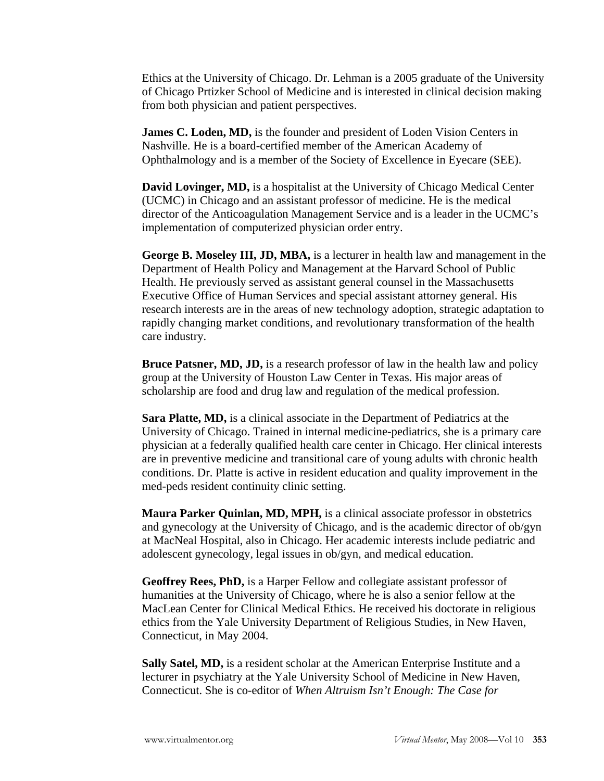Ethics at the University of Chicago. Dr. Lehman is a 2005 graduate of the University of Chicago Prtizker School of Medicine and is interested in clinical decision making from both physician and patient perspectives.

**James C. Loden, MD,** is the founder and president of Loden Vision Centers in Nashville. He is a board-certified member of the American Academy of Ophthalmology and is a member of the Society of Excellence in Eyecare (SEE).

**David Lovinger, MD,** is a hospitalist at the University of Chicago Medical Center (UCMC) in Chicago and an assistant professor of medicine. He is the medical director of the Anticoagulation Management Service and is a leader in the UCMC's implementation of computerized physician order entry.

**George B. Moseley III, JD, MBA,** is a lecturer in health law and management in the Department of Health Policy and Management at the Harvard School of Public Health. He previously served as assistant general counsel in the Massachusetts Executive Office of Human Services and special assistant attorney general. His research interests are in the areas of new technology adoption, strategic adaptation to rapidly changing market conditions, and revolutionary transformation of the health care industry.

**Bruce Patsner, MD, JD,** is a research professor of law in the health law and policy group at the University of Houston Law Center in Texas. His major areas of scholarship are food and drug law and regulation of the medical profession.

**Sara Platte, MD,** is a clinical associate in the Department of Pediatrics at the University of Chicago. Trained in internal medicine-pediatrics, she is a primary care physician at a federally qualified health care center in Chicago. Her clinical interests are in preventive medicine and transitional care of young adults with chronic health conditions. Dr. Platte is active in resident education and quality improvement in the med-peds resident continuity clinic setting.

**Maura Parker Quinlan, MD, MPH,** is a clinical associate professor in obstetrics and gynecology at the University of Chicago, and is the academic director of ob/gyn at MacNeal Hospital, also in Chicago. Her academic interests include pediatric and adolescent gynecology, legal issues in ob/gyn, and medical education.

**Geoffrey Rees, PhD,** is a Harper Fellow and collegiate assistant professor of humanities at the University of Chicago, where he is also a senior fellow at the MacLean Center for Clinical Medical Ethics. He received his doctorate in religious ethics from the Yale University Department of Religious Studies, in New Haven, Connecticut, in May 2004.

**Sally Satel, MD,** is a resident scholar at the American Enterprise Institute and a lecturer in psychiatry at the Yale University School of Medicine in New Haven, Connecticut. She is co-editor of *When Altruism Isn't Enough: The Case for*